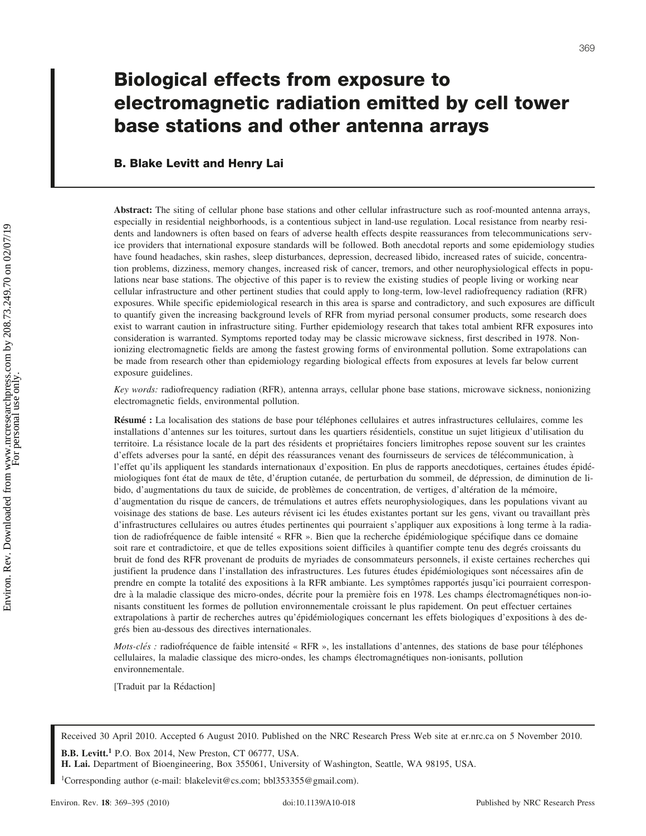# **Biological effects from exposure to electromagnetic radiation emitted by cell tower base stations and other antenna arrays**

**B. Blake Levitt and Henry Lai**

**Abstract:** The siting of cellular phone base stations and other cellular infrastructure such as roof-mounted antenna arrays, especially in residential neighborhoods, is a contentious subject in land-use regulation. Local resistance from nearby residents and landowners is often based on fears of adverse health effects despite reassurances from telecommunications service providers that international exposure standards will be followed. Both anecdotal reports and some epidemiology studies have found headaches, skin rashes, sleep disturbances, depression, decreased libido, increased rates of suicide, concentration problems, dizziness, memory changes, increased risk of cancer, tremors, and other neurophysiological effects in populations near base stations. The objective of this paper is to review the existing studies of people living or working near cellular infrastructure and other pertinent studies that could apply to long-term, low-level radiofrequency radiation (RFR) exposures. While specific epidemiological research in this area is sparse and contradictory, and such exposures are difficult to quantify given the increasing background levels of RFR from myriad personal consumer products, some research does exist to warrant caution in infrastructure siting. Further epidemiology research that takes total ambient RFR exposures into consideration is warranted. Symptoms reported today may be classic microwave sickness, first described in 1978. Nonionizing electromagnetic fields are among the fastest growing forms of environmental pollution. Some extrapolations can be made from research other than epidemiology regarding biological effects from exposures at levels far below current exposure guidelines.

*Key words:* radiofrequency radiation (RFR), antenna arrays, cellular phone base stations, microwave sickness, nonionizing electromagnetic fields, environmental pollution.

**Résumé :** La localisation des stations de base pour téléphones cellulaires et autres infrastructures cellulaires, comme les installations d'antennes sur les toitures, surtout dans les quartiers résidentiels, constitue un sujet litigieux d'utilisation du territoire. La résistance locale de la part des résidents et propriétaires fonciers limitrophes repose souvent sur les craintes d'effets adverses pour la santé, en dépit des réassurances venant des fournisseurs de services de télécommunication, à l'effet qu'ils appliquent les standards internationaux d'exposition. En plus de rapports anecdotiques, certaines études épidémiologiques font état de maux de tête, d'éruption cutanée, de perturbation du sommeil, de dépression, de diminution de libido, d'augmentations du taux de suicide, de problèmes de concentration, de vertiges, d'altération de la mémoire, d'augmentation du risque de cancers, de tre´mulations et autres effets neurophysiologiques, dans les populations vivant au voisinage des stations de base. Les auteurs révisent ici les études existantes portant sur les gens, vivant ou travaillant près d'infrastructures cellulaires ou autres études pertinentes qui pourraient s'appliquer aux expositions à long terme à la radiation de radiofréquence de faible intensité « RFR ». Bien que la recherche épidémiologique spécifique dans ce domaine soit rare et contradictoire, et que de telles expositions soient difficiles à quantifier compte tenu des degrés croissants du bruit de fond des RFR provenant de produits de myriades de consommateurs personnels, il existe certaines recherches qui justifient la prudence dans l'installation des infrastructures. Les futures études épidémiologiques sont nécessaires afin de prendre en compte la totalité des expositions à la RFR ambiante. Les symptômes rapportés jusqu'ici pourraient correspondre à la maladie classique des micro-ondes, décrite pour la première fois en 1978. Les champs électromagnétiques non-ionisants constituent les formes de pollution environnementale croissant le plus rapidement. On peut effectuer certaines extrapolations à partir de recherches autres qu'épidémiologiques concernant les effets biologiques d'expositions à des degrés bien au-dessous des directives internationales.

*Mots-clés :* radiofréquence de faible intensité « RFR », les installations d'antennes, des stations de base pour téléphones cellulaires, la maladie classique des micro-ondes, les champs électromagnétiques non-ionisants, pollution environnementale.

[Traduit par la Rédaction]

**B.B. Levitt.<sup>1</sup>** P.O. Box 2014, New Preston, CT 06777, USA.

**H. Lai.** Department of Bioengineering, Box 355061, University of Washington, Seattle, WA 98195, USA.

<sup>1</sup>Corresponding author (e-mail: blakelevit@cs.com; bbl353355@gmail.com).

Received 30 April 2010. Accepted 6 August 2010. Published on the NRC Research Press Web site at er.nrc.ca on 5 November 2010.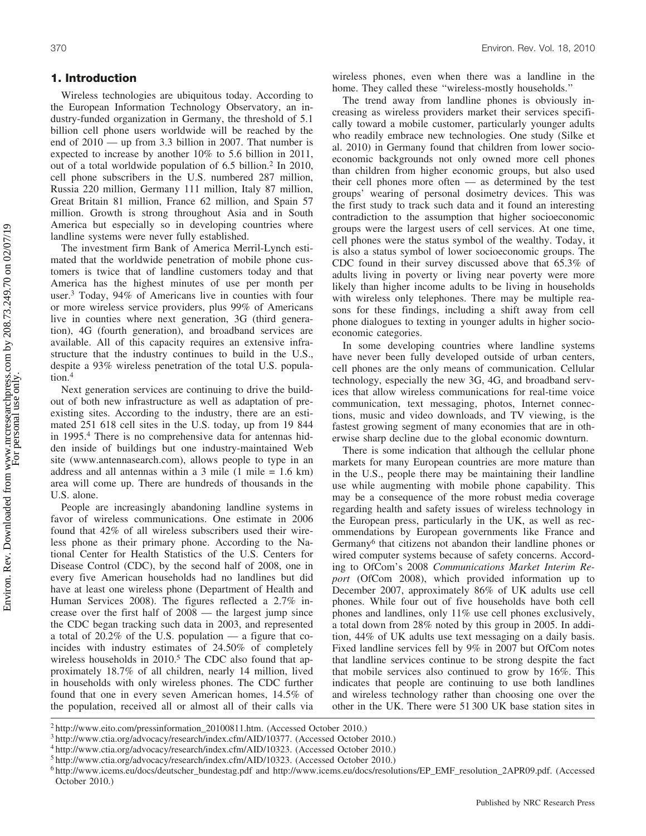Wireless technologies are ubiquitous today. According to the European Information Technology Observatory, an industry-funded organization in Germany, the threshold of 5.1 billion cell phone users worldwide will be reached by the end of 2010 — up from 3.3 billion in 2007. That number is expected to increase by another 10% to 5.6 billion in 2011, out of a total worldwide population of 6.5 billion.2 In 2010, cell phone subscribers in the U.S. numbered 287 million, Russia 220 million, Germany 111 million, Italy 87 million, Great Britain 81 million, France 62 million, and Spain 57 million. Growth is strong throughout Asia and in South America but especially so in developing countries where landline systems were never fully established.

The investment firm Bank of America Merril-Lynch estimated that the worldwide penetration of mobile phone customers is twice that of landline customers today and that America has the highest minutes of use per month per user.3 Today, 94% of Americans live in counties with four or more wireless service providers, plus 99% of Americans live in counties where next generation, 3G (third generation), 4G (fourth generation), and broadband services are available. All of this capacity requires an extensive infrastructure that the industry continues to build in the U.S., despite a 93% wireless penetration of the total U.S. population.4

Next generation services are continuing to drive the buildout of both new infrastructure as well as adaptation of preexisting sites. According to the industry, there are an estimated 251 618 cell sites in the U.S. today, up from 19 844 in 1995.4 There is no comprehensive data for antennas hidden inside of buildings but one industry-maintained Web site (www.antennasearch.com), allows people to type in an address and all antennas within a 3 mile  $(1 \text{ mile} = 1.6 \text{ km})$ area will come up. There are hundreds of thousands in the U.S. alone.

People are increasingly abandoning landline systems in favor of wireless communications. One estimate in 2006 found that 42% of all wireless subscribers used their wireless phone as their primary phone. According to the National Center for Health Statistics of the U.S. Centers for Disease Control (CDC), by the second half of 2008, one in every five American households had no landlines but did have at least one wireless phone (Department of Health and Human Services 2008). The figures reflected a 2.7% increase over the first half of 2008 — the largest jump since the CDC began tracking such data in 2003, and represented a total of 20.2% of the U.S. population — a figure that coincides with industry estimates of 24.50% of completely wireless households in  $2010<sup>5</sup>$ . The CDC also found that approximately 18.7% of all children, nearly 14 million, lived in households with only wireless phones. The CDC further found that one in every seven American homes, 14.5% of the population, received all or almost all of their calls via

wireless phones, even when there was a landline in the home. They called these "wireless-mostly households."

The trend away from landline phones is obviously increasing as wireless providers market their services specifically toward a mobile customer, particularly younger adults who readily embrace new technologies. One study (Silke et al. 2010) in Germany found that children from lower socioeconomic backgrounds not only owned more cell phones than children from higher economic groups, but also used their cell phones more often — as determined by the test groups' wearing of personal dosimetry devices. This was the first study to track such data and it found an interesting contradiction to the assumption that higher socioeconomic groups were the largest users of cell services. At one time, cell phones were the status symbol of the wealthy. Today, it is also a status symbol of lower socioeconomic groups. The CDC found in their survey discussed above that 65.3% of adults living in poverty or living near poverty were more likely than higher income adults to be living in households with wireless only telephones. There may be multiple reasons for these findings, including a shift away from cell phone dialogues to texting in younger adults in higher socioeconomic categories.

In some developing countries where landline systems have never been fully developed outside of urban centers, cell phones are the only means of communication. Cellular technology, especially the new 3G, 4G, and broadband services that allow wireless communications for real-time voice communication, text messaging, photos, Internet connections, music and video downloads, and TV viewing, is the fastest growing segment of many economies that are in otherwise sharp decline due to the global economic downturn.

There is some indication that although the cellular phone markets for many European countries are more mature than in the U.S., people there may be maintaining their landline use while augmenting with mobile phone capability. This may be a consequence of the more robust media coverage regarding health and safety issues of wireless technology in the European press, particularly in the UK, as well as recommendations by European governments like France and Germany6 that citizens not abandon their landline phones or wired computer systems because of safety concerns. According to OfCom's 2008 *Communications Market Interim Report* (OfCom 2008), which provided information up to December 2007, approximately 86% of UK adults use cell phones. While four out of five households have both cell phones and landlines, only 11% use cell phones exclusively, a total down from 28% noted by this group in 2005. In addition, 44% of UK adults use text messaging on a daily basis. Fixed landline services fell by 9% in 2007 but OfCom notes that landline services continue to be strong despite the fact that mobile services also continued to grow by 16%. This indicates that people are continuing to use both landlines and wireless technology rather than choosing one over the other in the UK. There were 51 300 UK base station sites in

 $2$  http://www.eito.com/pressinformation\_20100811.htm. (Accessed October 2010.)

<sup>3</sup> http://www.ctia.org/advocacy/research/index.cfm/AID/10377. (Accessed October 2010.)

<sup>4</sup> http://www.ctia.org/advocacy/research/index.cfm/AID/10323. (Accessed October 2010.)

<sup>5</sup> http://www.ctia.org/advocacy/research/index.cfm/AID/10323. (Accessed October 2010.)

<sup>6</sup> http://www.icems.eu/docs/deutscher\_bundestag.pdf and http://www.icems.eu/docs/resolutions/EP\_EMF\_resolution\_2APR09.pdf. (Accessed October 2010.)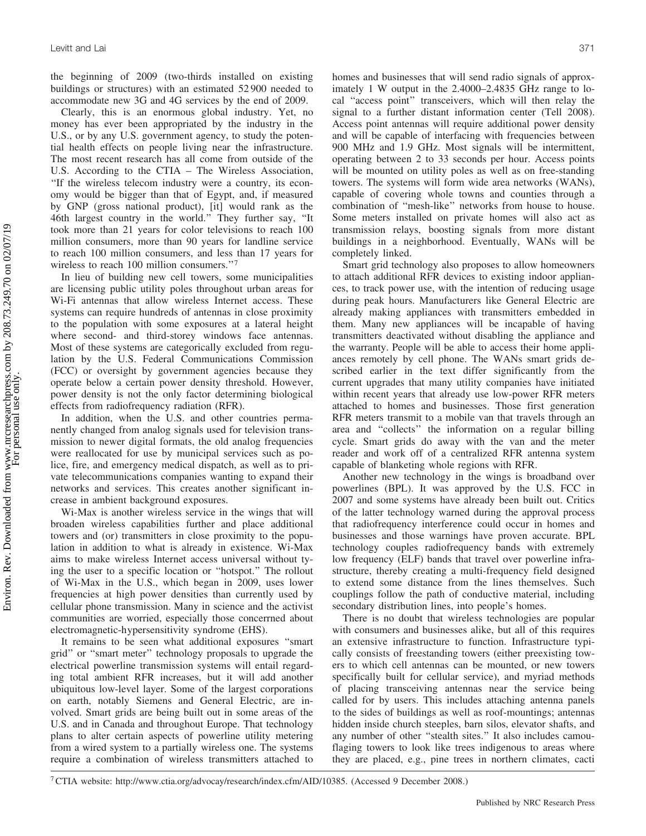the beginning of 2009 (two-thirds installed on existing buildings or structures) with an estimated 52 900 needed to accommodate new 3G and 4G services by the end of 2009.

Clearly, this is an enormous global industry. Yet, no money has ever been appropriated by the industry in the U.S., or by any U.S. government agency, to study the potential health effects on people living near the infrastructure. The most recent research has all come from outside of the U.S. According to the CTIA – The Wireless Association, ''If the wireless telecom industry were a country, its economy would be bigger than that of Egypt, and, if measured by GNP (gross national product), [it] would rank as the 46th largest country in the world.'' They further say, ''It took more than 21 years for color televisions to reach 100 million consumers, more than 90 years for landline service to reach 100 million consumers, and less than 17 years for wireless to reach 100 million consumers."<sup>7</sup>

In lieu of building new cell towers, some municipalities are licensing public utility poles throughout urban areas for Wi-Fi antennas that allow wireless Internet access. These systems can require hundreds of antennas in close proximity to the population with some exposures at a lateral height where second- and third-storey windows face antennas. Most of these systems are categorically excluded from regulation by the U.S. Federal Communications Commission (FCC) or oversight by government agencies because they operate below a certain power density threshold. However, power density is not the only factor determining biological effects from radiofrequency radiation (RFR).

In addition, when the U.S. and other countries permanently changed from analog signals used for television transmission to newer digital formats, the old analog frequencies were reallocated for use by municipal services such as police, fire, and emergency medical dispatch, as well as to private telecommunications companies wanting to expand their networks and services. This creates another significant increase in ambient background exposures.

Wi-Max is another wireless service in the wings that will broaden wireless capabilities further and place additional towers and (or) transmitters in close proximity to the population in addition to what is already in existence. Wi-Max aims to make wireless Internet access universal without tying the user to a specific location or ''hotspot.'' The rollout of Wi-Max in the U.S., which began in 2009, uses lower frequencies at high power densities than currently used by cellular phone transmission. Many in science and the activist communities are worried, especially those concerrned about electromagnetic-hypersensitivity syndrome (EHS).

It remains to be seen what additional exposures ''smart grid'' or ''smart meter'' technology proposals to upgrade the electrical powerline transmission systems will entail regarding total ambient RFR increases, but it will add another ubiquitous low-level layer. Some of the largest corporations on earth, notably Siemens and General Electric, are involved. Smart grids are being built out in some areas of the U.S. and in Canada and throughout Europe. That technology plans to alter certain aspects of powerline utility metering from a wired system to a partially wireless one. The systems require a combination of wireless transmitters attached to homes and businesses that will send radio signals of approximately 1 W output in the 2.4000–2.4835 GHz range to local ''access point'' transceivers, which will then relay the signal to a further distant information center (Tell 2008). Access point antennas will require additional power density and will be capable of interfacing with frequencies between 900 MHz and 1.9 GHz. Most signals will be intermittent, operating between 2 to 33 seconds per hour. Access points will be mounted on utility poles as well as on free-standing towers. The systems will form wide area networks (WANs), capable of covering whole towns and counties through a combination of ''mesh-like'' networks from house to house. Some meters installed on private homes will also act as transmission relays, boosting signals from more distant buildings in a neighborhood. Eventually, WANs will be completely linked.

Smart grid technology also proposes to allow homeowners to attach additional RFR devices to existing indoor appliances, to track power use, with the intention of reducing usage during peak hours. Manufacturers like General Electric are already making appliances with transmitters embedded in them. Many new appliances will be incapable of having transmitters deactivated without disabling the appliance and the warranty. People will be able to access their home appliances remotely by cell phone. The WANs smart grids described earlier in the text differ significantly from the current upgrades that many utility companies have initiated within recent years that already use low-power RFR meters attached to homes and businesses. Those first generation RFR meters transmit to a mobile van that travels through an area and ''collects'' the information on a regular billing cycle. Smart grids do away with the van and the meter reader and work off of a centralized RFR antenna system capable of blanketing whole regions with RFR.

Another new technology in the wings is broadband over powerlines (BPL). It was approved by the U.S. FCC in 2007 and some systems have already been built out. Critics of the latter technology warned during the approval process that radiofrequency interference could occur in homes and businesses and those warnings have proven accurate. BPL technology couples radiofrequency bands with extremely low frequency (ELF) bands that travel over powerline infrastructure, thereby creating a multi-frequency field designed to extend some distance from the lines themselves. Such couplings follow the path of conductive material, including secondary distribution lines, into people's homes.

There is no doubt that wireless technologies are popular with consumers and businesses alike, but all of this requires an extensive infrastructure to function. Infrastructure typically consists of freestanding towers (either preexisting towers to which cell antennas can be mounted, or new towers specifically built for cellular service), and myriad methods of placing transceiving antennas near the service being called for by users. This includes attaching antenna panels to the sides of buildings as well as roof-mountings; antennas hidden inside church steeples, barn silos, elevator shafts, and any number of other ''stealth sites.'' It also includes camouflaging towers to look like trees indigenous to areas where they are placed, e.g., pine trees in northern climates, cacti

<sup>7</sup>CTIA website: http://www.ctia.org/advocay/research/index.cfm/AID/10385. (Accessed 9 December 2008.)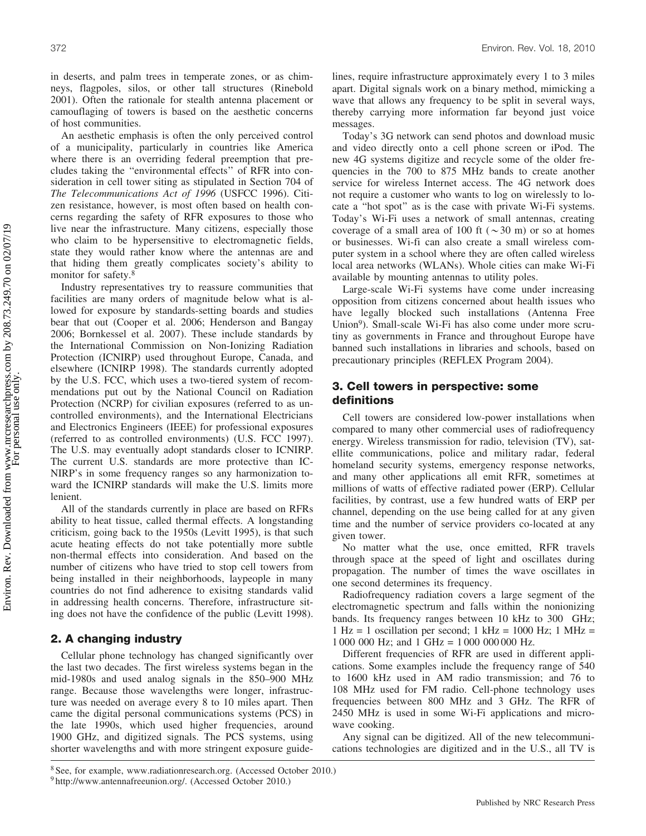in deserts, and palm trees in temperate zones, or as chimneys, flagpoles, silos, or other tall structures (Rinebold 2001). Often the rationale for stealth antenna placement or camouflaging of towers is based on the aesthetic concerns of host communities.

An aesthetic emphasis is often the only perceived control of a municipality, particularly in countries like America where there is an overriding federal preemption that precludes taking the ''environmental effects'' of RFR into consideration in cell tower siting as stipulated in Section 704 of *The Telecommunications Act of 1996* (USFCC 1996). Citizen resistance, however, is most often based on health concerns regarding the safety of RFR exposures to those who live near the infrastructure. Many citizens, especially those who claim to be hypersensitive to electromagnetic fields, state they would rather know where the antennas are and that hiding them greatly complicates society's ability to monitor for safety.<sup>8</sup>

Industry representatives try to reassure communities that facilities are many orders of magnitude below what is allowed for exposure by standards-setting boards and studies bear that out (Cooper et al. 2006; Henderson and Bangay 2006; Bornkessel et al. 2007). These include standards by the International Commission on Non-Ionizing Radiation Protection (ICNIRP) used throughout Europe, Canada, and elsewhere (ICNIRP 1998). The standards currently adopted by the U.S. FCC, which uses a two-tiered system of recommendations put out by the National Council on Radiation Protection (NCRP) for civilian exposures (referred to as uncontrolled environments), and the International Electricians and Electronics Engineers (IEEE) for professional exposures (referred to as controlled environments) (U.S. FCC 1997). The U.S. may eventually adopt standards closer to ICNIRP. The current U.S. standards are more protective than IC-NIRP's in some frequency ranges so any harmonization toward the ICNIRP standards will make the U.S. limits more lenient.

All of the standards currently in place are based on RFRs ability to heat tissue, called thermal effects. A longstanding criticism, going back to the 1950s (Levitt 1995), is that such acute heating effects do not take potentially more subtle non-thermal effects into consideration. And based on the number of citizens who have tried to stop cell towers from being installed in their neighborhoods, laypeople in many countries do not find adherence to exisitng standards valid in addressing health concerns. Therefore, infrastructure siting does not have the confidence of the public (Levitt 1998).

## **2. A changing industry**

Cellular phone technology has changed significantly over the last two decades. The first wireless systems began in the mid-1980s and used analog signals in the 850–900 MHz range. Because those wavelengths were longer, infrastructure was needed on average every 8 to 10 miles apart. Then came the digital personal communications systems (PCS) in the late 1990s, which used higher frequencies, around 1900 GHz, and digitized signals. The PCS systems, using shorter wavelengths and with more stringent exposure guidelines, require infrastructure approximately every 1 to 3 miles apart. Digital signals work on a binary method, mimicking a wave that allows any frequency to be split in several ways, thereby carrying more information far beyond just voice messages.

Today's 3G network can send photos and download music and video directly onto a cell phone screen or iPod. The new 4G systems digitize and recycle some of the older frequencies in the 700 to 875 MHz bands to create another service for wireless Internet access. The 4G network does not require a customer who wants to log on wirelessly to locate a ''hot spot'' as is the case with private Wi-Fi systems. Today's Wi-Fi uses a network of small antennas, creating coverage of a small area of 100 ft ( $\sim$ 30 m) or so at homes or businesses. Wi-fi can also create a small wireless computer system in a school where they are often called wireless local area networks (WLANs). Whole cities can make Wi-Fi available by mounting antennas to utility poles.

Large-scale Wi-Fi systems have come under increasing opposition from citizens concerned about health issues who have legally blocked such installations (Antenna Free Union<sup>9</sup>). Small-scale Wi-Fi has also come under more scrutiny as governments in France and throughout Europe have banned such installations in libraries and schools, based on precautionary principles (REFLEX Program 2004).

## **3. Cell towers in perspective: some definitions**

Cell towers are considered low-power installations when compared to many other commercial uses of radiofrequency energy. Wireless transmission for radio, television (TV), satellite communications, police and military radar, federal homeland security systems, emergency response networks, and many other applications all emit RFR, sometimes at millions of watts of effective radiated power (ERP). Cellular facilities, by contrast, use a few hundred watts of ERP per channel, depending on the use being called for at any given time and the number of service providers co-located at any given tower.

No matter what the use, once emitted, RFR travels through space at the speed of light and oscillates during propagation. The number of times the wave oscillates in one second determines its frequency.

Radiofrequency radiation covers a large segment of the electromagnetic spectrum and falls within the nonionizing bands. Its frequency ranges between 10 kHz to 300 GHz; 1 Hz = 1 oscillation per second; 1 kHz =  $1000$  Hz; 1 MHz = 1 000 000 Hz; and 1 GHz = 1 000 000 000 Hz.

Different frequencies of RFR are used in different applications. Some examples include the frequency range of 540 to 1600 kHz used in AM radio transmission; and 76 to 108 MHz used for FM radio. Cell-phone technology uses frequencies between 800 MHz and 3 GHz. The RFR of 2450 MHz is used in some Wi-Fi applications and microwave cooking.

Any signal can be digitized. All of the new telecommunications technologies are digitized and in the U.S., all TV is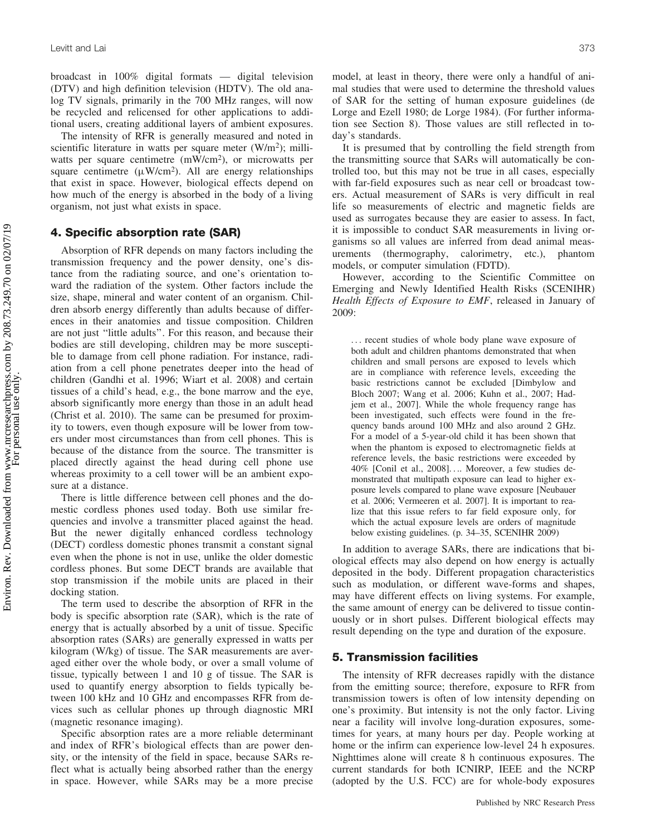broadcast in 100% digital formats — digital television (DTV) and high definition television (HDTV). The old analog TV signals, primarily in the 700 MHz ranges, will now be recycled and relicensed for other applications to additional users, creating additional layers of ambient exposures.

The intensity of RFR is generally measured and noted in scientific literature in watts per square meter  $(W/m<sup>2</sup>)$ ; milliwatts per square centimetre (mW/cm<sup>2</sup>), or microwatts per square centimetre ( $\mu$ W/cm<sup>2</sup>). All are energy relationships that exist in space. However, biological effects depend on how much of the energy is absorbed in the body of a living organism, not just what exists in space.

#### **4. Specific absorption rate (SAR)**

Absorption of RFR depends on many factors including the transmission frequency and the power density, one's distance from the radiating source, and one's orientation toward the radiation of the system. Other factors include the size, shape, mineral and water content of an organism. Children absorb energy differently than adults because of differences in their anatomies and tissue composition. Children are not just ''little adults''. For this reason, and because their bodies are still developing, children may be more susceptible to damage from cell phone radiation. For instance, radiation from a cell phone penetrates deeper into the head of children (Gandhi et al. 1996; Wiart et al. 2008) and certain tissues of a child's head, e.g., the bone marrow and the eye, absorb significantly more energy than those in an adult head (Christ et al. 2010). The same can be presumed for proximity to towers, even though exposure will be lower from towers under most circumstances than from cell phones. This is because of the distance from the source. The transmitter is placed directly against the head during cell phone use whereas proximity to a cell tower will be an ambient exposure at a distance.

There is little difference between cell phones and the domestic cordless phones used today. Both use similar frequencies and involve a transmitter placed against the head. But the newer digitally enhanced cordless technology (DECT) cordless domestic phones transmit a constant signal even when the phone is not in use, unlike the older domestic cordless phones. But some DECT brands are available that stop transmission if the mobile units are placed in their docking station.

The term used to describe the absorption of RFR in the body is specific absorption rate (SAR), which is the rate of energy that is actually absorbed by a unit of tissue. Specific absorption rates (SARs) are generally expressed in watts per kilogram (W/kg) of tissue. The SAR measurements are averaged either over the whole body, or over a small volume of tissue, typically between 1 and 10 g of tissue. The SAR is used to quantify energy absorption to fields typically between 100 kHz and 10 GHz and encompasses RFR from devices such as cellular phones up through diagnostic MRI (magnetic resonance imaging).

Specific absorption rates are a more reliable determinant and index of RFR's biological effects than are power density, or the intensity of the field in space, because SARs reflect what is actually being absorbed rather than the energy in space. However, while SARs may be a more precise model, at least in theory, there were only a handful of animal studies that were used to determine the threshold values of SAR for the setting of human exposure guidelines (de Lorge and Ezell 1980; de Lorge 1984). (For further information see Section 8). Those values are still reflected in today's standards.

It is presumed that by controlling the field strength from the transmitting source that SARs will automatically be controlled too, but this may not be true in all cases, especially with far-field exposures such as near cell or broadcast towers. Actual measurement of SARs is very difficult in real life so measurements of electric and magnetic fields are used as surrogates because they are easier to assess. In fact, it is impossible to conduct SAR measurements in living organisms so all values are inferred from dead animal measurements (thermography, calorimetry, etc.), phantom models, or computer simulation (FDTD).

However, according to the Scientific Committee on Emerging and Newly Identified Health Risks (SCENIHR) *Health Effects of Exposure to EMF*, released in January of 2009:

... recent studies of whole body plane wave exposure of both adult and children phantoms demonstrated that when children and small persons are exposed to levels which are in compliance with reference levels, exceeding the basic restrictions cannot be excluded [Dimbylow and Bloch 2007; Wang et al. 2006; Kuhn et al., 2007; Hadjem et al., 2007]. While the whole frequency range has been investigated, such effects were found in the frequency bands around 100 MHz and also around 2 GHz. For a model of a 5-year-old child it has been shown that when the phantom is exposed to electromagnetic fields at reference levels, the basic restrictions were exceeded by 40% [Conil et al., 2008].... Moreover, a few studies demonstrated that multipath exposure can lead to higher exposure levels compared to plane wave exposure [Neubauer et al. 2006; Vermeeren et al. 2007]. It is important to realize that this issue refers to far field exposure only, for which the actual exposure levels are orders of magnitude below existing guidelines. (p. 34–35, SCENIHR 2009)

In addition to average SARs, there are indications that biological effects may also depend on how energy is actually deposited in the body. Different propagation characteristics such as modulation, or different wave-forms and shapes, may have different effects on living systems. For example, the same amount of energy can be delivered to tissue continuously or in short pulses. Different biological effects may result depending on the type and duration of the exposure.

#### **5. Transmission facilities**

The intensity of RFR decreases rapidly with the distance from the emitting source; therefore, exposure to RFR from transmission towers is often of low intensity depending on one's proximity. But intensity is not the only factor. Living near a facility will involve long-duration exposures, sometimes for years, at many hours per day. People working at home or the infirm can experience low-level 24 h exposures. Nighttimes alone will create 8 h continuous exposures. The current standards for both ICNIRP, IEEE and the NCRP (adopted by the U.S. FCC) are for whole-body exposures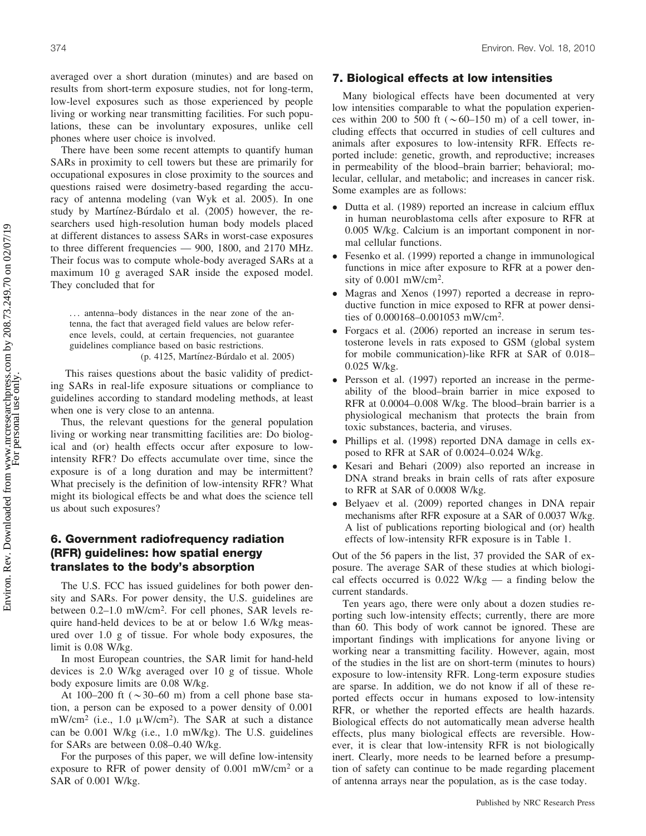averaged over a short duration (minutes) and are based on results from short-term exposure studies, not for long-term, low-level exposures such as those experienced by people living or working near transmitting facilities. For such populations, these can be involuntary exposures, unlike cell phones where user choice is involved.

There have been some recent attempts to quantify human SARs in proximity to cell towers but these are primarily for occupational exposures in close proximity to the sources and questions raised were dosimetry-based regarding the accuracy of antenna modeling (van Wyk et al. 2005). In one study by Martínez-Búrdalo et al. (2005) however, the researchers used high-resolution human body models placed at different distances to assess SARs in worst-case exposures to three different frequencies — 900, 1800, and 2170 MHz. Their focus was to compute whole-body averaged SARs at a maximum 10 g averaged SAR inside the exposed model. They concluded that for

... antenna–body distances in the near zone of the antenna, the fact that averaged field values are below reference levels, could, at certain frequencies, not guarantee guidelines compliance based on basic restrictions.  $(p. 4125, Martínez-Búrdalo et al. 2005)$ 

This raises questions about the basic validity of predicting SARs in real-life exposure situations or compliance to guidelines according to standard modeling methods, at least when one is very close to an antenna.

Thus, the relevant questions for the general population living or working near transmitting facilities are: Do biological and (or) health effects occur after exposure to lowintensity RFR? Do effects accumulate over time, since the exposure is of a long duration and may be intermittent? What precisely is the definition of low-intensity RFR? What might its biological effects be and what does the science tell us about such exposures?

## **6. Government radiofrequency radiation (RFR) guidelines: how spatial energy translates to the body's absorption**

The U.S. FCC has issued guidelines for both power density and SARs. For power density, the U.S. guidelines are between 0.2–1.0 mW/cm2. For cell phones, SAR levels require hand-held devices to be at or below 1.6 W/kg measured over 1.0 g of tissue. For whole body exposures, the limit is 0.08 W/kg.

In most European countries, the SAR limit for hand-held devices is 2.0 W/kg averaged over 10 g of tissue. Whole body exposure limits are 0.08 W/kg.

At 100–200 ft ( $\sim$ 30–60 m) from a cell phone base station, a person can be exposed to a power density of 0.001 mW/cm<sup>2</sup> (i.e., 1.0  $\mu$ W/cm<sup>2</sup>). The SAR at such a distance can be 0.001 W/kg (i.e., 1.0 mW/kg). The U.S. guidelines for SARs are between 0.08–0.40 W/kg.

For the purposes of this paper, we will define low-intensity exposure to RFR of power density of 0.001 mW/cm2 or a SAR of 0.001 W/kg.

#### **7. Biological effects at low intensities**

Many biological effects have been documented at very low intensities comparable to what the population experiences within 200 to 500 ft ( $\sim$  60–150 m) of a cell tower, including effects that occurred in studies of cell cultures and animals after exposures to low-intensity RFR. Effects reported include: genetic, growth, and reproductive; increases in permeability of the blood–brain barrier; behavioral; molecular, cellular, and metabolic; and increases in cancer risk. Some examples are as follows:

- Dutta et al. (1989) reported an increase in calcium efflux in human neuroblastoma cells after exposure to RFR at 0.005 W/kg. Calcium is an important component in normal cellular functions.
- $\bullet$  Fesenko et al. (1999) reported a change in immunological functions in mice after exposure to RFR at a power density of 0.001 mW/cm2.
- Magras and Xenos (1997) reported a decrease in reproductive function in mice exposed to RFR at power densities of 0.000168–0.001053 mW/cm2.
- $\bullet$  Forgacs et al. (2006) reported an increase in serum testosterone levels in rats exposed to GSM (global system for mobile communication)-like RFR at SAR of 0.018– 0.025 W/kg.
- Persson et al. (1997) reported an increase in the permeability of the blood–brain barrier in mice exposed to RFR at 0.0004–0.008 W/kg. The blood–brain barrier is a physiological mechanism that protects the brain from toxic substances, bacteria, and viruses.
- $\bullet$  Phillips et al. (1998) reported DNA damage in cells exposed to RFR at SAR of 0.0024–0.024 W/kg.
- $\bullet$  Kesari and Behari (2009) also reported an increase in DNA strand breaks in brain cells of rats after exposure to RFR at SAR of 0.0008 W/kg.
- Belyaev et al. (2009) reported changes in DNA repair mechanisms after RFR exposure at a SAR of 0.0037 W/kg. A list of publications reporting biological and (or) health effects of low-intensity RFR exposure is in Table 1.

Out of the 56 papers in the list, 37 provided the SAR of exposure. The average SAR of these studies at which biological effects occurred is  $0.022$  W/kg  $-$  a finding below the current standards.

Ten years ago, there were only about a dozen studies reporting such low-intensity effects; currently, there are more than 60. This body of work cannot be ignored. These are important findings with implications for anyone living or working near a transmitting facility. However, again, most of the studies in the list are on short-term (minutes to hours) exposure to low-intensity RFR. Long-term exposure studies are sparse. In addition, we do not know if all of these reported effects occur in humans exposed to low-intensity RFR, or whether the reported effects are health hazards. Biological effects do not automatically mean adverse health effects, plus many biological effects are reversible. However, it is clear that low-intensity RFR is not biologically inert. Clearly, more needs to be learned before a presumption of safety can continue to be made regarding placement of antenna arrays near the population, as is the case today.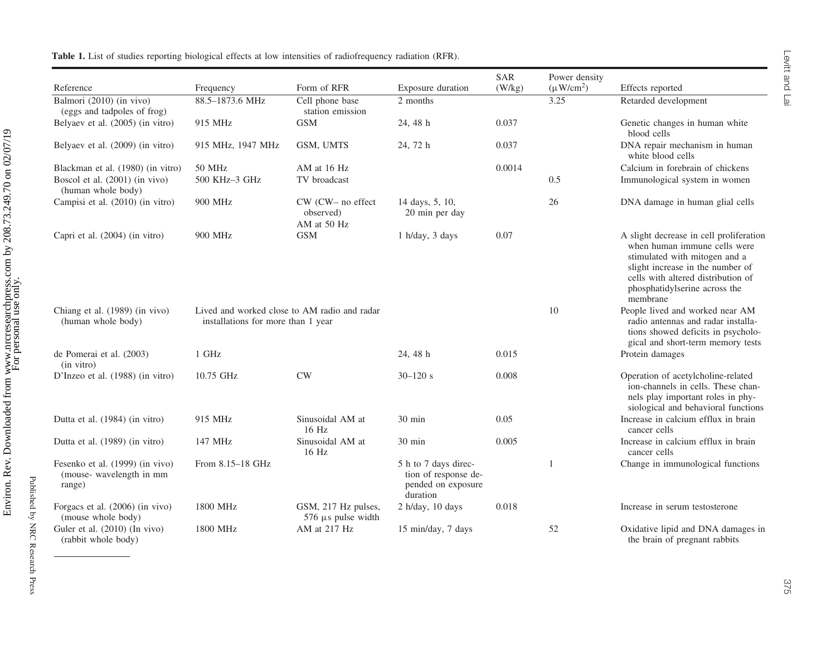| Reference                                                            | Frequency                          | Form of RFR                                    | Exposure duration                                                              | <b>SAR</b><br>(W/kg) | Power density<br>$(\mu W/cm^2)$ | Effects reported                                                                                                                                                                                                                |
|----------------------------------------------------------------------|------------------------------------|------------------------------------------------|--------------------------------------------------------------------------------|----------------------|---------------------------------|---------------------------------------------------------------------------------------------------------------------------------------------------------------------------------------------------------------------------------|
| Balmori (2010) (in vivo)<br>(eggs and tadpoles of frog)              | 88.5-1873.6 MHz                    | Cell phone base<br>station emission            | 2 months                                                                       |                      | 3.25                            | Retarded development                                                                                                                                                                                                            |
| Belyaev et al. (2005) (in vitro)                                     | 915 MHz                            | <b>GSM</b>                                     | 24, 48 h                                                                       | 0.037                |                                 | Genetic changes in human white<br>blood cells                                                                                                                                                                                   |
| Belyaev et al. (2009) (in vitro)                                     | 915 MHz, 1947 MHz                  | GSM, UMTS                                      | 24, 72 h                                                                       | 0.037                |                                 | DNA repair mechanism in human<br>white blood cells                                                                                                                                                                              |
| Blackman et al. (1980) (in vitro)                                    | 50 MHz                             | AM at 16 Hz                                    |                                                                                | 0.0014               |                                 | Calcium in forebrain of chickens                                                                                                                                                                                                |
| Boscol et al. (2001) (in vivo)<br>(human whole body)                 | 500 KHz-3 GHz                      | TV broadcast                                   |                                                                                |                      | 0.5                             | Immunological system in women                                                                                                                                                                                                   |
| Campisi et al. (2010) (in vitro)                                     | 900 MHz                            | CW (CW- no effect<br>observed)<br>AM at 50 Hz  | 14 days, 5, 10,<br>20 min per day                                              |                      | 26                              | DNA damage in human glial cells                                                                                                                                                                                                 |
| Capri et al. (2004) (in vitro)                                       | 900 MHz                            | <b>GSM</b>                                     | 1 h/day, 3 days                                                                | 0.07                 |                                 | A slight decrease in cell proliferation<br>when human immune cells were<br>stimulated with mitogen and a<br>slight increase in the number of<br>cells with altered distribution of<br>phosphatidylserine across the<br>membrane |
| Chiang et al. (1989) (in vivo)<br>(human whole body)                 | installations for more than 1 year | Lived and worked close to AM radio and radar   |                                                                                |                      | 10                              | People lived and worked near AM<br>radio antennas and radar installa-<br>tions showed deficits in psycholo-<br>gical and short-term memory tests                                                                                |
| de Pomerai et al. (2003)<br>(in vitro)                               | 1 GHz                              |                                                | 24, 48 h                                                                       | 0.015                |                                 | Protein damages                                                                                                                                                                                                                 |
| D'Inzeo et al. (1988) (in vitro)                                     | 10.75 GHz                          | CW                                             | $30 - 120$ s                                                                   | 0.008                |                                 | Operation of acetylcholine-related<br>ion-channels in cells. These chan-<br>nels play important roles in phy-<br>siological and behavioral functions                                                                            |
| Dutta et al. (1984) (in vitro)                                       | 915 MHz                            | Sinusoidal AM at<br>16 Hz                      | $30 \text{ min}$                                                               | 0.05                 |                                 | Increase in calcium efflux in brain<br>cancer cells                                                                                                                                                                             |
| Dutta et al. (1989) (in vitro)                                       | 147 MHz                            | Sinusoidal AM at<br>16 Hz                      | $30 \text{ min}$                                                               | 0.005                |                                 | Increase in calcium efflux in brain<br>cancer cells                                                                                                                                                                             |
| Fesenko et al. (1999) (in vivo)<br>(mouse-wavelength in mm<br>range) | From 8.15-18 GHz                   |                                                | 5 h to 7 days direc-<br>tion of response de-<br>pended on exposure<br>duration |                      | $\mathbf{1}$                    | Change in immunological functions                                                                                                                                                                                               |
| Forgacs et al. (2006) (in vivo)<br>(mouse whole body)                | 1800 MHz                           | GSM, 217 Hz pulses,<br>$576 \mu s$ pulse width | $2$ h/day, $10$ days                                                           | 0.018                |                                 | Increase in serum testosterone                                                                                                                                                                                                  |
| Guler et al. (2010) (In vivo)<br>(rabbit whole body)                 | 1800 MHz                           | AM at 217 Hz                                   | 15 min/day, 7 days                                                             |                      | 52                              | Oxidative lipid and DNA damages in<br>the brain of pregnant rabbits                                                                                                                                                             |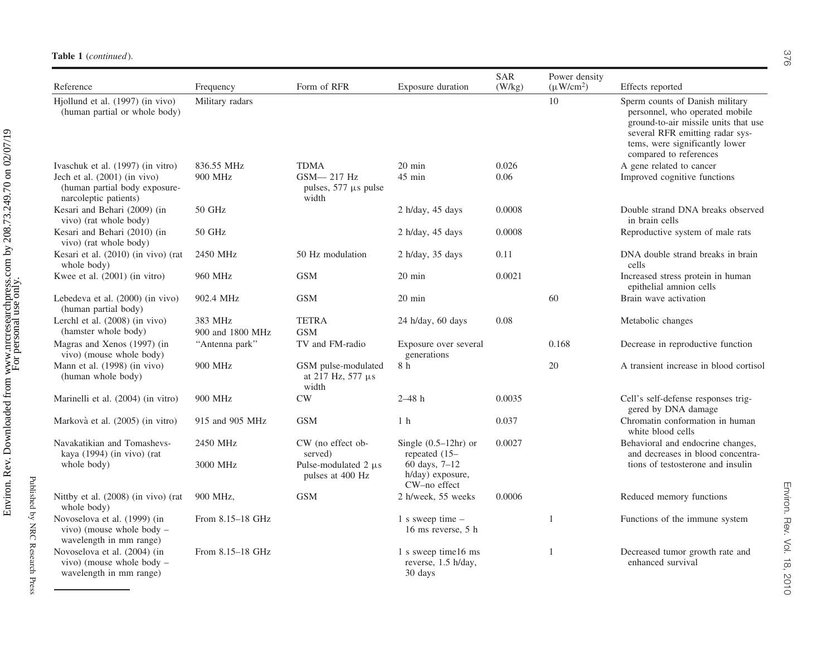|  | Table 1 (continued). |
|--|----------------------|
|--|----------------------|

| Reference                                                                              | Frequency                   | Form of RFR                                       | Exposure duration                                     | <b>SAR</b><br>(W/kg) | Power density<br>$(\mu W/cm^2)$ | Effects reported                                                                                                                                                                                         |
|----------------------------------------------------------------------------------------|-----------------------------|---------------------------------------------------|-------------------------------------------------------|----------------------|---------------------------------|----------------------------------------------------------------------------------------------------------------------------------------------------------------------------------------------------------|
| Hjollund et al. (1997) (in vivo)<br>(human partial or whole body)                      | Military radars             |                                                   |                                                       |                      | 10                              | Sperm counts of Danish military<br>personnel, who operated mobile<br>ground-to-air missile units that use<br>several RFR emitting radar sys-<br>tems, were significantly lower<br>compared to references |
| Ivaschuk et al. (1997) (in vitro)                                                      | 836.55 MHz                  | <b>TDMA</b>                                       | $20 \text{ min}$                                      | 0.026                |                                 | A gene related to cancer                                                                                                                                                                                 |
| Jech et al. (2001) (in vivo)<br>(human partial body exposure-<br>narcoleptic patients) | 900 MHz                     | GSM-217 Hz<br>pulses, 577 µs pulse<br>width       | $45$ min                                              | 0.06                 |                                 | Improved cognitive functions                                                                                                                                                                             |
| Kesari and Behari (2009) (in<br>vivo) (rat whole body)                                 | 50 GHz                      |                                                   | $2$ h/day, $45$ days                                  | 0.0008               |                                 | Double strand DNA breaks observed<br>in brain cells                                                                                                                                                      |
| Kesari and Behari (2010) (in<br>vivo) (rat whole body)                                 | 50 GHz                      |                                                   | $2$ h/day, $45$ days                                  | 0.0008               |                                 | Reproductive system of male rats                                                                                                                                                                         |
| Kesari et al. (2010) (in vivo) (rat<br>whole body)                                     | 2450 MHz                    | 50 Hz modulation                                  | 2 h/day, 35 days                                      | 0.11                 |                                 | DNA double strand breaks in brain<br>cells                                                                                                                                                               |
| Kwee et al. (2001) (in vitro)                                                          | 960 MHz                     | <b>GSM</b>                                        | $20 \text{ min}$                                      | 0.0021               |                                 | Increased stress protein in human<br>epithelial amnion cells                                                                                                                                             |
| Lebedeva et al. (2000) (in vivo)<br>(human partial body)                               | 902.4 MHz                   | <b>GSM</b>                                        | 20 min                                                |                      | 60                              | Brain wave activation                                                                                                                                                                                    |
| Lerchl et al. (2008) (in vivo)<br>(hamster whole body)                                 | 383 MHz<br>900 and 1800 MHz | <b>TETRA</b><br><b>GSM</b>                        | 24 h/day, 60 days                                     | 0.08                 |                                 | Metabolic changes                                                                                                                                                                                        |
| Magras and Xenos (1997) (in<br>vivo) (mouse whole body)                                | "Antenna park"              | TV and FM-radio                                   | Exposure over several<br>generations                  |                      | 0.168                           | Decrease in reproductive function                                                                                                                                                                        |
| Mann et al. (1998) (in vivo)<br>(human whole body)                                     | 900 MHz                     | GSM pulse-modulated<br>at 217 Hz, 577 µs<br>width | 8 h                                                   |                      | 20                              | A transient increase in blood cortisol                                                                                                                                                                   |
| Marinelli et al. (2004) (in vitro)                                                     | 900 MHz                     | CW                                                | $2 - 48$ h                                            | 0.0035               |                                 | Cell's self-defense responses trig-<br>gered by DNA damage                                                                                                                                               |
| Markovà et al. (2005) (in vitro)                                                       | 915 and 905 MHz             | <b>GSM</b>                                        | 1 <sub>h</sub>                                        | 0.037                |                                 | Chromatin conformation in human<br>white blood cells                                                                                                                                                     |
| Navakatikian and Tomashevs-<br>kaya (1994) (in vivo) (rat                              | 2450 MHz                    | CW (no effect ob-<br>served)                      | Single $(0.5-12hr)$ or<br>repeated (15-               | 0.0027               |                                 | Behavioral and endocrine changes,<br>and decreases in blood concentra-                                                                                                                                   |
| whole body)                                                                            | 3000 MHz                    | Pulse-modulated $2 \mu s$<br>pulses at 400 Hz     | $60$ days, $7-12$<br>h/day) exposure,<br>CW-no effect |                      |                                 | tions of testosterone and insulin                                                                                                                                                                        |
| Nittby et al. (2008) (in vivo) (rat<br>whole body)                                     | 900 MHz,                    | <b>GSM</b>                                        | 2 h/week, 55 weeks                                    | 0.0006               |                                 | Reduced memory functions                                                                                                                                                                                 |
| Novoselova et al. (1999) (in<br>vivo) (mouse whole body $-$<br>wavelength in mm range) | From 8.15-18 GHz            |                                                   | 1 s sweep time -<br>16 ms reverse, 5 h                |                      |                                 | Functions of the immune system                                                                                                                                                                           |
| Novoselova et al. (2004) (in<br>vivo) (mouse whole body -<br>wavelength in mm range)   | From 8.15-18 GHz            |                                                   | 1 s sweep time16 ms<br>reverse, 1.5 h/day,<br>30 days |                      | $\mathbf{1}$                    | Decreased tumor growth rate and<br>enhanced survival                                                                                                                                                     |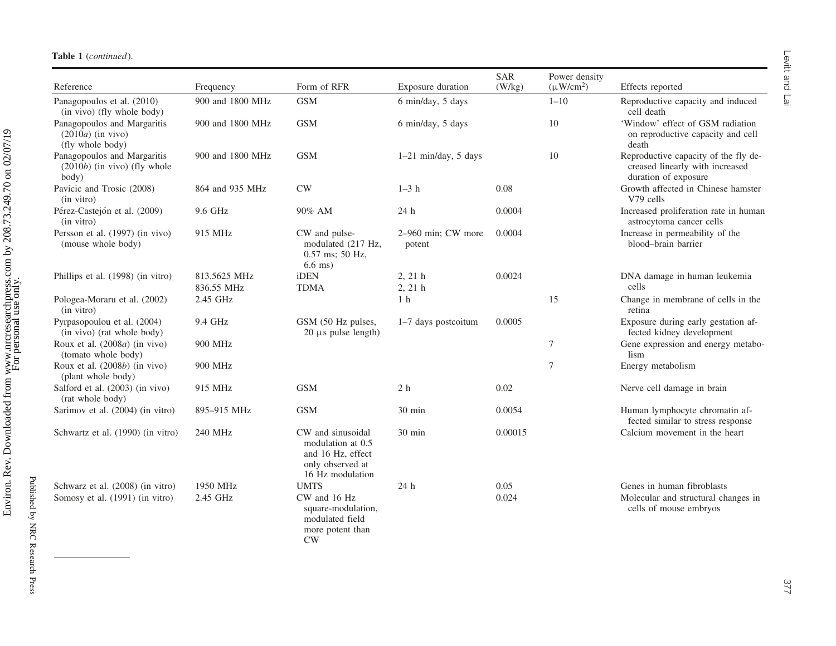| Reference                                                              | Frequency                  | Form of RFR                                                                                         | Exposure duration            | <b>SAR</b><br>(W/kg) | Power density<br>$(\mu W/cm^2)$ | Effects reported                                                                                |
|------------------------------------------------------------------------|----------------------------|-----------------------------------------------------------------------------------------------------|------------------------------|----------------------|---------------------------------|-------------------------------------------------------------------------------------------------|
| Panagopoulos et al. (2010)<br>(in vivo) (fly whole body)               | 900 and 1800 MHz           | <b>GSM</b>                                                                                          | 6 min/day, 5 days            |                      | $1 - 10$                        | Reproductive capacity and induced<br>cell death                                                 |
| Panagopoulos and Margaritis<br>$(2010a)$ (in vivo)<br>(fly whole body) | 900 and 1800 MHz           | <b>GSM</b>                                                                                          | 6 min/day, 5 days            |                      | 10                              | 'Window' effect of GSM radiation<br>on reproductive capacity and cell<br>death                  |
| Panagopoulos and Margaritis<br>$(2010b)$ (in vivo) (fly whole<br>body) | 900 and 1800 MHz           | <b>GSM</b>                                                                                          | $1-21$ min/day, 5 days       |                      | 10                              | Reproductive capacity of the fly de-<br>creased linearly with increased<br>duration of exposure |
| Pavicic and Trosic (2008)<br>(in vitro)                                | 864 and 935 MHz            | <b>CW</b>                                                                                           | $1-3$ h                      | 0.08                 |                                 | Growth affected in Chinese hamster<br>V79 cells                                                 |
| Pérez-Castejón et al. (2009)<br>(in vitro)                             | 9.6 GHz                    | 90% AM                                                                                              | 24 h                         | 0.0004               |                                 | Increased proliferation rate in human<br>astrocytoma cancer cells                               |
| Persson et al. (1997) (in vivo)<br>(mouse whole body)                  | 915 MHz                    | CW and pulse-<br>modulated (217 Hz,<br>$0.57$ ms; 50 Hz,<br>$6.6$ ms)                               | 2-960 min; CW more<br>potent | 0.0004               |                                 | Increase in permeability of the<br>blood-brain barrier                                          |
| Phillips et al. (1998) (in vitro)                                      | 813.5625 MHz<br>836.55 MHz | iDEN<br><b>TDMA</b>                                                                                 | 2, 21 h<br>2, 21 h           | 0.0024               |                                 | DNA damage in human leukemia<br>cells                                                           |
| Pologea-Moraru et al. (2002)<br>(in vitro)                             | 2.45 GHz                   |                                                                                                     | 1 <sub>h</sub>               |                      | 15                              | Change in membrane of cells in the<br>retina                                                    |
| Pyrpasopoulou et al. (2004)<br>(in vivo) (rat whole body)              | 9.4 GHz                    | GSM (50 Hz pulses,<br>$20 \mu s$ pulse length)                                                      | 1-7 days postcoitum          | 0.0005               |                                 | Exposure during early gestation af-<br>fected kidney development                                |
| Roux et al. $(2008a)$ (in vivo)<br>(tomato whole body)                 | 900 MHz                    |                                                                                                     |                              |                      | $\tau$                          | Gene expression and energy metabo-<br>lism                                                      |
| Roux et al. (2008b) (in vivo)<br>(plant whole body)                    | 900 MHz                    |                                                                                                     |                              |                      | 7                               | Energy metabolism                                                                               |
| Salford et al. (2003) (in vivo)<br>(rat whole body)                    | 915 MHz                    | <b>GSM</b>                                                                                          | 2 <sub>h</sub>               | 0.02                 |                                 | Nerve cell damage in brain                                                                      |
| Sarimov et al. (2004) (in vitro)                                       | 895-915 MHz                | <b>GSM</b>                                                                                          | $30 \text{ min}$             | 0.0054               |                                 | Human lymphocyte chromatin af-<br>fected similar to stress response                             |
| Schwartz et al. (1990) (in vitro)                                      | 240 MHz                    | CW and sinusoidal<br>modulation at 0.5<br>and 16 Hz, effect<br>only observed at<br>16 Hz modulation | $30 \text{ min}$             | 0.00015              |                                 | Calcium movement in the heart                                                                   |
| Schwarz et al. (2008) (in vitro)                                       | 1950 MHz                   | <b>UMTS</b>                                                                                         | 24h                          | 0.05                 |                                 | Genes in human fibroblasts                                                                      |
| Somosy et al. (1991) (in vitro)                                        | 2.45 GHz                   | CW and 16 Hz<br>square-modulation,<br>modulated field<br>more potent than<br>CW                     |                              | 0.024                |                                 | Molecular and structural changes in<br>cells of mouse embryos                                   |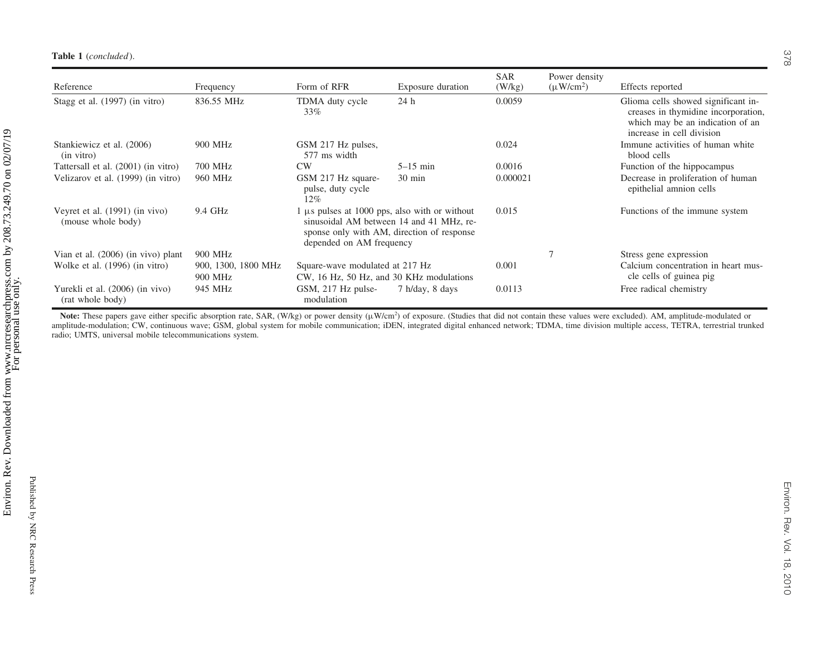**Table 1** (*concluded*).

| Reference                                            | Frequency                      | Form of RFR                                                                   | Exposure duration                                                                      | <b>SAR</b><br>(W/kg) | Power density<br>$(\mu W/cm^2)$ | Effects reported                                                                                                                            |
|------------------------------------------------------|--------------------------------|-------------------------------------------------------------------------------|----------------------------------------------------------------------------------------|----------------------|---------------------------------|---------------------------------------------------------------------------------------------------------------------------------------------|
| Stagg et al. (1997) (in vitro)                       | 836.55 MHz                     | TDMA duty cycle<br>33%                                                        | 24h                                                                                    | 0.0059               |                                 | Glioma cells showed significant in-<br>creases in thymidine incorporation,<br>which may be an indication of an<br>increase in cell division |
| Stankiewicz et al. (2006)<br>(in vitro)              | 900 MHz                        | GSM 217 Hz pulses,<br>577 ms width                                            |                                                                                        | 0.024                |                                 | Immune activities of human white<br>blood cells                                                                                             |
| Tattersall et al. (2001) (in vitro)                  | 700 MHz                        | CW                                                                            | $5-15$ min                                                                             | 0.0016               |                                 | Function of the hippocampus                                                                                                                 |
| Velizarov et al. (1999) (in vitro)                   | 960 MHz                        | GSM 217 Hz square-<br>pulse, duty cycle<br>$12\%$                             | $30 \text{ min}$                                                                       | 0.000021             |                                 | Decrease in proliferation of human<br>epithelial amnion cells                                                                               |
| Veyret et al. (1991) (in vivo)<br>(mouse whole body) | 9.4 GHz                        | $\mu$ us pulses at 1000 pps, also with or without<br>depended on AM frequency | sinusoidal AM between 14 and 41 MHz, re-<br>sponse only with AM, direction of response | 0.015                |                                 | Functions of the immune system                                                                                                              |
| Vian et al. $(2006)$ (in vivo) plant                 | 900 MHz                        |                                                                               |                                                                                        |                      |                                 | Stress gene expression                                                                                                                      |
| Wolke et al. (1996) (in vitro)                       | 900, 1300, 1800 MHz<br>900 MHz | Square-wave modulated at 217 Hz<br>CW, 16 Hz, 50 Hz, and 30 KHz modulations   |                                                                                        | 0.001                |                                 | Calcium concentration in heart mus-<br>cle cells of guinea pig                                                                              |
| Yurekli et al. (2006) (in vivo)<br>(rat whole body)  | 945 MHz                        | GSM, 217 Hz pulse-<br>modulation                                              | 7 h/day, 8 days                                                                        | 0.0113               |                                 | Free radical chemistry                                                                                                                      |

Note: These papers gave either specific absorption rate, SAR,  $(W/kg)$  or power density  $(\mu W/cm^2)$  of exposure. (Studies that did not contain these values were excluded). AM, amplitude-modulated or amplitude-modulation; CW, continuous wave; GSM, global system for mobile communication; iDEN, integrated digital enhanced network; TDMA, time division multiple access, TETRA, terrestrial trunked radio; UMTS, universal mobile telecommunications system.

Published by NRC Research Press

Published by NRC Research Press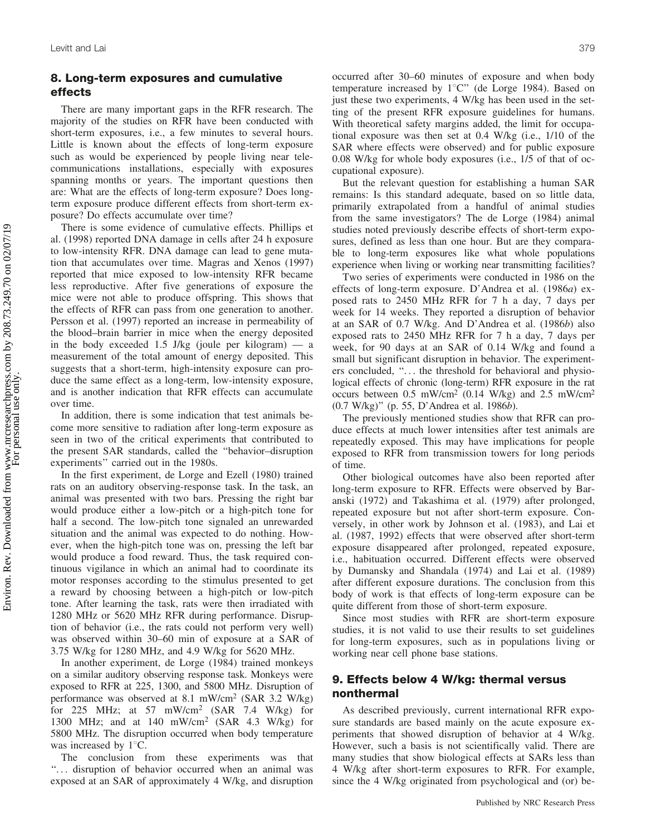### **8. Long-term exposures and cumulative effects**

There are many important gaps in the RFR research. The majority of the studies on RFR have been conducted with short-term exposures, i.e., a few minutes to several hours. Little is known about the effects of long-term exposure such as would be experienced by people living near telecommunications installations, especially with exposures spanning months or years. The important questions then are: What are the effects of long-term exposure? Does longterm exposure produce different effects from short-term exposure? Do effects accumulate over time?

There is some evidence of cumulative effects. Phillips et al. (1998) reported DNA damage in cells after 24 h exposure to low-intensity RFR. DNA damage can lead to gene mutation that accumulates over time. Magras and Xenos (1997) reported that mice exposed to low-intensity RFR became less reproductive. After five generations of exposure the mice were not able to produce offspring. This shows that the effects of RFR can pass from one generation to another. Persson et al. (1997) reported an increase in permeability of the blood–brain barrier in mice when the energy deposited in the body exceeded 1.5 J/kg (joule per kilogram)  $-$  a measurement of the total amount of energy deposited. This suggests that a short-term, high-intensity exposure can produce the same effect as a long-term, low-intensity exposure, and is another indication that RFR effects can accumulate over time.

In addition, there is some indication that test animals become more sensitive to radiation after long-term exposure as seen in two of the critical experiments that contributed to the present SAR standards, called the ''behavior–disruption experiments'' carried out in the 1980s.

In the first experiment, de Lorge and Ezell (1980) trained rats on an auditory observing-response task. In the task, an animal was presented with two bars. Pressing the right bar would produce either a low-pitch or a high-pitch tone for half a second. The low-pitch tone signaled an unrewarded situation and the animal was expected to do nothing. However, when the high-pitch tone was on, pressing the left bar would produce a food reward. Thus, the task required continuous vigilance in which an animal had to coordinate its motor responses according to the stimulus presented to get a reward by choosing between a high-pitch or low-pitch tone. After learning the task, rats were then irradiated with 1280 MHz or 5620 MHz RFR during performance. Disruption of behavior (i.e., the rats could not perform very well) was observed within 30–60 min of exposure at a SAR of 3.75 W/kg for 1280 MHz, and 4.9 W/kg for 5620 MHz.

In another experiment, de Lorge (1984) trained monkeys on a similar auditory observing response task. Monkeys were exposed to RFR at 225, 1300, and 5800 MHz. Disruption of performance was observed at 8.1 mW/cm2 (SAR 3.2 W/kg) for 225 MHz; at 57 mW/cm2 (SAR 7.4 W/kg) for 1300 MHz; and at 140 mW/cm2 (SAR 4.3 W/kg) for 5800 MHz. The disruption occurred when body temperature was increased by  $1^{\circ}$ C.

The conclusion from these experiments was that ''... disruption of behavior occurred when an animal was exposed at an SAR of approximately 4 W/kg, and disruption occurred after 30–60 minutes of exposure and when body temperature increased by  $1^{\circ}$ C" (de Lorge 1984). Based on just these two experiments, 4 W/kg has been used in the setting of the present RFR exposure guidelines for humans. With theoretical safety margins added, the limit for occupational exposure was then set at 0.4 W/kg (i.e., 1/10 of the SAR where effects were observed) and for public exposure 0.08 W/kg for whole body exposures (i.e., 1/5 of that of occupational exposure).

But the relevant question for establishing a human SAR remains: Is this standard adequate, based on so little data, primarily extrapolated from a handful of animal studies from the same investigators? The de Lorge (1984) animal studies noted previously describe effects of short-term exposures, defined as less than one hour. But are they comparable to long-term exposures like what whole populations experience when living or working near transmitting facilities?

Two series of experiments were conducted in 1986 on the effects of long-term exposure. D'Andrea et al. (1986*a*) exposed rats to 2450 MHz RFR for 7 h a day, 7 days per week for 14 weeks. They reported a disruption of behavior at an SAR of 0.7 W/kg. And D'Andrea et al. (1986*b*) also exposed rats to 2450 MHz RFR for 7 h a day, 7 days per week, for 90 days at an SAR of 0.14 W/kg and found a small but significant disruption in behavior. The experimenters concluded, "... the threshold for behavioral and physiological effects of chronic (long-term) RFR exposure in the rat occurs between 0.5 mW/cm2 (0.14 W/kg) and 2.5 mW/cm2 (0.7 W/kg)'' (p. 55, D'Andrea et al. 1986*b*).

The previously mentioned studies show that RFR can produce effects at much lower intensities after test animals are repeatedly exposed. This may have implications for people exposed to RFR from transmission towers for long periods of time.

Other biological outcomes have also been reported after long-term exposure to RFR. Effects were observed by Baranski (1972) and Takashima et al. (1979) after prolonged, repeated exposure but not after short-term exposure. Conversely, in other work by Johnson et al. (1983), and Lai et al. (1987, 1992) effects that were observed after short-term exposure disappeared after prolonged, repeated exposure, i.e., habituation occurred. Different effects were observed by Dumansky and Shandala (1974) and Lai et al. (1989) after different exposure durations. The conclusion from this body of work is that effects of long-term exposure can be quite different from those of short-term exposure.

Since most studies with RFR are short-term exposure studies, it is not valid to use their results to set guidelines for long-term exposures, such as in populations living or working near cell phone base stations.

## **9. Effects below 4 W/kg: thermal versus nonthermal**

As described previously, current international RFR exposure standards are based mainly on the acute exposure experiments that showed disruption of behavior at 4 W/kg. However, such a basis is not scientifically valid. There are many studies that show biological effects at SARs less than 4 W/kg after short-term exposures to RFR. For example, since the 4 W/kg originated from psychological and (or) be-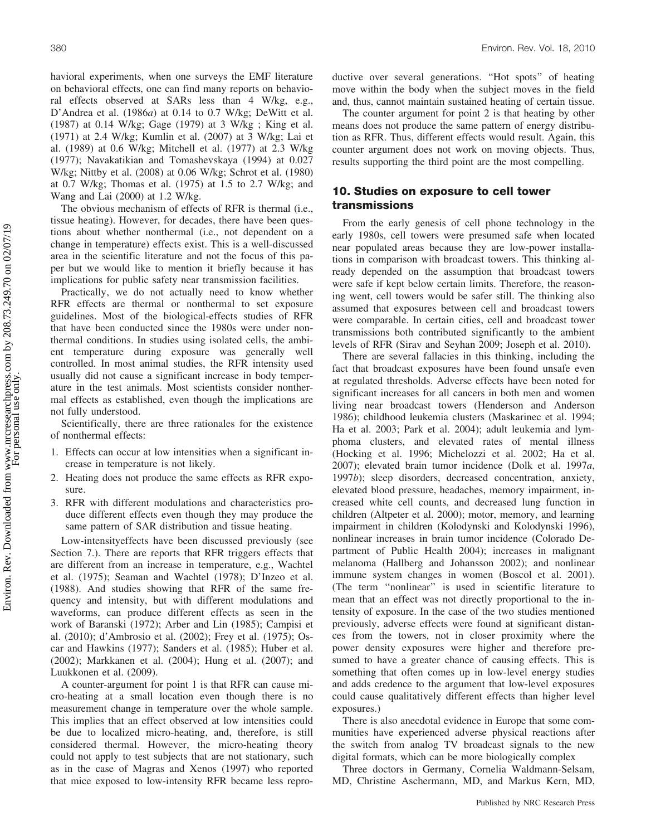havioral experiments, when one surveys the EMF literature on behavioral effects, one can find many reports on behavioral effects observed at SARs less than 4 W/kg, e.g., D'Andrea et al. (1986*a*) at 0.14 to 0.7 W/kg; DeWitt et al. (1987) at 0.14 W/kg; Gage (1979) at 3 W/kg ; King et al. (1971) at 2.4 W/kg; Kumlin et al. (2007) at 3 W/kg; Lai et al. (1989) at 0.6 W/kg; Mitchell et al. (1977) at 2.3 W/kg (1977); Navakatikian and Tomashevskaya (1994) at 0.027 W/kg; Nittby et al. (2008) at 0.06 W/kg; Schrot et al. (1980) at 0.7 W/kg; Thomas et al. (1975) at 1.5 to 2.7 W/kg; and Wang and Lai (2000) at 1.2 W/kg.

The obvious mechanism of effects of RFR is thermal (i.e., tissue heating). However, for decades, there have been questions about whether nonthermal (i.e., not dependent on a change in temperature) effects exist. This is a well-discussed area in the scientific literature and not the focus of this paper but we would like to mention it briefly because it has implications for public safety near transmission facilities.

Practically, we do not actually need to know whether RFR effects are thermal or nonthermal to set exposure guidelines. Most of the biological-effects studies of RFR that have been conducted since the 1980s were under nonthermal conditions. In studies using isolated cells, the ambient temperature during exposure was generally well controlled. In most animal studies, the RFR intensity used usually did not cause a significant increase in body temperature in the test animals. Most scientists consider nonthermal effects as established, even though the implications are not fully understood.

Scientifically, there are three rationales for the existence of nonthermal effects:

- 1. Effects can occur at low intensities when a significant increase in temperature is not likely.
- 2. Heating does not produce the same effects as RFR exposure.
- 3. RFR with different modulations and characteristics produce different effects even though they may produce the same pattern of SAR distribution and tissue heating.

Low-intensityeffects have been discussed previously (see Section 7.). There are reports that RFR triggers effects that are different from an increase in temperature, e.g., Wachtel et al. (1975); Seaman and Wachtel (1978); D'Inzeo et al. (1988). And studies showing that RFR of the same frequency and intensity, but with different modulations and waveforms, can produce different effects as seen in the work of Baranski (1972); Arber and Lin (1985); Campisi et al. (2010); d'Ambrosio et al. (2002); Frey et al. (1975); Oscar and Hawkins (1977); Sanders et al. (1985); Huber et al. (2002); Markkanen et al. (2004); Hung et al. (2007); and Luukkonen et al. (2009).

A counter-argument for point 1 is that RFR can cause micro-heating at a small location even though there is no measurement change in temperature over the whole sample. This implies that an effect observed at low intensities could be due to localized micro-heating, and, therefore, is still considered thermal. However, the micro-heating theory could not apply to test subjects that are not stationary, such as in the case of Magras and Xenos (1997) who reported that mice exposed to low-intensity RFR became less reproductive over several generations. ''Hot spots'' of heating move within the body when the subject moves in the field and, thus, cannot maintain sustained heating of certain tissue.

The counter argument for point 2 is that heating by other means does not produce the same pattern of energy distribution as RFR. Thus, different effects would result. Again, this counter argument does not work on moving objects. Thus, results supporting the third point are the most compelling.

### **10. Studies on exposure to cell tower transmissions**

From the early genesis of cell phone technology in the early 1980s, cell towers were presumed safe when located near populated areas because they are low-power installations in comparison with broadcast towers. This thinking already depended on the assumption that broadcast towers were safe if kept below certain limits. Therefore, the reasoning went, cell towers would be safer still. The thinking also assumed that exposures between cell and broadcast towers were comparable. In certain cities, cell and broadcast tower transmissions both contributed significantly to the ambient levels of RFR (Sirav and Seyhan 2009; Joseph et al. 2010).

There are several fallacies in this thinking, including the fact that broadcast exposures have been found unsafe even at regulated thresholds. Adverse effects have been noted for significant increases for all cancers in both men and women living near broadcast towers (Henderson and Anderson 1986); childhood leukemia clusters (Maskarinec et al. 1994; Ha et al. 2003; Park et al. 2004); adult leukemia and lymphoma clusters, and elevated rates of mental illness (Hocking et al. 1996; Michelozzi et al. 2002; Ha et al. 2007); elevated brain tumor incidence (Dolk et al. 1997*a*, 1997*b*); sleep disorders, decreased concentration, anxiety, elevated blood pressure, headaches, memory impairment, increased white cell counts, and decreased lung function in children (Altpeter et al. 2000); motor, memory, and learning impairment in children (Kolodynski and Kolodynski 1996), nonlinear increases in brain tumor incidence (Colorado Department of Public Health 2004); increases in malignant melanoma (Hallberg and Johansson 2002); and nonlinear immune system changes in women (Boscol et al. 2001). (The term ''nonlinear'' is used in scientific literature to mean that an effect was not directly proportional to the intensity of exposure. In the case of the two studies mentioned previously, adverse effects were found at significant distances from the towers, not in closer proximity where the power density exposures were higher and therefore presumed to have a greater chance of causing effects. This is something that often comes up in low-level energy studies and adds credence to the argument that low-level exposures could cause qualitatively different effects than higher level exposures.)

There is also anecdotal evidence in Europe that some communities have experienced adverse physical reactions after the switch from analog TV broadcast signals to the new digital formats, which can be more biologically complex

Three doctors in Germany, Cornelia Waldmann-Selsam, MD, Christine Aschermann, MD, and Markus Kern, MD,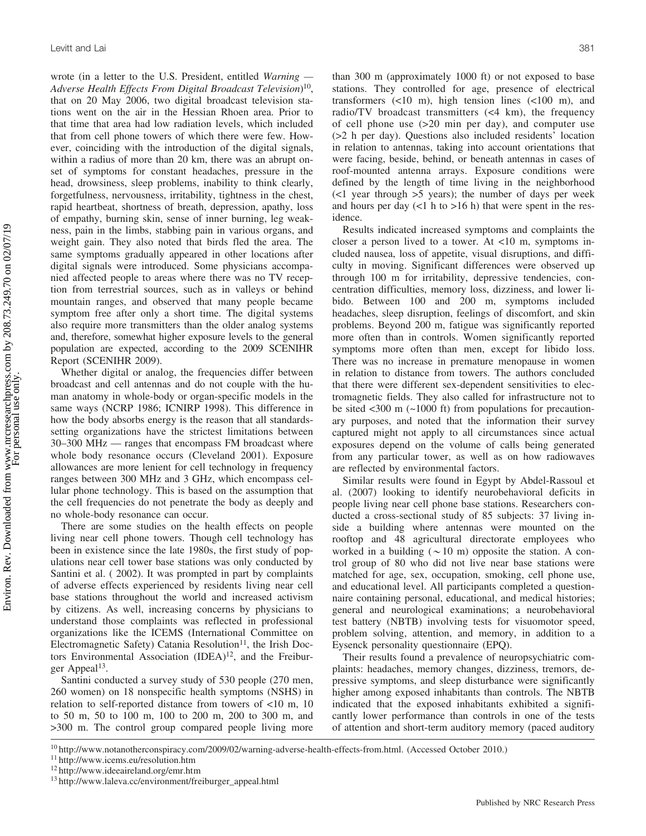Environ. Rev. Downloaded from www.nrcresearchpress.com by 208.73.249.70 on 02/07/19<br>For personal use only. Environ. Rev. Downloaded from www.nrcresearchpress.com by 208.73.249.70 on 02/07/19 For personal use only.

wrote (in a letter to the U.S. President, entitled *Warning — Adverse Health Effects From Digital Broadcast Television*)10, that on 20 May 2006, two digital broadcast television stations went on the air in the Hessian Rhoen area. Prior to that time that area had low radiation levels, which included that from cell phone towers of which there were few. However, coinciding with the introduction of the digital signals, within a radius of more than 20 km, there was an abrupt onset of symptoms for constant headaches, pressure in the head, drowsiness, sleep problems, inability to think clearly, forgetfulness, nervousness, irritability, tightness in the chest, rapid heartbeat, shortness of breath, depression, apathy, loss of empathy, burning skin, sense of inner burning, leg weakness, pain in the limbs, stabbing pain in various organs, and weight gain. They also noted that birds fled the area. The same symptoms gradually appeared in other locations after digital signals were introduced. Some physicians accompanied affected people to areas where there was no TV reception from terrestrial sources, such as in valleys or behind mountain ranges, and observed that many people became symptom free after only a short time. The digital systems also require more transmitters than the older analog systems and, therefore, somewhat higher exposure levels to the general population are expected, according to the 2009 SCENIHR Report (SCENIHR 2009).

Whether digital or analog, the frequencies differ between broadcast and cell antennas and do not couple with the human anatomy in whole-body or organ-specific models in the same ways (NCRP 1986; ICNIRP 1998). This difference in how the body absorbs energy is the reason that all standardssetting organizations have the strictest limitations between 30–300 MHz — ranges that encompass FM broadcast where whole body resonance occurs (Cleveland 2001). Exposure allowances are more lenient for cell technology in frequency ranges between 300 MHz and 3 GHz, which encompass cellular phone technology. This is based on the assumption that the cell frequencies do not penetrate the body as deeply and no whole-body resonance can occur.

There are some studies on the health effects on people living near cell phone towers. Though cell technology has been in existence since the late 1980s, the first study of populations near cell tower base stations was only conducted by Santini et al. ( 2002). It was prompted in part by complaints of adverse effects experienced by residents living near cell base stations throughout the world and increased activism by citizens. As well, increasing concerns by physicians to understand those complaints was reflected in professional organizations like the ICEMS (International Committee on Electromagnetic Safety) Catania Resolution<sup>11</sup>, the Irish Doctors Environmental Association (IDEA)<sup>12</sup>, and the Freiburger Appeal<sup>13</sup>.

Santini conducted a survey study of 530 people (270 men, 260 women) on 18 nonspecific health symptoms (NSHS) in relation to self-reported distance from towers of <10 m, 10 to 50 m, 50 to 100 m, 100 to 200 m, 200 to 300 m, and >300 m. The control group compared people living more than 300 m (approximately 1000 ft) or not exposed to base stations. They controlled for age, presence of electrical transformers (<10 m), high tension lines (<100 m), and radio/TV broadcast transmitters (<4 km), the frequency of cell phone use (>20 min per day), and computer use (>2 h per day). Questions also included residents' location in relation to antennas, taking into account orientations that were facing, beside, behind, or beneath antennas in cases of roof-mounted antenna arrays. Exposure conditions were defined by the length of time living in the neighborhood  $\leq 1$  year through  $> 5$  years); the number of days per week and hours per day  $(<1$  h to  $>16$  h) that were spent in the residence.

Results indicated increased symptoms and complaints the closer a person lived to a tower. At <10 m, symptoms included nausea, loss of appetite, visual disruptions, and difficulty in moving. Significant differences were observed up through 100 m for irritability, depressive tendencies, concentration difficulties, memory loss, dizziness, and lower libido. Between 100 and 200 m, symptoms included headaches, sleep disruption, feelings of discomfort, and skin problems. Beyond 200 m, fatigue was significantly reported more often than in controls. Women significantly reported symptoms more often than men, except for libido loss. There was no increase in premature menopause in women in relation to distance from towers. The authors concluded that there were different sex-dependent sensitivities to electromagnetic fields. They also called for infrastructure not to be sited  $\langle 300 \text{ m } (-1000 \text{ ft})$  from populations for precautionary purposes, and noted that the information their survey captured might not apply to all circumstances since actual exposures depend on the volume of calls being generated from any particular tower, as well as on how radiowaves are reflected by environmental factors.

Similar results were found in Egypt by Abdel-Rassoul et al. (2007) looking to identify neurobehavioral deficits in people living near cell phone base stations. Researchers conducted a cross-sectional study of 85 subjects: 37 living inside a building where antennas were mounted on the rooftop and 48 agricultural directorate employees who worked in a building ( $\sim$ 10 m) opposite the station. A control group of 80 who did not live near base stations were matched for age, sex, occupation, smoking, cell phone use, and educational level. All participants completed a questionnaire containing personal, educational, and medical histories; general and neurological examinations; a neurobehavioral test battery (NBTB) involving tests for visuomotor speed, problem solving, attention, and memory, in addition to a Eysenck personality questionnaire (EPQ).

Their results found a prevalence of neuropsychiatric complaints: headaches, memory changes, dizziness, tremors, depressive symptoms, and sleep disturbance were significantly higher among exposed inhabitants than controls. The NBTB indicated that the exposed inhabitants exhibited a significantly lower performance than controls in one of the tests of attention and short-term auditory memory (paced auditory

<sup>&</sup>lt;sup>10</sup> http://www.notanotherconspiracy.com/2009/02/warning-adverse-health-effects-from.html. (Accessed October 2010.)<br><sup>11</sup> http://www.icems.eu/resolution.htm<br><sup>12</sup> http://www.ideeaireland.org/emr.htm<br><sup>12</sup> http://www.ideeaire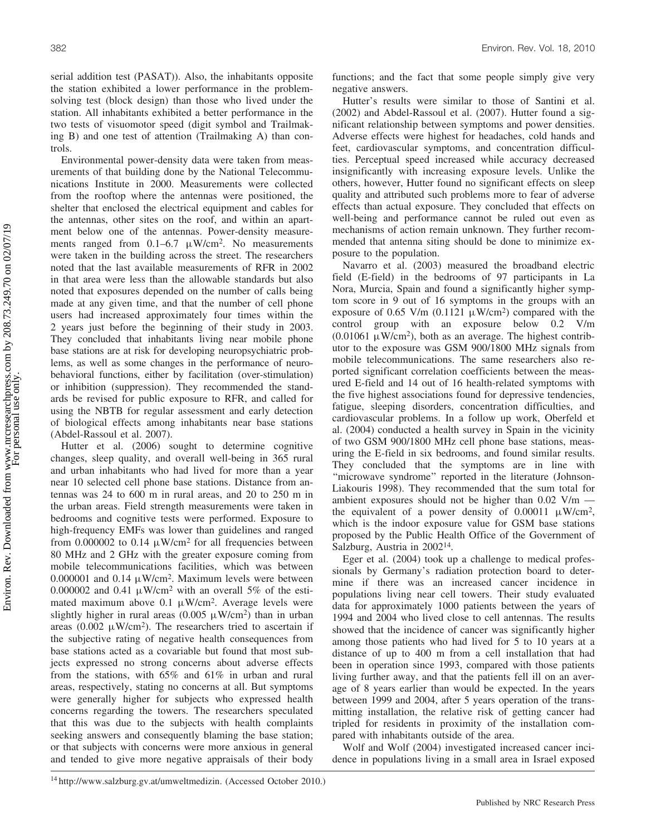serial addition test (PASAT)). Also, the inhabitants opposite the station exhibited a lower performance in the problemsolving test (block design) than those who lived under the station. All inhabitants exhibited a better performance in the two tests of visuomotor speed (digit symbol and Trailmaking B) and one test of attention (Trailmaking A) than controls.

Environmental power-density data were taken from measurements of that building done by the National Telecommunications Institute in 2000. Measurements were collected from the rooftop where the antennas were positioned, the shelter that enclosed the electrical equipment and cables for the antennas, other sites on the roof, and within an apartment below one of the antennas. Power-density measurements ranged from  $0.1-6.7 \mu W/cm^2$ . No measurements were taken in the building across the street. The researchers noted that the last available measurements of RFR in 2002 in that area were less than the allowable standards but also noted that exposures depended on the number of calls being made at any given time, and that the number of cell phone users had increased approximately four times within the 2 years just before the beginning of their study in 2003. They concluded that inhabitants living near mobile phone base stations are at risk for developing neuropsychiatric problems, as well as some changes in the performance of neurobehavioral functions, either by facilitation (over-stimulation) or inhibition (suppression). They recommended the standards be revised for public exposure to RFR, and called for using the NBTB for regular assessment and early detection of biological effects among inhabitants near base stations (Abdel-Rassoul et al. 2007).

Hutter et al. (2006) sought to determine cognitive changes, sleep quality, and overall well-being in 365 rural and urban inhabitants who had lived for more than a year near 10 selected cell phone base stations. Distance from antennas was 24 to 600 m in rural areas, and 20 to 250 m in the urban areas. Field strength measurements were taken in bedrooms and cognitive tests were performed. Exposure to high-frequency EMFs was lower than guidelines and ranged from 0.000002 to 0.14  $\mu$ W/cm<sup>2</sup> for all frequencies between 80 MHz and 2 GHz with the greater exposure coming from mobile telecommunications facilities, which was between 0.000001 and 0.14  $\mu$ W/cm<sup>2</sup>. Maximum levels were between 0.000002 and 0.41  $\mu$ W/cm<sup>2</sup> with an overall 5% of the estimated maximum above 0.1  $\mu$ W/cm<sup>2</sup>. Average levels were slightly higher in rural areas  $(0.005 \mu W/cm^2)$  than in urban areas (0.002  $\mu$ W/cm<sup>2</sup>). The researchers tried to ascertain if the subjective rating of negative health consequences from base stations acted as a covariable but found that most subjects expressed no strong concerns about adverse effects from the stations, with 65% and 61% in urban and rural areas, respectively, stating no concerns at all. But symptoms were generally higher for subjects who expressed health concerns regarding the towers. The researchers speculated that this was due to the subjects with health complaints seeking answers and consequently blaming the base station; or that subjects with concerns were more anxious in general and tended to give more negative appraisals of their body functions; and the fact that some people simply give very negative answers.

Hutter's results were similar to those of Santini et al. (2002) and Abdel-Rassoul et al. (2007). Hutter found a significant relationship between symptoms and power densities. Adverse effects were highest for headaches, cold hands and feet, cardiovascular symptoms, and concentration difficulties. Perceptual speed increased while accuracy decreased insignificantly with increasing exposure levels. Unlike the others, however, Hutter found no significant effects on sleep quality and attributed such problems more to fear of adverse effects than actual exposure. They concluded that effects on well-being and performance cannot be ruled out even as mechanisms of action remain unknown. They further recommended that antenna siting should be done to minimize exposure to the population.

Navarro et al. (2003) measured the broadband electric field (E-field) in the bedrooms of 97 participants in La Nora, Murcia, Spain and found a significantly higher symptom score in 9 out of 16 symptoms in the groups with an exposure of 0.65 V/m (0.1121  $\mu$ W/cm<sup>2</sup>) compared with the control group with an exposure below 0.2 V/m  $(0.01061 \mu W/cm^2)$ , both as an average. The highest contributor to the exposure was GSM 900/1800 MHz signals from mobile telecommunications. The same researchers also reported significant correlation coefficients between the measured E-field and 14 out of 16 health-related symptoms with the five highest associations found for depressive tendencies, fatigue, sleeping disorders, concentration difficulties, and cardiovascular problems. In a follow up work, Oberfeld et al. (2004) conducted a health survey in Spain in the vicinity of two GSM 900/1800 MHz cell phone base stations, measuring the E-field in six bedrooms, and found similar results. They concluded that the symptoms are in line with "microwave syndrome" reported in the literature (Johnson-Liakouris 1998). They recommended that the sum total for ambient exposures should not be higher than 0.02 V/m the equivalent of a power density of  $0.00011 \mu W/cm^2$ , which is the indoor exposure value for GSM base stations proposed by the Public Health Office of the Government of Salzburg, Austria in 200214.

Eger et al. (2004) took up a challenge to medical professionals by Germany's radiation protection board to determine if there was an increased cancer incidence in populations living near cell towers. Their study evaluated data for approximately 1000 patients between the years of 1994 and 2004 who lived close to cell antennas. The results showed that the incidence of cancer was significantly higher among those patients who had lived for 5 to 10 years at a distance of up to 400 m from a cell installation that had been in operation since 1993, compared with those patients living further away, and that the patients fell ill on an average of 8 years earlier than would be expected. In the years between 1999 and 2004, after 5 years operation of the transmitting installation, the relative risk of getting cancer had tripled for residents in proximity of the installation compared with inhabitants outside of the area.

Wolf and Wolf (2004) investigated increased cancer incidence in populations living in a small area in Israel exposed

<sup>14</sup> http://www.salzburg.gv.at/umweltmedizin. (Accessed October 2010.)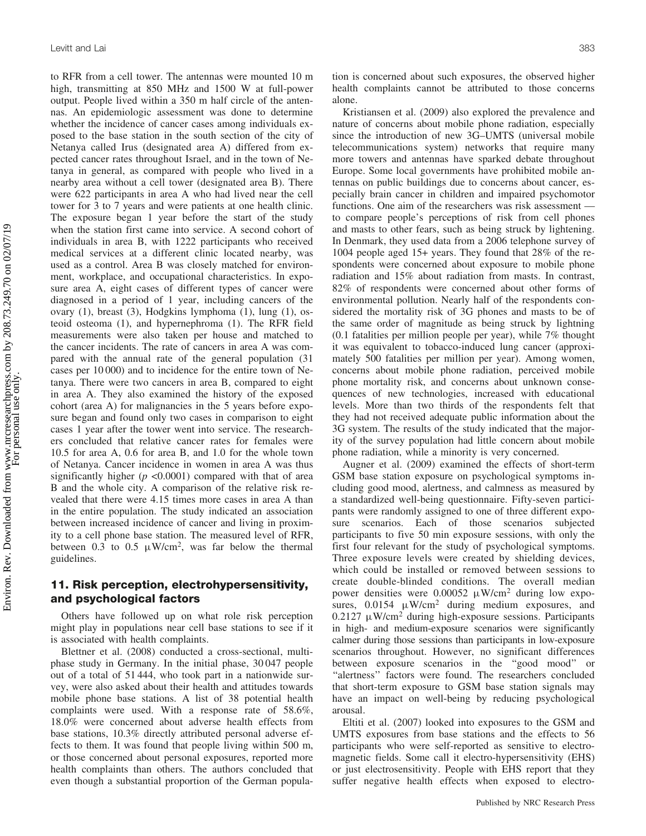to RFR from a cell tower. The antennas were mounted 10 m high, transmitting at 850 MHz and 1500 W at full-power output. People lived within a 350 m half circle of the antennas. An epidemiologic assessment was done to determine whether the incidence of cancer cases among individuals exposed to the base station in the south section of the city of Netanya called Irus (designated area A) differed from expected cancer rates throughout Israel, and in the town of Netanya in general, as compared with people who lived in a nearby area without a cell tower (designated area B). There were 622 participants in area A who had lived near the cell tower for 3 to 7 years and were patients at one health clinic. The exposure began 1 year before the start of the study when the station first came into service. A second cohort of individuals in area B, with 1222 participants who received medical services at a different clinic located nearby, was used as a control. Area B was closely matched for environment, workplace, and occupational characteristics. In exposure area A, eight cases of different types of cancer were diagnosed in a period of 1 year, including cancers of the ovary (1), breast (3), Hodgkins lymphoma (1), lung (1), osteoid osteoma (1), and hypernephroma (1). The RFR field measurements were also taken per house and matched to the cancer incidents. The rate of cancers in area A was compared with the annual rate of the general population (31 cases per 10 000) and to incidence for the entire town of Netanya. There were two cancers in area B, compared to eight in area A. They also examined the history of the exposed cohort (area A) for malignancies in the 5 years before exposure began and found only two cases in comparison to eight cases 1 year after the tower went into service. The researchers concluded that relative cancer rates for females were 10.5 for area A, 0.6 for area B, and 1.0 for the whole town of Netanya. Cancer incidence in women in area A was thus significantly higher ( $p < 0.0001$ ) compared with that of area B and the whole city. A comparison of the relative risk revealed that there were 4.15 times more cases in area A than in the entire population. The study indicated an association between increased incidence of cancer and living in proximity to a cell phone base station. The measured level of RFR, between 0.3 to 0.5  $\mu$ W/cm<sup>2</sup>, was far below the thermal guidelines.

## **11. Risk perception, electrohypersensitivity, and psychological factors**

Others have followed up on what role risk perception might play in populations near cell base stations to see if it is associated with health complaints.

Blettner et al. (2008) conducted a cross-sectional, multiphase study in Germany. In the initial phase, 30 047 people out of a total of 51 444, who took part in a nationwide survey, were also asked about their health and attitudes towards mobile phone base stations. A list of 38 potential health complaints were used. With a response rate of 58.6%, 18.0% were concerned about adverse health effects from base stations, 10.3% directly attributed personal adverse effects to them. It was found that people living within 500 m, or those concerned about personal exposures, reported more health complaints than others. The authors concluded that even though a substantial proportion of the German population is concerned about such exposures, the observed higher health complaints cannot be attributed to those concerns alone.

Kristiansen et al. (2009) also explored the prevalence and nature of concerns about mobile phone radiation, especially since the introduction of new 3G–UMTS (universal mobile telecommunications system) networks that require many more towers and antennas have sparked debate throughout Europe. Some local governments have prohibited mobile antennas on public buildings due to concerns about cancer, especially brain cancer in children and impaired psychomotor functions. One aim of the researchers was risk assessment to compare people's perceptions of risk from cell phones and masts to other fears, such as being struck by lightening. In Denmark, they used data from a 2006 telephone survey of 1004 people aged 15+ years. They found that 28% of the respondents were concerned about exposure to mobile phone radiation and 15% about radiation from masts. In contrast, 82% of respondents were concerned about other forms of environmental pollution. Nearly half of the respondents considered the mortality risk of 3G phones and masts to be of the same order of magnitude as being struck by lightning (0.1 fatalities per million people per year), while 7% thought it was equivalent to tobacco-induced lung cancer (approximately 500 fatalities per million per year). Among women, concerns about mobile phone radiation, perceived mobile phone mortality risk, and concerns about unknown consequences of new technologies, increased with educational levels. More than two thirds of the respondents felt that they had not received adequate public information about the 3G system. The results of the study indicated that the majority of the survey population had little concern about mobile phone radiation, while a minority is very concerned.

Augner et al. (2009) examined the effects of short-term GSM base station exposure on psychological symptoms including good mood, alertness, and calmness as measured by a standardized well-being questionnaire. Fifty-seven participants were randomly assigned to one of three different exposure scenarios. Each of those scenarios subjected participants to five 50 min exposure sessions, with only the first four relevant for the study of psychological symptoms. Three exposure levels were created by shielding devices, which could be installed or removed between sessions to create double-blinded conditions. The overall median power densities were  $0.00052 \mu W/cm^2$  during low exposures,  $0.0154 \mu W/cm^2$  during medium exposures, and  $0.2127 \mu W/cm^2$  during high-exposure sessions. Participants in high- and medium-exposure scenarios were significantly calmer during those sessions than participants in low-exposure scenarios throughout. However, no significant differences between exposure scenarios in the ''good mood'' or ''alertness'' factors were found. The researchers concluded that short-term exposure to GSM base station signals may have an impact on well-being by reducing psychological arousal.

Eltiti et al. (2007) looked into exposures to the GSM and UMTS exposures from base stations and the effects to 56 participants who were self-reported as sensitive to electromagnetic fields. Some call it electro-hypersensitivity (EHS) or just electrosensitivity. People with EHS report that they suffer negative health effects when exposed to electro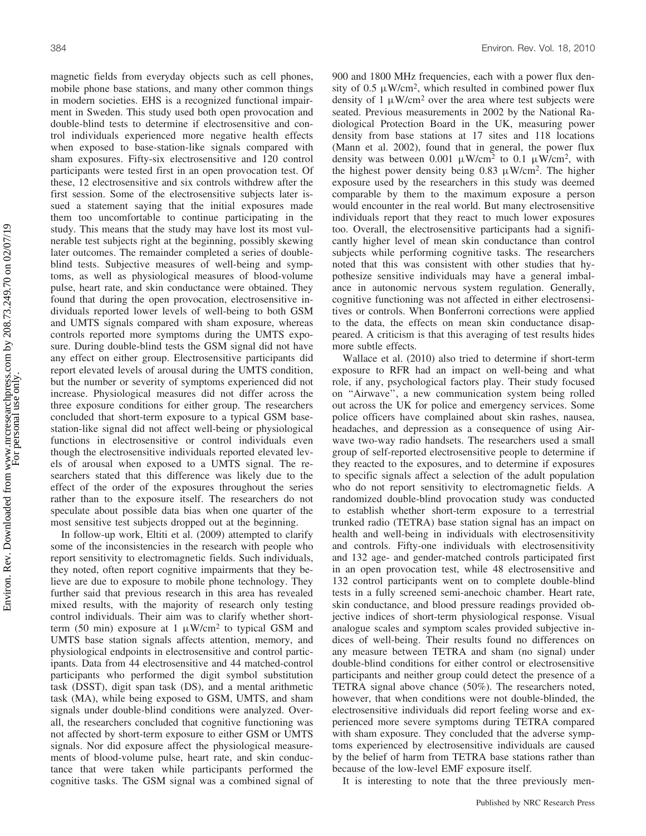magnetic fields from everyday objects such as cell phones, mobile phone base stations, and many other common things in modern societies. EHS is a recognized functional impairment in Sweden. This study used both open provocation and double-blind tests to determine if electrosensitive and control individuals experienced more negative health effects when exposed to base-station-like signals compared with sham exposures. Fifty-six electrosensitive and 120 control participants were tested first in an open provocation test. Of these, 12 electrosensitive and six controls withdrew after the first session. Some of the electrosensitive subjects later issued a statement saying that the initial exposures made them too uncomfortable to continue participating in the study. This means that the study may have lost its most vulnerable test subjects right at the beginning, possibly skewing later outcomes. The remainder completed a series of doubleblind tests. Subjective measures of well-being and symptoms, as well as physiological measures of blood-volume pulse, heart rate, and skin conductance were obtained. They found that during the open provocation, electrosensitive individuals reported lower levels of well-being to both GSM and UMTS signals compared with sham exposure, whereas controls reported more symptoms during the UMTS exposure. During double-blind tests the GSM signal did not have any effect on either group. Electrosensitive participants did report elevated levels of arousal during the UMTS condition, but the number or severity of symptoms experienced did not increase. Physiological measures did not differ across the three exposure conditions for either group. The researchers concluded that short-term exposure to a typical GSM basestation-like signal did not affect well-being or physiological functions in electrosensitive or control individuals even though the electrosensitive individuals reported elevated levels of arousal when exposed to a UMTS signal. The researchers stated that this difference was likely due to the effect of the order of the exposures throughout the series rather than to the exposure itself. The researchers do not speculate about possible data bias when one quarter of the most sensitive test subjects dropped out at the beginning.

In follow-up work, Eltiti et al. (2009) attempted to clarify some of the inconsistencies in the research with people who report sensitivity to electromagnetic fields. Such individuals, they noted, often report cognitive impairments that they believe are due to exposure to mobile phone technology. They further said that previous research in this area has revealed mixed results, with the majority of research only testing control individuals. Their aim was to clarify whether shortterm (50 min) exposure at 1  $\mu$ W/cm<sup>2</sup> to typical GSM and UMTS base station signals affects attention, memory, and physiological endpoints in electrosensitive and control participants. Data from 44 electrosensitive and 44 matched-control participants who performed the digit symbol substitution task (DSST), digit span task (DS), and a mental arithmetic task (MA), while being exposed to GSM, UMTS, and sham signals under double-blind conditions were analyzed. Overall, the researchers concluded that cognitive functioning was not affected by short-term exposure to either GSM or UMTS signals. Nor did exposure affect the physiological measurements of blood-volume pulse, heart rate, and skin conductance that were taken while participants performed the cognitive tasks. The GSM signal was a combined signal of 900 and 1800 MHz frequencies, each with a power flux density of 0.5  $\mu$ W/cm<sup>2</sup>, which resulted in combined power flux density of 1  $\mu$ W/cm<sup>2</sup> over the area where test subjects were seated. Previous measurements in 2002 by the National Radiological Protection Board in the UK, measuring power density from base stations at 17 sites and 118 locations (Mann et al. 2002), found that in general, the power flux density was between 0.001  $\mu$ W/cm<sup>2</sup> to 0.1  $\mu$ W/cm<sup>2</sup>, with the highest power density being 0.83  $\mu$ W/cm<sup>2</sup>. The higher exposure used by the researchers in this study was deemed comparable by them to the maximum exposure a person would encounter in the real world. But many electrosensitive individuals report that they react to much lower exposures too. Overall, the electrosensitive participants had a significantly higher level of mean skin conductance than control subjects while performing cognitive tasks. The researchers noted that this was consistent with other studies that hypothesize sensitive individuals may have a general imbalance in autonomic nervous system regulation. Generally, cognitive functioning was not affected in either electrosensitives or controls. When Bonferroni corrections were applied to the data, the effects on mean skin conductance disappeared. A criticism is that this averaging of test results hides more subtle effects.

Wallace et al. (2010) also tried to determine if short-term exposure to RFR had an impact on well-being and what role, if any, psychological factors play. Their study focused on ''Airwave'', a new communication system being rolled out across the UK for police and emergency services. Some police officers have complained about skin rashes, nausea, headaches, and depression as a consequence of using Airwave two-way radio handsets. The researchers used a small group of self-reported electrosensitive people to determine if they reacted to the exposures, and to determine if exposures to specific signals affect a selection of the adult population who do not report sensitivity to electromagnetic fields. A randomized double-blind provocation study was conducted to establish whether short-term exposure to a terrestrial trunked radio (TETRA) base station signal has an impact on health and well-being in individuals with electrosensitivity and controls. Fifty-one individuals with electrosensitivity and 132 age- and gender-matched controls participated first in an open provocation test, while 48 electrosensitive and 132 control participants went on to complete double-blind tests in a fully screened semi-anechoic chamber. Heart rate, skin conductance, and blood pressure readings provided objective indices of short-term physiological response. Visual analogue scales and symptom scales provided subjective indices of well-being. Their results found no differences on any measure between TETRA and sham (no signal) under double-blind conditions for either control or electrosensitive participants and neither group could detect the presence of a TETRA signal above chance (50%). The researchers noted, however, that when conditions were not double-blinded, the electrosensitive individuals did report feeling worse and experienced more severe symptoms during TETRA compared with sham exposure. They concluded that the adverse symptoms experienced by electrosensitive individuals are caused by the belief of harm from TETRA base stations rather than because of the low-level EMF exposure itself.

It is interesting to note that the three previously men-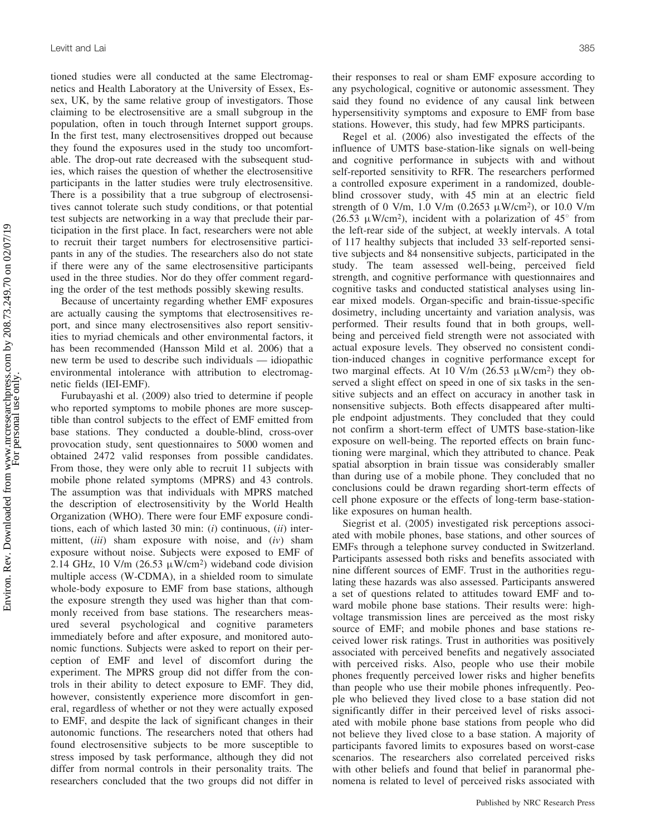tioned studies were all conducted at the same Electromagnetics and Health Laboratory at the University of Essex, Essex, UK, by the same relative group of investigators. Those claiming to be electrosensitive are a small subgroup in the population, often in touch through Internet support groups. In the first test, many electrosensitives dropped out because they found the exposures used in the study too uncomfortable. The drop-out rate decreased with the subsequent studies, which raises the question of whether the electrosensitive participants in the latter studies were truly electrosensitive. There is a possibility that a true subgroup of electrosensitives cannot tolerate such study conditions, or that potential test subjects are networking in a way that preclude their participation in the first place. In fact, researchers were not able to recruit their target numbers for electrosensitive participants in any of the studies. The researchers also do not state if there were any of the same electrosensitive participants used in the three studies. Nor do they offer comment regarding the order of the test methods possibly skewing results.

Because of uncertainty regarding whether EMF exposures are actually causing the symptoms that electrosensitives report, and since many electrosensitives also report sensitivities to myriad chemicals and other environmental factors, it has been recommended (Hansson Mild et al. 2006) that a new term be used to describe such individuals — idiopathic environmental intolerance with attribution to electromagnetic fields (IEI-EMF).

Furubayashi et al. (2009) also tried to determine if people who reported symptoms to mobile phones are more susceptible than control subjects to the effect of EMF emitted from base stations. They conducted a double-blind, cross-over provocation study, sent questionnaires to 5000 women and obtained 2472 valid responses from possible candidates. From those, they were only able to recruit 11 subjects with mobile phone related symptoms (MPRS) and 43 controls. The assumption was that individuals with MPRS matched the description of electrosensitivity by the World Health Organization (WHO). There were four EMF exposure conditions, each of which lasted 30 min: (*i*) continuous, (*ii*) intermittent, (*iii*) sham exposure with noise, and (*iv*) sham exposure without noise. Subjects were exposed to EMF of 2.14 GHz, 10 V/m (26.53  $\mu$ W/cm<sup>2</sup>) wideband code division multiple access (W-CDMA), in a shielded room to simulate whole-body exposure to EMF from base stations, although the exposure strength they used was higher than that commonly received from base stations. The researchers measured several psychological and cognitive parameters immediately before and after exposure, and monitored autonomic functions. Subjects were asked to report on their perception of EMF and level of discomfort during the experiment. The MPRS group did not differ from the controls in their ability to detect exposure to EMF. They did, however, consistently experience more discomfort in general, regardless of whether or not they were actually exposed to EMF, and despite the lack of significant changes in their autonomic functions. The researchers noted that others had found electrosensitive subjects to be more susceptible to stress imposed by task performance, although they did not differ from normal controls in their personality traits. The researchers concluded that the two groups did not differ in their responses to real or sham EMF exposure according to any psychological, cognitive or autonomic assessment. They said they found no evidence of any causal link between hypersensitivity symptoms and exposure to EMF from base stations. However, this study, had few MPRS participants.

Regel et al. (2006) also investigated the effects of the influence of UMTS base-station-like signals on well-being and cognitive performance in subjects with and without self-reported sensitivity to RFR. The researchers performed a controlled exposure experiment in a randomized, doubleblind crossover study, with 45 min at an electric field strength of 0 V/m, 1.0 V/m (0.2653  $\mu$ W/cm<sup>2</sup>), or 10.0 V/m (26.53  $\mu$ W/cm<sup>2</sup>), incident with a polarization of 45 $\degree$  from the left-rear side of the subject, at weekly intervals. A total of 117 healthy subjects that included 33 self-reported sensitive subjects and 84 nonsensitive subjects, participated in the study. The team assessed well-being, perceived field strength, and cognitive performance with questionnaires and cognitive tasks and conducted statistical analyses using linear mixed models. Organ-specific and brain-tissue-specific dosimetry, including uncertainty and variation analysis, was performed. Their results found that in both groups, wellbeing and perceived field strength were not associated with actual exposure levels. They observed no consistent condition-induced changes in cognitive performance except for two marginal effects. At 10 V/m (26.53  $\mu$ W/cm<sup>2</sup>) they observed a slight effect on speed in one of six tasks in the sensitive subjects and an effect on accuracy in another task in nonsensitive subjects. Both effects disappeared after multiple endpoint adjustments. They concluded that they could not confirm a short-term effect of UMTS base-station-like exposure on well-being. The reported effects on brain functioning were marginal, which they attributed to chance. Peak spatial absorption in brain tissue was considerably smaller than during use of a mobile phone. They concluded that no conclusions could be drawn regarding short-term effects of cell phone exposure or the effects of long-term base-stationlike exposures on human health.

Siegrist et al. (2005) investigated risk perceptions associated with mobile phones, base stations, and other sources of EMFs through a telephone survey conducted in Switzerland. Participants assessed both risks and benefits associated with nine different sources of EMF. Trust in the authorities regulating these hazards was also assessed. Participants answered a set of questions related to attitudes toward EMF and toward mobile phone base stations. Their results were: highvoltage transmission lines are perceived as the most risky source of EMF; and mobile phones and base stations received lower risk ratings. Trust in authorities was positively associated with perceived benefits and negatively associated with perceived risks. Also, people who use their mobile phones frequently perceived lower risks and higher benefits than people who use their mobile phones infrequently. People who believed they lived close to a base station did not significantly differ in their perceived level of risks associated with mobile phone base stations from people who did not believe they lived close to a base station. A majority of participants favored limits to exposures based on worst-case scenarios. The researchers also correlated perceived risks with other beliefs and found that belief in paranormal phenomena is related to level of perceived risks associated with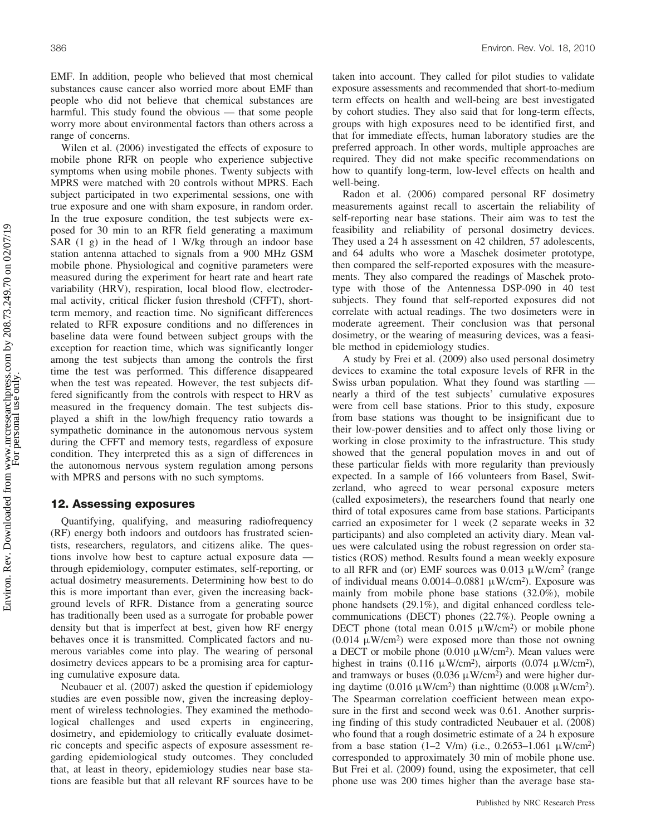EMF. In addition, people who believed that most chemical substances cause cancer also worried more about EMF than people who did not believe that chemical substances are harmful. This study found the obvious — that some people worry more about environmental factors than others across a range of concerns.

Wilen et al. (2006) investigated the effects of exposure to mobile phone RFR on people who experience subjective symptoms when using mobile phones. Twenty subjects with MPRS were matched with 20 controls without MPRS. Each subject participated in two experimental sessions, one with true exposure and one with sham exposure, in random order. In the true exposure condition, the test subjects were exposed for 30 min to an RFR field generating a maximum SAR (1 g) in the head of 1 W/kg through an indoor base station antenna attached to signals from a 900 MHz GSM mobile phone. Physiological and cognitive parameters were measured during the experiment for heart rate and heart rate variability (HRV), respiration, local blood flow, electrodermal activity, critical flicker fusion threshold (CFFT), shortterm memory, and reaction time. No significant differences related to RFR exposure conditions and no differences in baseline data were found between subject groups with the exception for reaction time, which was significantly longer among the test subjects than among the controls the first time the test was performed. This difference disappeared when the test was repeated. However, the test subjects differed significantly from the controls with respect to HRV as measured in the frequency domain. The test subjects displayed a shift in the low/high frequency ratio towards a sympathetic dominance in the autonomous nervous system during the CFFT and memory tests, regardless of exposure condition. They interpreted this as a sign of differences in the autonomous nervous system regulation among persons with MPRS and persons with no such symptoms.

#### **12. Assessing exposures**

Quantifying, qualifying, and measuring radiofrequency (RF) energy both indoors and outdoors has frustrated scientists, researchers, regulators, and citizens alike. The questions involve how best to capture actual exposure data through epidemiology, computer estimates, self-reporting, or actual dosimetry measurements. Determining how best to do this is more important than ever, given the increasing background levels of RFR. Distance from a generating source has traditionally been used as a surrogate for probable power density but that is imperfect at best, given how RF energy behaves once it is transmitted. Complicated factors and numerous variables come into play. The wearing of personal dosimetry devices appears to be a promising area for capturing cumulative exposure data.

Neubauer et al. (2007) asked the question if epidemiology studies are even possible now, given the increasing deployment of wireless technologies. They examined the methodological challenges and used experts in engineering, dosimetry, and epidemiology to critically evaluate dosimetric concepts and specific aspects of exposure assessment regarding epidemiological study outcomes. They concluded that, at least in theory, epidemiology studies near base stations are feasible but that all relevant RF sources have to be taken into account. They called for pilot studies to validate exposure assessments and recommended that short-to-medium term effects on health and well-being are best investigated by cohort studies. They also said that for long-term effects, groups with high exposures need to be identified first, and that for immediate effects, human laboratory studies are the preferred approach. In other words, multiple approaches are required. They did not make specific recommendations on how to quantify long-term, low-level effects on health and well-being.

Radon et al. (2006) compared personal RF dosimetry measurements against recall to ascertain the reliability of self-reporting near base stations. Their aim was to test the feasibility and reliability of personal dosimetry devices. They used a 24 h assessment on 42 children, 57 adolescents, and 64 adults who wore a Maschek dosimeter prototype, then compared the self-reported exposures with the measurements. They also compared the readings of Maschek prototype with those of the Antennessa DSP-090 in 40 test subjects. They found that self-reported exposures did not correlate with actual readings. The two dosimeters were in moderate agreement. Their conclusion was that personal dosimetry, or the wearing of measuring devices, was a feasible method in epidemiology studies.

A study by Frei et al. (2009) also used personal dosimetry devices to examine the total exposure levels of RFR in the Swiss urban population. What they found was startling nearly a third of the test subjects' cumulative exposures were from cell base stations. Prior to this study, exposure from base stations was thought to be insignificant due to their low-power densities and to affect only those living or working in close proximity to the infrastructure. This study showed that the general population moves in and out of these particular fields with more regularity than previously expected. In a sample of 166 volunteers from Basel, Switzerland, who agreed to wear personal exposure meters (called exposimeters), the researchers found that nearly one third of total exposures came from base stations. Participants carried an exposimeter for 1 week (2 separate weeks in 32 participants) and also completed an activity diary. Mean values were calculated using the robust regression on order statistics (ROS) method. Results found a mean weekly exposure to all RFR and (or) EMF sources was  $0.013 \mu W/cm^2$  (range of individual means  $0.0014 - 0.0881 \mu W/cm^2$ ). Exposure was mainly from mobile phone base stations (32.0%), mobile phone handsets (29.1%), and digital enhanced cordless telecommunications (DECT) phones (22.7%). People owning a DECT phone (total mean  $0.015 \mu W/cm^2$ ) or mobile phone  $(0.014 \mu W/cm^2)$  were exposed more than those not owning a DECT or mobile phone  $(0.010 \mu W/cm^2)$ . Mean values were highest in trains (0.116  $\mu$ W/cm<sup>2</sup>), airports (0.074  $\mu$ W/cm<sup>2</sup>), and tramways or buses (0.036  $\mu$ W/cm<sup>2</sup>) and were higher during daytime (0.016  $\mu$ W/cm<sup>2</sup>) than nighttime (0.008  $\mu$ W/cm<sup>2</sup>). The Spearman correlation coefficient between mean exposure in the first and second week was 0.61. Another surprising finding of this study contradicted Neubauer et al. (2008) who found that a rough dosimetric estimate of a 24 h exposure from a base station (1–2 V/m) (i.e., 0.2653–1.061  $\mu$ W/cm<sup>2</sup>) corresponded to approximately 30 min of mobile phone use. But Frei et al. (2009) found, using the exposimeter, that cell phone use was 200 times higher than the average base sta-

Environ. Rev. Downloaded from www.nrcresearchpress.com by 208.73.249.70 on 02/07/19<br>For personal use only. Environ. Rev. Downloaded from www.nrcresearchpress.com by 208.73.249.70 on 02/07/19 For personal use only.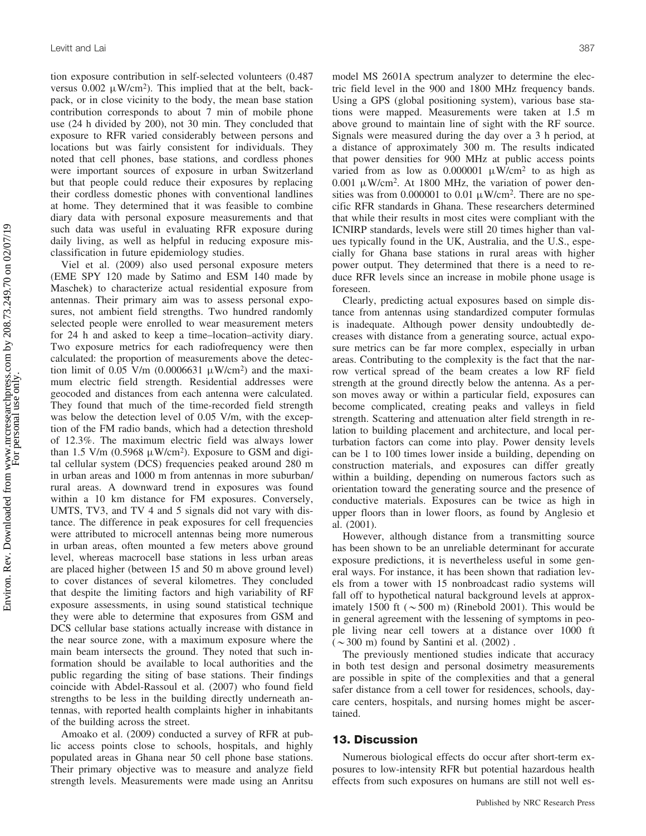tion exposure contribution in self-selected volunteers (0.487 versus  $0.002 \mu W/cm^2$ ). This implied that at the belt, backpack, or in close vicinity to the body, the mean base station contribution corresponds to about 7 min of mobile phone use (24 h divided by 200), not 30 min. They concluded that exposure to RFR varied considerably between persons and locations but was fairly consistent for individuals. They noted that cell phones, base stations, and cordless phones were important sources of exposure in urban Switzerland but that people could reduce their exposures by replacing their cordless domestic phones with conventional landlines at home. They determined that it was feasible to combine diary data with personal exposure measurements and that such data was useful in evaluating RFR exposure during daily living, as well as helpful in reducing exposure misclassification in future epidemiology studies.

Viel et al. (2009) also used personal exposure meters (EME SPY 120 made by Satimo and ESM 140 made by Maschek) to characterize actual residential exposure from antennas. Their primary aim was to assess personal exposures, not ambient field strengths. Two hundred randomly selected people were enrolled to wear measurement meters for 24 h and asked to keep a time–location–activity diary. Two exposure metrics for each radiofrequency were then calculated: the proportion of measurements above the detection limit of 0.05 V/m (0.0006631  $\mu$ W/cm<sup>2</sup>) and the maximum electric field strength. Residential addresses were geocoded and distances from each antenna were calculated. They found that much of the time-recorded field strength was below the detection level of 0.05 V/m, with the exception of the FM radio bands, which had a detection threshold of 12.3%. The maximum electric field was always lower than 1.5 V/m (0.5968  $\mu$ W/cm<sup>2</sup>). Exposure to GSM and digital cellular system (DCS) frequencies peaked around 280 m in urban areas and 1000 m from antennas in more suburban/ rural areas. A downward trend in exposures was found within a 10 km distance for FM exposures. Conversely, UMTS, TV3, and TV 4 and 5 signals did not vary with distance. The difference in peak exposures for cell frequencies were attributed to microcell antennas being more numerous in urban areas, often mounted a few meters above ground level, whereas macrocell base stations in less urban areas are placed higher (between 15 and 50 m above ground level) to cover distances of several kilometres. They concluded that despite the limiting factors and high variability of RF exposure assessments, in using sound statistical technique they were able to determine that exposures from GSM and DCS cellular base stations actually increase with distance in the near source zone, with a maximum exposure where the main beam intersects the ground. They noted that such information should be available to local authorities and the public regarding the siting of base stations. Their findings coincide with Abdel-Rassoul et al. (2007) who found field strengths to be less in the building directly underneath antennas, with reported health complaints higher in inhabitants of the building across the street.

Amoako et al. (2009) conducted a survey of RFR at public access points close to schools, hospitals, and highly populated areas in Ghana near 50 cell phone base stations. Their primary objective was to measure and analyze field strength levels. Measurements were made using an Anritsu model MS 2601A spectrum analyzer to determine the electric field level in the 900 and 1800 MHz frequency bands. Using a GPS (global positioning system), various base stations were mapped. Measurements were taken at 1.5 m above ground to maintain line of sight with the RF source. Signals were measured during the day over a 3 h period, at a distance of approximately 300 m. The results indicated

that power densities for 900 MHz at public access points varied from as low as  $0.000001 \mu W/cm^2$  to as high as 0.001  $\mu$ W/cm<sup>2</sup>. At 1800 MHz, the variation of power densities was from 0.000001 to 0.01  $\mu$ W/cm<sup>2</sup>. There are no specific RFR standards in Ghana. These researchers determined that while their results in most cites were compliant with the ICNIRP standards, levels were still 20 times higher than values typically found in the UK, Australia, and the U.S., especially for Ghana base stations in rural areas with higher power output. They determined that there is a need to reduce RFR levels since an increase in mobile phone usage is foreseen.

Clearly, predicting actual exposures based on simple distance from antennas using standardized computer formulas is inadequate. Although power density undoubtedly decreases with distance from a generating source, actual exposure metrics can be far more complex, especially in urban areas. Contributing to the complexity is the fact that the narrow vertical spread of the beam creates a low RF field strength at the ground directly below the antenna. As a person moves away or within a particular field, exposures can become complicated, creating peaks and valleys in field strength. Scattering and attenuation alter field strength in relation to building placement and architecture, and local perturbation factors can come into play. Power density levels can be 1 to 100 times lower inside a building, depending on construction materials, and exposures can differ greatly within a building, depending on numerous factors such as orientation toward the generating source and the presence of conductive materials. Exposures can be twice as high in upper floors than in lower floors, as found by Anglesio et al. (2001).

However, although distance from a transmitting source has been shown to be an unreliable determinant for accurate exposure predictions, it is nevertheless useful in some general ways. For instance, it has been shown that radiation levels from a tower with 15 nonbroadcast radio systems will fall off to hypothetical natural background levels at approximately 1500 ft ( $\sim$  500 m) (Rinebold 2001). This would be in general agreement with the lessening of symptoms in people living near cell towers at a distance over 1000 ft  $({\sim}300 \text{ m})$  found by Santini et al. (2002).

The previously mentioned studies indicate that accuracy in both test design and personal dosimetry measurements are possible in spite of the complexities and that a general safer distance from a cell tower for residences, schools, daycare centers, hospitals, and nursing homes might be ascertained.

## **13. Discussion**

Numerous biological effects do occur after short-term exposures to low-intensity RFR but potential hazardous health effects from such exposures on humans are still not well es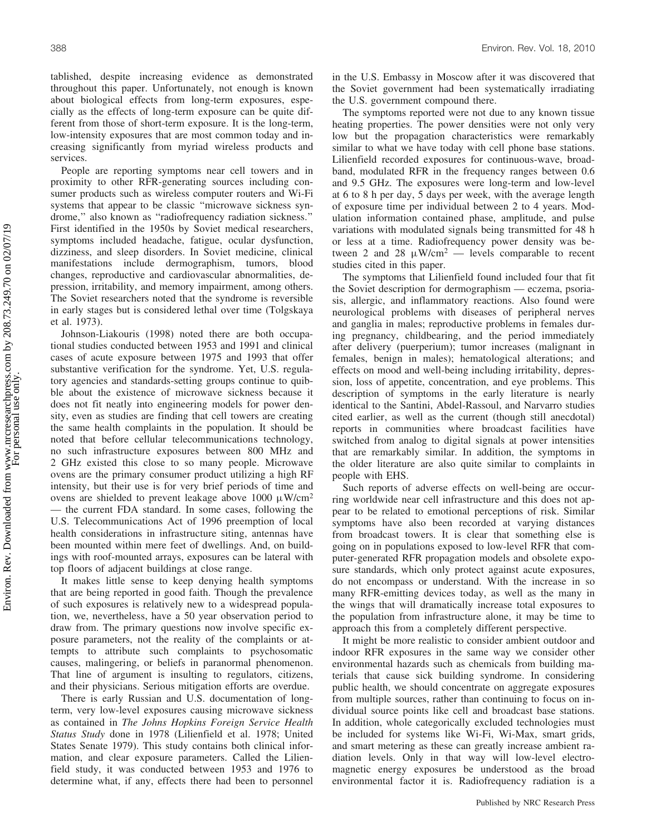tablished, despite increasing evidence as demonstrated throughout this paper. Unfortunately, not enough is known about biological effects from long-term exposures, especially as the effects of long-term exposure can be quite different from those of short-term exposure. It is the long-term, low-intensity exposures that are most common today and increasing significantly from myriad wireless products and services.

People are reporting symptoms near cell towers and in proximity to other RFR-generating sources including consumer products such as wireless computer routers and Wi-Fi systems that appear to be classic ''microwave sickness syndrome,'' also known as ''radiofrequency radiation sickness.'' First identified in the 1950s by Soviet medical researchers, symptoms included headache, fatigue, ocular dysfunction, dizziness, and sleep disorders. In Soviet medicine, clinical manifestations include dermographism, tumors, blood changes, reproductive and cardiovascular abnormalities, depression, irritability, and memory impairment, among others. The Soviet researchers noted that the syndrome is reversible in early stages but is considered lethal over time (Tolgskaya et al. 1973).

Johnson-Liakouris (1998) noted there are both occupational studies conducted between 1953 and 1991 and clinical cases of acute exposure between 1975 and 1993 that offer substantive verification for the syndrome. Yet, U.S. regulatory agencies and standards-setting groups continue to quibble about the existence of microwave sickness because it does not fit neatly into engineering models for power density, even as studies are finding that cell towers are creating the same health complaints in the population. It should be noted that before cellular telecommunications technology, no such infrastructure exposures between 800 MHz and 2 GHz existed this close to so many people. Microwave ovens are the primary consumer product utilizing a high RF intensity, but their use is for very brief periods of time and ovens are shielded to prevent leakage above  $1000 \mu W/cm^2$ — the current FDA standard. In some cases, following the U.S. Telecommunications Act of 1996 preemption of local health considerations in infrastructure siting, antennas have been mounted within mere feet of dwellings. And, on buildings with roof-mounted arrays, exposures can be lateral with top floors of adjacent buildings at close range.

It makes little sense to keep denying health symptoms that are being reported in good faith. Though the prevalence of such exposures is relatively new to a widespread population, we, nevertheless, have a 50 year observation period to draw from. The primary questions now involve specific exposure parameters, not the reality of the complaints or attempts to attribute such complaints to psychosomatic causes, malingering, or beliefs in paranormal phenomenon. That line of argument is insulting to regulators, citizens, and their physicians. Serious mitigation efforts are overdue.

There is early Russian and U.S. documentation of longterm, very low-level exposures causing microwave sickness as contained in *The Johns Hopkins Foreign Service Health Status Study* done in 1978 (Lilienfield et al. 1978; United States Senate 1979). This study contains both clinical information, and clear exposure parameters. Called the Lilienfield study, it was conducted between 1953 and 1976 to determine what, if any, effects there had been to personnel in the U.S. Embassy in Moscow after it was discovered that the Soviet government had been systematically irradiating the U.S. government compound there.

The symptoms reported were not due to any known tissue heating properties. The power densities were not only very low but the propagation characteristics were remarkably similar to what we have today with cell phone base stations. Lilienfield recorded exposures for continuous-wave, broadband, modulated RFR in the frequency ranges between 0.6 and 9.5 GHz. The exposures were long-term and low-level at 6 to 8 h per day, 5 days per week, with the average length of exposure time per individual between 2 to 4 years. Modulation information contained phase, amplitude, and pulse variations with modulated signals being transmitted for 48 h or less at a time. Radiofrequency power density was between 2 and 28  $\mu$ W/cm<sup>2</sup> — levels comparable to recent studies cited in this paper.

The symptoms that Lilienfield found included four that fit the Soviet description for dermographism — eczema, psoriasis, allergic, and inflammatory reactions. Also found were neurological problems with diseases of peripheral nerves and ganglia in males; reproductive problems in females during pregnancy, childbearing, and the period immediately after delivery (puerperium); tumor increases (malignant in females, benign in males); hematological alterations; and effects on mood and well-being including irritability, depression, loss of appetite, concentration, and eye problems. This description of symptoms in the early literature is nearly identical to the Santini, Abdel-Rassoul, and Narvarro studies cited earlier, as well as the current (though still anecdotal) reports in communities where broadcast facilities have switched from analog to digital signals at power intensities that are remarkably similar. In addition, the symptoms in the older literature are also quite similar to complaints in people with EHS.

Such reports of adverse effects on well-being are occurring worldwide near cell infrastructure and this does not appear to be related to emotional perceptions of risk. Similar symptoms have also been recorded at varying distances from broadcast towers. It is clear that something else is going on in populations exposed to low-level RFR that computer-generated RFR propagation models and obsolete exposure standards, which only protect against acute exposures, do not encompass or understand. With the increase in so many RFR-emitting devices today, as well as the many in the wings that will dramatically increase total exposures to the population from infrastructure alone, it may be time to approach this from a completely different perspective.

It might be more realistic to consider ambient outdoor and indoor RFR exposures in the same way we consider other environmental hazards such as chemicals from building materials that cause sick building syndrome. In considering public health, we should concentrate on aggregate exposures from multiple sources, rather than continuing to focus on individual source points like cell and broadcast base stations. In addition, whole categorically excluded technologies must be included for systems like Wi-Fi, Wi-Max, smart grids, and smart metering as these can greatly increase ambient radiation levels. Only in that way will low-level electromagnetic energy exposures be understood as the broad environmental factor it is. Radiofrequency radiation is a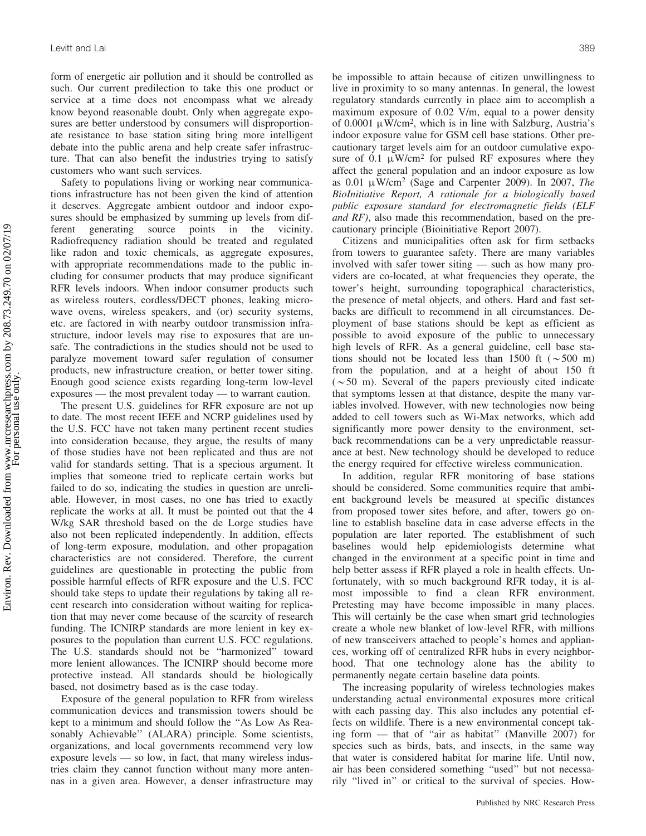form of energetic air pollution and it should be controlled as such. Our current predilection to take this one product or service at a time does not encompass what we already know beyond reasonable doubt. Only when aggregate exposures are better understood by consumers will disproportionate resistance to base station siting bring more intelligent debate into the public arena and help create safer infrastructure. That can also benefit the industries trying to satisfy customers who want such services.

Safety to populations living or working near communications infrastructure has not been given the kind of attention it deserves. Aggregate ambient outdoor and indoor exposures should be emphasized by summing up levels from different generating source points in the vicinity. Radiofrequency radiation should be treated and regulated like radon and toxic chemicals, as aggregate exposures, with appropriate recommendations made to the public including for consumer products that may produce significant RFR levels indoors. When indoor consumer products such as wireless routers, cordless/DECT phones, leaking microwave ovens, wireless speakers, and (or) security systems, etc. are factored in with nearby outdoor transmission infrastructure, indoor levels may rise to exposures that are unsafe. The contradictions in the studies should not be used to paralyze movement toward safer regulation of consumer products, new infrastructure creation, or better tower siting. Enough good science exists regarding long-term low-level exposures — the most prevalent today — to warrant caution.

The present U.S. guidelines for RFR exposure are not up to date. The most recent IEEE and NCRP guidelines used by the U.S. FCC have not taken many pertinent recent studies into consideration because, they argue, the results of many of those studies have not been replicated and thus are not valid for standards setting. That is a specious argument. It implies that someone tried to replicate certain works but failed to do so, indicating the studies in question are unreliable. However, in most cases, no one has tried to exactly replicate the works at all. It must be pointed out that the 4 W/kg SAR threshold based on the de Lorge studies have also not been replicated independently. In addition, effects of long-term exposure, modulation, and other propagation characteristics are not considered. Therefore, the current guidelines are questionable in protecting the public from possible harmful effects of RFR exposure and the U.S. FCC should take steps to update their regulations by taking all recent research into consideration without waiting for replication that may never come because of the scarcity of research funding. The ICNIRP standards are more lenient in key exposures to the population than current U.S. FCC regulations. The U.S. standards should not be ''harmonized'' toward more lenient allowances. The ICNIRP should become more protective instead. All standards should be biologically based, not dosimetry based as is the case today.

Exposure of the general population to RFR from wireless communication devices and transmission towers should be kept to a minimum and should follow the ''As Low As Reasonably Achievable'' (ALARA) principle. Some scientists, organizations, and local governments recommend very low exposure levels — so low, in fact, that many wireless industries claim they cannot function without many more antennas in a given area. However, a denser infrastructure may be impossible to attain because of citizen unwillingness to live in proximity to so many antennas. In general, the lowest regulatory standards currently in place aim to accomplish a maximum exposure of 0.02 V/m, equal to a power density of 0.0001  $\mu$ W/cm<sup>2</sup>, which is in line with Salzburg, Austria's indoor exposure value for GSM cell base stations. Other precautionary target levels aim for an outdoor cumulative exposure of 0.1  $\mu$ W/cm<sup>2</sup> for pulsed RF exposures where they affect the general population and an indoor exposure as low as 0.01 mW/cm2 (Sage and Carpenter 2009). In 2007, *The BioInitiative Report, A rationale for a biologically based public exposure standard for electromagnetic fields (ELF and RF)*, also made this recommendation, based on the precautionary principle (Bioinitiative Report 2007).

Citizens and municipalities often ask for firm setbacks from towers to guarantee safety. There are many variables involved with safer tower siting — such as how many providers are co-located, at what frequencies they operate, the tower's height, surrounding topographical characteristics, the presence of metal objects, and others. Hard and fast setbacks are difficult to recommend in all circumstances. Deployment of base stations should be kept as efficient as possible to avoid exposure of the public to unnecessary high levels of RFR. As a general guideline, cell base stations should not be located less than 1500 ft ( $\sim$  500 m) from the population, and at a height of about 150 ft ( $\sim$  50 m). Several of the papers previously cited indicate that symptoms lessen at that distance, despite the many variables involved. However, with new technologies now being added to cell towers such as Wi-Max networks, which add significantly more power density to the environment, setback recommendations can be a very unpredictable reassurance at best. New technology should be developed to reduce the energy required for effective wireless communication.

In addition, regular RFR monitoring of base stations should be considered. Some communities require that ambient background levels be measured at specific distances from proposed tower sites before, and after, towers go online to establish baseline data in case adverse effects in the population are later reported. The establishment of such baselines would help epidemiologists determine what changed in the environment at a specific point in time and help better assess if RFR played a role in health effects. Unfortunately, with so much background RFR today, it is almost impossible to find a clean RFR environment. Pretesting may have become impossible in many places. This will certainly be the case when smart grid technologies create a whole new blanket of low-level RFR, with millions of new transceivers attached to people's homes and appliances, working off of centralized RFR hubs in every neighborhood. That one technology alone has the ability to permanently negate certain baseline data points.

The increasing popularity of wireless technologies makes understanding actual environmental exposures more critical with each passing day. This also includes any potential effects on wildlife. There is a new environmental concept taking form — that of ''air as habitat'' (Manville 2007) for species such as birds, bats, and insects, in the same way that water is considered habitat for marine life. Until now, air has been considered something ''used'' but not necessarily ''lived in'' or critical to the survival of species. How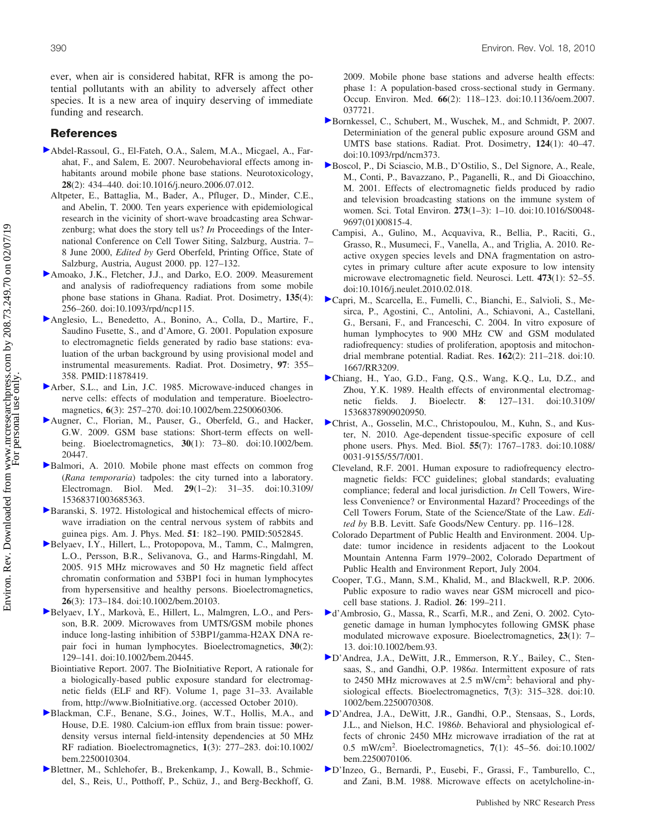ever, when air is considered habitat, RFR is among the potential pollutants with an ability to adversely affect other species. It is a new area of inquiry deserving of immediate funding and research.

## **References**

- Abdel-Rassoul, G., El-Fateh, O.A., Salem, M.A., Micgael, A., Farahat, F., and Salem, E. 2007. Neurobehavioral effects among inhabitants around mobile phone base stations. Neurotoxicology, **28**(2): 434–440. doi:10.1016/j.neuro.2006.07.012.
- Altpeter, E., Battaglia, M., Bader, A., Pfluger, D., Minder, C.E., and Abelin, T. 2000. Ten years experience with epidemiological research in the vicinity of short-wave broadcasting area Schwarzenburg; what does the story tell us? *In* Proceedings of the International Conference on Cell Tower Siting, Salzburg, Austria. 7– 8 June 2000, *Edited by* Gerd Oberfeld, Printing Office, State of Salzburg, Austria, August 2000. pp. 127–132.
- Amoako, J.K., Fletcher, J.J., and Darko, E.O. 2009. Measurement and analysis of radiofrequency radiations from some mobile phone base stations in Ghana. Radiat. Prot. Dosimetry, **135**(4): 256–260. doi:10.1093/rpd/ncp115.
- Anglesio, L., Benedetto, A., Bonino, A., Colla, D., Martire, F., Saudino Fusette, S., and d'Amore, G. 2001. Population exposure to electromagnetic fields generated by radio base stations: evaluation of the urban background by using provisional model and instrumental measurements. Radiat. Prot. Dosimetry, **97**: 355– 358. PMID:11878419.
- Arber, S.L., and Lin, J.C. 1985. Microwave-induced changes in nerve cells: effects of modulation and temperature. Bioelectromagnetics, **6**(3): 257–270. doi:10.1002/bem.2250060306.
- Augner, C., Florian, M., Pauser, G., Oberfeld, G., and Hacker, G.W. 2009. GSM base stations: Short-term effects on wellbeing. Bioelectromagnetics, **30**(1): 73–80. doi:10.1002/bem. 20447.
- Balmori, A. 2010. Mobile phone mast effects on common frog (*Rana temporaria*) tadpoles: the city turned into a laboratory. Electromagn. Biol. Med. **29**(1–2): 31–35. doi:10.3109/ 15368371003685363.
- Baranski, S. 1972. Histological and histochemical effects of microwave irradiation on the central nervous system of rabbits and guinea pigs. Am. J. Phys. Med. **51**: 182–190. PMID:5052845.
- Belyaev, I.Y., Hillert, L., Protopopova, M., Tamm, C., Malmgren, L.O., Persson, B.R., Selivanova, G., and Harms-Ringdahl, M. 2005. 915 MHz microwaves and 50 Hz magnetic field affect chromatin conformation and 53BP1 foci in human lymphocytes from hypersensitive and healthy persons. Bioelectromagnetics, **26**(3): 173–184. doi:10.1002/bem.20103.
- Belyaev, I.Y., Markovà, E., Hillert, L., Malmgren, L.O., and Persson, B.R. 2009. Microwaves from UMTS/GSM mobile phones induce long-lasting inhibition of 53BP1/gamma-H2AX DNA repair foci in human lymphocytes. Bioelectromagnetics, **30**(2): 129–141. doi:10.1002/bem.20445.
	- Biointiative Report. 2007. The BioInitiative Report, A rationale for a biologically-based public exposure standard for electromagnetic fields (ELF and RF). Volume 1, page 31–33. Available from, http://www.BioInitiative.org. (accessed October 2010).
- Blackman, C.F., Benane, S.G., Joines, W.T., Hollis, M.A., and House, D.E. 1980. Calcium-ion efflux from brain tissue: powerdensity versus internal field-intensity dependencies at 50 MHz RF radiation. Bioelectromagnetics, **1**(3): 277–283. doi:10.1002/ bem.2250010304.
- Blettner, M., Schlehofer, B., Brekenkamp, J., Kowall, B., Schmiedel, S., Reis, U., Potthoff, P., Schüz, J., and Berg-Beckhoff, G.

2009. Mobile phone base stations and adverse health effects: phase 1: A population-based cross-sectional study in Germany. Occup. Environ. Med. **66**(2): 118–123. doi:10.1136/oem.2007. 037721.

- [B](http://www.nrcresearchpress.com/action/showLinks?doi=10.1139%2FA10-018&pmid=17933788&crossref=10.1093%2Frpd%2Fncm373&isi=000250827200009&citationId=p_16_1)ornkessel, C., Schubert, M., Wuschek, M., and Schmidt, P. 2007. Determiniation of the general public exposure around GSM and UMTS base stations. Radiat. Prot. Dosimetry, **124**(1): 40–47. doi:10.1093/rpd/ncm373.
- [B](http://www.nrcresearchpress.com/action/showLinks?doi=10.1139%2FA10-018&pmid=11419593&crossref=10.1016%2FS0048-9697%2801%2900815-4&citationId=p_17_1)oscol, P., Di Sciascio, M.B., D'Ostilio, S., Del Signore, A., Reale, M., Conti, P., Bavazzano, P., Paganelli, R., and Di Gioacchino, M. 2001. Effects of electromagnetic fields produced by radio and television broadcasting stations on the immune system of women. Sci. Total Environ. **273**(1–3): 1–10. doi:10.1016/S0048- 9697(01)00815-4.
- Campisi, A., Gulino, M., Acquaviva, R., Bellia, P., Raciti, G., Grasso, R., Musumeci, F., Vanella, A., and Triglia, A. 2010. Reactive oxygen species levels and DNA fragmentation on astrocytes in primary culture after acute exposure to low intensity microwave electromagnetic field. Neurosci. Lett. **473**(1): 52–55. doi:10.1016/j.neulet.2010.02.018.
- [C](http://www.nrcresearchpress.com/action/showLinks?doi=10.1139%2FA10-018&pmid=15387149&crossref=10.1667%2FRR3209&isi=000223159500014&citationId=p_19_1)apri, M., Scarcella, E., Fumelli, C., Bianchi, E., Salvioli, S., Mesirca, P., Agostini, C., Antolini, A., Schiavoni, A., Castellani, G., Bersani, F., and Franceschi, C. 2004. In vitro exposure of human lymphocytes to 900 MHz CW and GSM modulated radiofrequency: studies of proliferation, apoptosis and mitochondrial membrane potential. Radiat. Res. **162**(2): 211–218. doi:10. 1667/RR3209.
- [C](http://www.nrcresearchpress.com/action/showLinks?doi=10.1139%2FA10-018&crossref=10.3109%2F15368378909020950&citationId=p_20_1)hiang, H., Yao, G.D., Fang, Q.S., Wang, K.Q., Lu, D.Z., and Zhou, Y.K. 1989. Health effects of environmental electromagnetic fields. J. Bioelectr. **8**: 127–131. doi:10.3109/ 15368378909020950.
- [C](http://www.nrcresearchpress.com/action/showLinks?doi=10.1139%2FA10-018&pmid=20208098&crossref=10.1088%2F0031-9155%2F55%2F7%2F001&isi=000275756200001&citationId=p_21_1)hrist, A., Gosselin, M.C., Christopoulou, M., Kuhn, S., and Kuster, N. 2010. Age-dependent tissue-specific exposure of cell phone users. Phys. Med. Biol. **55**(7): 1767–1783. doi:10.1088/ 0031-9155/55/7/001.
- Cleveland, R.F. 2001. Human exposure to radiofrequency electromagnetic fields: FCC guidelines; global standards; evaluating compliance; federal and local jurisdiction. *In* Cell Towers, Wireless Convenience? or Environmental Hazard? Proceedings of the Cell Towers Forum, State of the Science/State of the Law. *Edited by* B.B. Levitt. Safe Goods/New Century. pp. 116–128.
- Colorado Department of Public Health and Environment. 2004. Update: tumor incidence in residents adjacent to the Lookout Mountain Antenna Farm 1979–2002, Colorado Department of Public Health and Environment Report, July 2004.
- Cooper, T.G., Mann, S.M., Khalid, M., and Blackwell, R.P. 2006. Public exposure to radio waves near GSM microcell and picocell base stations. J. Radiol. **26**: 199–211.
- [d](http://www.nrcresearchpress.com/action/showLinks?doi=10.1139%2FA10-018&pmid=11793401&citationId=p_25_1)'Ambrosio, G., Massa, R., Scarfi, M.R., and Zeni, O. 2002. Cytogenetic damage in human lymphocytes following GMSK phase modulated microwave exposure. Bioelectromagnetics, **23**(1): 7– 13. doi:10.1002/bem.93.
- [D](http://www.nrcresearchpress.com/action/showLinks?doi=10.1139%2FA10-018&pmid=3753534&crossref=10.1002%2Fbem.2250070308&citationId=p_26_1)'Andrea, J.A., DeWitt, J.R., Emmerson, R.Y., Bailey, C., Stensaas, S., and Gandhi, O.P. 1986*a*. Intermittent exposure of rats to 2450 MHz microwaves at 2.5 mW/cm2: behavioral and physiological effects. Bioelectromagnetics, **7**(3): 315–328. doi:10. 1002/bem.2250070308.
- [D](http://www.nrcresearchpress.com/action/showLinks?doi=10.1139%2FA10-018&pmid=3730001&crossref=10.1002%2Fbem.2250070106&citationId=p_27_1)'Andrea, J.A., DeWitt, J.R., Gandhi, O.P., Stensaas, S., Lords, J.L., and Nielson, H.C. 1986*b*. Behavioral and physiological effects of chronic 2450 MHz microwave irradiation of the rat at 0.5 mW/cm2. Bioelectromagnetics, **7**(1): 45–56. doi:10.1002/ bem.2250070106.
- [D](http://www.nrcresearchpress.com/action/showLinks?doi=10.1139%2FA10-018&pmid=2461204&crossref=10.1002%2Fbem.2250090406&citationId=p_28_1)'Inzeo, G., Bernardi, P., Eusebi, F., Grassi, F., Tamburello, C., and Zani, B.M. 1988. Microwave effects on acetylcholine-in-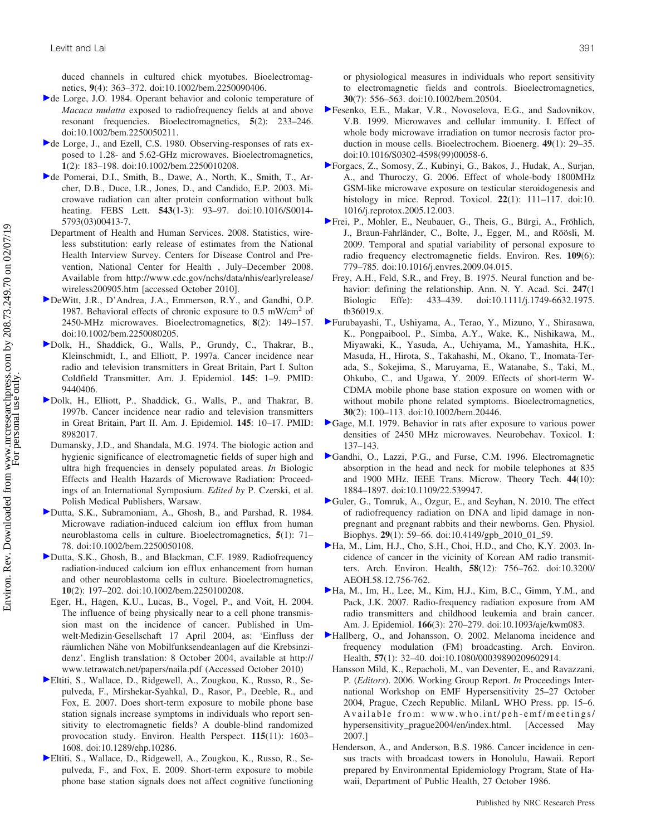duced channels in cultured chick myotubes. Bioelectromagnetics, **9**(4): 363–372. doi:10.1002/bem.2250090406.

- de Lorge, J.O. 1984. Operant behavior and colonic temperature of *Macaca mulatta* exposed to radiofrequency fields at and above resonant frequencies. Bioelectromagnetics, **5**(2): 233–246. doi:10.1002/bem.2250050211.
- de Lorge, J., and Ezell, C.S. 1980. Observing-responses of rats exposed to 1.28- and 5.62-GHz microwaves. Bioelectromagnetics, **1**(2): 183–198. doi:10.1002/bem.2250010208.
- de Pomerai, D.I., Smith, B., Dawe, A., North, K., Smith, T., Archer, D.B., Duce, I.R., Jones, D., and Candido, E.P. 2003. Microwave radiation can alter protein conformation without bulk heating. FEBS Lett. **543**(1-3): 93–97. doi:10.1016/S0014- 5793(03)00413-7.
- Department of Health and Human Services. 2008. Statistics, wireless substitution: early release of estimates from the National Health Interview Survey. Centers for Disease Control and Prevention, National Center for Health , July–December 2008. Available from http://www.cdc.gov/nchs/data/nhis/earlyrelease/ wireless200905.htm [accessed October 2010].
- DeWitt, J.R., D'Andrea, J.A., Emmerson, R.Y., and Gandhi, O.P. 1987. Behavioral effects of chronic exposure to 0.5 mW/cm<sup>2</sup> of 2450-MHz microwaves. Bioelectromagnetics, **8**(2): 149–157. doi:10.1002/bem.2250080205.
- Dolk, H., Shaddick, G., Walls, P., Grundy, C., Thakrar, B., Kleinschmidt, I., and Elliott, P. 1997a. Cancer incidence near radio and television transmitters in Great Britain, Part I. Sulton Coldfield Transmitter. Am. J. Epidemiol. **145**: 1–9. PMID: 9440406.
- Dolk, H., Elliott, P., Shaddick, G., Walls, P., and Thakrar, B. 1997b. Cancer incidence near radio and television transmitters in Great Britain, Part II. Am. J. Epidemiol. **145**: 10–17. PMID: 8982017.
- Dumansky, J.D., and Shandala, M.G. 1974. The biologic action and hygienic significance of electromagnetic fields of super high and ultra high frequencies in densely populated areas. *In* Biologic Effects and Health Hazards of Microwave Radiation: Proceedings of an International Symposium. *Edited by* P. Czerski, et al. Polish Medical Publishers, Warsaw.
- Dutta, S.K., Subramoniam, A., Ghosh, B., and Parshad, R. 1984. Microwave radiation-induced calcium ion efflux from human neuroblastoma cells in culture. Bioelectromagnetics, **5**(1): 71– 78. doi:10.1002/bem.2250050108.
- Dutta, S.K., Ghosh, B., and Blackman, C.F. 1989. Radiofrequency radiation-induced calcium ion efflux enhancement from human and other neuroblastoma cells in culture. Bioelectromagnetics, **10**(2): 197–202. doi:10.1002/bem.2250100208.
- Eger, H., Hagen, K.U., Lucas, B., Vogel, P., and Voit, H. 2004. The influence of being physically near to a cell phone transmission mast on the incidence of cancer. Published in Umwelt-Medizin-Gesellschaft 17 April 2004, as: 'Einfluss der räumlichen Nähe von Mobilfunksendeanlagen auf die Krebsinzidenz'. English translation: 8 October 2004, available at http:// www.tetrawatch.net/papers/naila.pdf (Accessed October 2010)
- Eltiti, S., Wallace, D., Ridgewell, A., Zougkou, K., Russo, R., Sepulveda, F., Mirshekar-Syahkal, D., Rasor, P., Deeble, R., and Fox, E. 2007. Does short-term exposure to mobile phone base station signals increase symptoms in individuals who report sensitivity to electromagnetic fields? A double-blind randomized provocation study. Environ. Health Perspect. **115**(11): 1603– 1608. doi:10.1289/ehp.10286.
- Eltiti, S., Wallace, D., Ridgewell, A., Zougkou, K., Russo, R., Sepulveda, F., and Fox, E. 2009. Short-term exposure to mobile phone base station signals does not affect cognitive functioning

or physiological measures in individuals who report sensitivity to electromagnetic fields and controls. Bioelectromagnetics, **30**(7): 556–563. doi:10.1002/bem.20504.

- [F](http://www.nrcresearchpress.com/action/showLinks?doi=10.1139%2FA10-018&pmid=10619445&crossref=10.1016%2FS0302-4598%2899%2900058-6&citationId=p_42_1)esenko, E.E., Makar, V.R., Novoselova, E.G., and Sadovnikov, V.B. 1999. Microwaves and cellular immunity. I. Effect of whole body microwave irradiation on tumor necrosis factor production in mouse cells. Bioelectrochem. Bioenerg. **49**(1): 29–35. doi:10.1016/S0302-4598(99)00058-6.
- [F](http://www.nrcresearchpress.com/action/showLinks?doi=10.1139%2FA10-018&pmid=16434166&crossref=10.1016%2Fj.reprotox.2005.12.003&isi=000239219600018&citationId=p_43_1)orgacs, Z., Somosy, Z., Kubinyi, G., Bakos, J., Hudak, A., Surjan, A., and Thuroczy, G. 2006. Effect of whole-body 1800MHz GSM-like microwave exposure on testicular steroidogenesis and histology in mice. Reprod. Toxicol. **22**(1): 111–117. doi:10. 1016/j.reprotox.2005.12.003.
- [F](http://www.nrcresearchpress.com/action/showLinks?doi=10.1139%2FA10-018&pmid=19476932&crossref=10.1016%2Fj.envres.2009.04.015&isi=000268054100019&citationId=p_44_1)rei, P., Mohler, E., Neubauer, G., Theis, G., Bürgi, A., Fröhlich, J., Braun-Fahrländer, C., Bolte, J., Egger, M., and Röösli, M. 2009. Temporal and spatial variability of personal exposure to radio frequency electromagnetic fields. Environ. Res. **109**(6): 779–785. doi:10.1016/j.envres.2009.04.015.
- Frey, A.H., Feld, S.R., and Frey, B. 1975. Neural function and behavior: defining the relationship. Ann. N. Y. Acad. Sci. **247**(1 Biologic Effe): 433–439. doi:10.1111/j.1749-6632.1975. tb36019.x.
- [F](http://www.nrcresearchpress.com/action/showLinks?doi=10.1139%2FA10-018&pmid=18780296&crossref=10.1002%2Fbem.20446&isi=000263303900003&citationId=p_46_1)urubayashi, T., Ushiyama, A., Terao, Y., Mizuno, Y., Shirasawa, K., Pongpaibool, P., Simba, A.Y., Wake, K., Nishikawa, M., Miyawaki, K., Yasuda, A., Uchiyama, M., Yamashita, H.K., Masuda, H., Hirota, S., Takahashi, M., Okano, T., Inomata-Terada, S., Sokejima, S., Maruyama, E., Watanabe, S., Taki, M., Ohkubo, C., and Ugawa, Y. 2009. Effects of short-term W-CDMA mobile phone base station exposure on women with or without mobile phone related symptoms. Bioelectromagnetics, **30**(2): 100–113. doi:10.1002/bem.20446.
- [G](http://www.nrcresearchpress.com/action/showLinks?doi=10.1139%2FA10-018&pmid=233760&citationId=p_47_1)age, M.I. 1979. Behavior in rats after exposure to various power densities of 2450 MHz microwaves. Neurobehav. Toxicol. **1**: 137–143.
- [G](http://www.nrcresearchpress.com/action/showLinks?doi=10.1139%2FA10-018&crossref=10.1109%2F22.539947&isi=A1996VM86200017&citationId=p_48_1)andhi, O., Lazzi, P.G., and Furse, C.M. 1996. Electromagnetic absorption in the head and neck for mobile telephones at 835 and 1900 MHz. IEEE Trans. Microw. Theory Tech. **44**(10): 1884–1897. doi:10.1109/22.539947.
- [G](http://www.nrcresearchpress.com/action/showLinks?doi=10.1139%2FA10-018&pmid=20371881&crossref=10.4149%2Fgpb_2010_01_59&isi=000277136800008&citationId=p_49_1)uler, G., Tomruk, A., Ozgur, E., and Seyhan, N. 2010. The effect of radiofrequency radiation on DNA and lipid damage in nonpregnant and pregnant rabbits and their newborns. Gen. Physiol. Biophys. **29**(1): 59–66. doi:10.4149/gpb\_2010\_01\_59.
- [H](http://www.nrcresearchpress.com/action/showLinks?doi=10.1139%2FA10-018&pmid=15859510&crossref=10.3200%2FAEOH.58.12.756-762&citationId=p_50_1)a, M., Lim, H.J., Cho, S.H., Choi, H.D., and Cho, K.Y. 2003. Incidence of cancer in the vicinity of Korean AM radio transmitters. Arch. Environ. Health, **58**(12): 756–762. doi:10.3200/ AEOH.58.12.756-762.
- [H](http://www.nrcresearchpress.com/action/showLinks?doi=10.1139%2FA10-018&pmid=17556764&crossref=10.1093%2Faje%2Fkwm083&isi=000248374500006&citationId=p_51_1)a, M., Im, H., Lee, M., Kim, H.J., Kim, B.C., Gimm, Y.M., and Pack, J.K. 2007. Radio-frequency radiation exposure from AM radio transmitters and childhood leukemia and brain cancer. Am. J. Epidemiol. **166**(3): 270–279. doi:10.1093/aje/kwm083.
- [H](http://www.nrcresearchpress.com/action/showLinks?doi=10.1139%2FA10-018&pmid=12071358&crossref=10.1080%2F00039890209602914&citationId=p_52_1)allberg, O., and Johansson, O. 2002. Melanoma incidence and frequency modulation (FM) broadcasting. Arch. Environ. Health, **57**(1): 32–40. doi:10.1080/00039890209602914.
	- Hansson Mild, K., Repacholi, M., van Deventer, E., and Ravazzani, P. (*Editors*). 2006. Working Group Report. *In* Proceedings International Workshop on EMF Hypersensitivity 25–27 October 2004, Prague, Czech Republic. MilanL WHO Press. pp. 15–6. Available from: www.who.int/peh-emf/meetings/ hypersensitivity\_prague2004/en/index.html. [Accessed May 2007.]
	- Henderson, A., and Anderson, B.S. 1986. Cancer incidence in census tracts with broadcast towers in Honolulu, Hawaii. Report prepared by Environmental Epidemiology Program, State of Hawaii, Department of Public Health, 27 October 1986.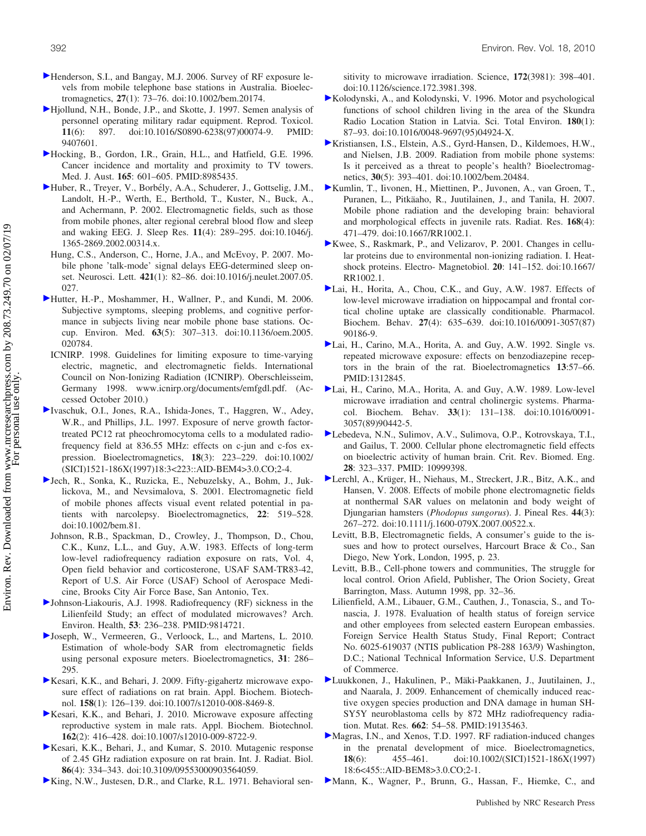- Henderson, S.I., and Bangay, M.J. 2006. Survey of RF exposure levels from mobile telephone base stations in Australia. Bioelectromagnetics, **27**(1): 73–76. doi:10.1002/bem.20174.
- Hjollund, N.H., Bonde, J.P., and Skotte, J. 1997. Semen analysis of personnel operating military radar equipment. Reprod. Toxicol. **11**(6): 897. doi:10.1016/S0890-6238(97)00074-9. PMID: 9407601.
- Hocking, B., Gordon, I.R., Grain, H.L., and Hatfield, G.E. 1996. Cancer incidence and mortality and proximity to TV towers. Med. J. Aust. **165**: 601–605. PMID:8985435.
- Huber, R., Treyer, V., Borbély, A.A., Schuderer, J., Gottselig, J.M., Landolt, H.-P., Werth, E., Berthold, T., Kuster, N., Buck, A., and Achermann, P. 2002. Electromagnetic fields, such as those from mobile phones, alter regional cerebral blood flow and sleep and waking EEG. J. Sleep Res. **11**(4): 289–295. doi:10.1046/j. 1365-2869.2002.00314.x.
- Hung, C.S., Anderson, C., Horne, J.A., and McEvoy, P. 2007. Mobile phone 'talk-mode' signal delays EEG-determined sleep onset. Neurosci. Lett. **421**(1): 82–86. doi:10.1016/j.neulet.2007.05. 027.
- Hutter, H.-P., Moshammer, H., Wallner, P., and Kundi, M. 2006. Subjective symptoms, sleeping problems, and cognitive performance in subjects living near mobile phone base stations. Occup. Environ. Med. **63**(5): 307–313. doi:10.1136/oem.2005. 020784.
- ICNIRP. 1998. Guidelines for limiting exposure to time-varying electric, magnetic, and electromagnetic fields. International Council on Non-Ionizing Radiation (ICNIRP). Oberschleisseim, Germany 1998. www.icnirp.org/documents/emfgdl.pdf. (Accessed October 2010.)
- Ivaschuk, O.I., Jones, R.A., Ishida-Jones, T., Haggren, W., Adey, W.R., and Phillips, J.L. 1997. Exposure of nerve growth factortreated PC12 rat pheochromocytoma cells to a modulated radiofrequency field at 836.55 MHz: effects on c-jun and c-fos expression. Bioelectromagnetics, **18**(3): 223–229. doi:10.1002/ (SICI)1521-186X(1997)18:3<223::AID-BEM4>3.0.CO;2-4.
- Jech, R., Sonka, K., Ruzicka, E., Nebuzelsky, A., Bohm, J., Juklickova, M., and Nevsimalova, S. 2001. Electromagnetic field of mobile phones affects visual event related potential in patients with narcolepsy. Bioelectromagnetics, **22**: 519–528. doi:10.1002/bem.81.
- Johnson, R.B., Spackman, D., Crowley, J., Thompson, D., Chou, C.K., Kunz, L.L., and Guy, A.W. 1983. Effects of long-term low-level radiofrequency radiation exposure on rats, Vol. 4, Open field behavior and corticosterone, USAF SAM-TR83-42, Report of U.S. Air Force (USAF) School of Aerospace Medicine, Brooks City Air Force Base, San Antonio, Tex.
- Johnson-Liakouris, A.J. 1998. Radiofrequency (RF) sickness in the Lilienfeild Study; an effect of modulated microwaves? Arch. Environ. Health, **53**: 236–238. PMID:9814721.
- Joseph, W., Vermeeren, G., Verloock, L., and Martens, L. 2010. Estimation of whole-body SAR from electromagnetic fields using personal exposure meters. Bioelectromagnetics, **31**: 286– 295.
- Kesari, K.K., and Behari, J. 2009. Fifty-gigahertz microwave exposure effect of radiations on rat brain. Appl. Biochem. Biotechnol. **158**(1): 126–139. doi:10.1007/s12010-008-8469-8.
- Kesari, K.K., and Behari, J. 2010. Microwave exposure affecting reproductive system in male rats. Appl. Biochem. Biotechnol. **162**(2): 416–428. doi:10.1007/s12010-009-8722-9.
- Kesari, K.K., Behari, J., and Kumar, S. 2010. Mutagenic response of 2.45 GHz radiation exposure on rat brain. Int. J. Radiat. Biol. **86**(4): 334–343. doi:10.3109/09553000903564059.
- King, N.W., Justesen, D.R., and Clarke, R.L. 1971. Behavioral sen-

sitivity to microwave irradiation. Science, **172**(3981): 398–401. doi:10.1126/science.172.3981.398.

- [K](http://www.nrcresearchpress.com/action/showLinks?doi=10.1139%2FA10-018&pmid=8717320&crossref=10.1016%2F0048-9697%2895%2904924-X&isi=A1996TY40900013&citationId=p_71_1)olodynski, A., and Kolodynski, V. 1996. Motor and psychological functions of school children living in the area of the Skundra Radio Location Station in Latvia. Sci. Total Environ. **180**(1): 87–93. doi:10.1016/0048-9697(95)04924-X.
- [K](http://www.nrcresearchpress.com/action/showLinks?doi=10.1139%2FA10-018&pmid=19309020&crossref=10.1002%2Fbem.20484&isi=000267253100008&citationId=p_72_1)ristiansen, I.S., Elstein, A.S., Gyrd-Hansen, D., Kildemoes, H.W., and Nielsen, J.B. 2009. Radiation from mobile phone systems: Is it perceived as a threat to people's health? Bioelectromagnetics, **30**(5): 393–401. doi:10.1002/bem.20484.
- [K](http://www.nrcresearchpress.com/action/showLinks?doi=10.1139%2FA10-018&pmid=17903040&crossref=10.1667%2FRR1002.1&isi=000249793600012&citationId=p_73_1)umlin, T., Iivonen, H., Miettinen, P., Juvonen, A., van Groen, T., Puranen, L., Pitkäaho, R., Juutilainen, J., and Tanila, H. 2007. Mobile phone radiation and the developing brain: behavioral and morphological effects in juvenile rats. Radiat. Res. **168**(4): 471–479. doi:10.1667/RR1002.1.
- [K](http://www.nrcresearchpress.com/action/showLinks?doi=10.1139%2FA10-018&crossref=10.1667%2FRR1002.1&citationId=p_74_1)wee, S., Raskmark, P., and Velizarov, P. 2001. Changes in cellular proteins due to environmental non-ionizing radiation. I. Heatshock proteins. Electro- Magnetobiol. **20**: 141–152. doi:10.1667/ RR1002.1.
- [L](http://www.nrcresearchpress.com/action/showLinks?doi=10.1139%2FA10-018&pmid=3659088&crossref=10.1016%2F0091-3057%2887%2990186-9&isi=A1987J572600005&citationId=p_75_1)ai, H., Horita, A., Chou, C.K., and Guy, A.W. 1987. Effects of low-level microwave irradiation on hippocampal and frontal cortical choline uptake are classically conditionable. Pharmacol. Biochem. Behav. **27**(4): 635–639. doi:10.1016/0091-3057(87) 90186-9.
- [L](http://www.nrcresearchpress.com/action/showLinks?doi=10.1139%2FA10-018&pmid=1312845&isi=A1992HB44900006&citationId=p_76_1)ai, H., Carino, M.A., Horita, A. and Guy, A.W. 1992. Single vs. repeated microwave exposure: effects on benzodiazepine receptors in the brain of the rat. Bioelectromagnetics **13**:57–66. PMID:1312845.
- [L](http://www.nrcresearchpress.com/action/showLinks?doi=10.1139%2FA10-018&pmid=2675124&crossref=10.1016%2F0091-3057%2889%2990442-5&isi=A1989AK77700024&citationId=p_77_1)ai, H., Carino, M.A., Horita, A. and Guy, A.W. 1989. Low-level microwave irradiation and central cholinergic systems. Pharmacol. Biochem. Behav. **33**(1): 131–138. doi:10.1016/0091- 3057(89)90442-5.
- [L](http://www.nrcresearchpress.com/action/showLinks?doi=10.1139%2FA10-018&pmid=10999398&isi=000089248200046&citationId=p_78_1)ebedeva, N.N., Sulimov, A.V., Sulimova, O.P., Kotrovskaya, T.I., and Gailus, T. 2000. Cellular phone electromagnetic field effects on bioelectric activity of human brain. Crit. Rev. Biomed. Eng. **28**: 323–337. PMID: 10999398.
- ▶[L](http://www.nrcresearchpress.com/action/showLinks?doi=10.1139%2FA10-018&pmid=18339122&crossref=10.1111%2Fj.1600-079X.2007.00522.x&citationId=p_79_1)erchl, A., Krüger, H., Niehaus, M., Streckert, J.R., Bitz, A.K., and Hansen, V. 2008. Effects of mobile phone electromagnetic fields at nonthermal SAR values on melatonin and body weight of Djungarian hamsters (*Phodopus sungorus*). J. Pineal Res. **44**(3): 267–272. doi:10.1111/j.1600-079X.2007.00522.x.
- Levitt, B.B, Electromagnetic fields, A consumer's guide to the issues and how to protect ourselves, Harcourt Brace & Co., San Diego, New York, London, 1995, p. 23.
- Levitt, B.B., Cell-phone towers and communities, The struggle for local control. Orion Afield, Publisher, The Orion Society, Great Barrington, Mass. Autumn 1998, pp. 32–36.
- Lilienfield, A.M., Libauer, G.M., Cauthen, J., Tonascia, S., and Tonascia, J. 1978. Evaluation of health status of foreign service and other employees from selected eastern European embassies. Foreign Service Health Status Study, Final Report; Contract No. 6025-619037 (NTIS publication P8-288 163/9) Washington, D.C.; National Technical Information Service, U.S. Department of Commerce.
- ▶[L](http://www.nrcresearchpress.com/action/showLinks?doi=10.1139%2FA10-018&pmid=19135463&isi=000264580800010&citationId=p_83_1)uukkonen, J., Hakulinen, P., Mäki-Paakkanen, J., Juutilainen, J., and Naarala, J. 2009. Enhancement of chemically induced reactive oxygen species production and DNA damage in human SH-SY5Y neuroblastoma cells by 872 MHz radiofrequency radiation. Mutat. Res. **662**: 54–58. PMID:19135463.
- [M](http://www.nrcresearchpress.com/action/showLinks?doi=10.1139%2FA10-018&pmid=9261543&crossref=10.1002%2F%28SICI%291521-186X%281997%2918%3A6%3C455%3A%3AAID-BEM8%3E3.0.CO%3B2-1&isi=A1997XP27500008&citationId=p_84_1)agras, I.N., and Xenos, T.D. 1997. RF radiation-induced changes in the prenatal development of mice. Bioelectromagnetics, **18**(6): 455–461. doi:10.1002/(SICI)1521-186X(1997) 18:6<455::AID-BEM8>3.0.CO;2-1.
- [M](http://www.nrcresearchpress.com/action/showLinks?doi=10.1139%2FA10-018&pmid=9508044&crossref=10.1159%2F000054308&isi=000071984200008&citationId=p_85_1)ann, K., Wagner, P., Brunn, G., Hassan, F., Hiemke, C., and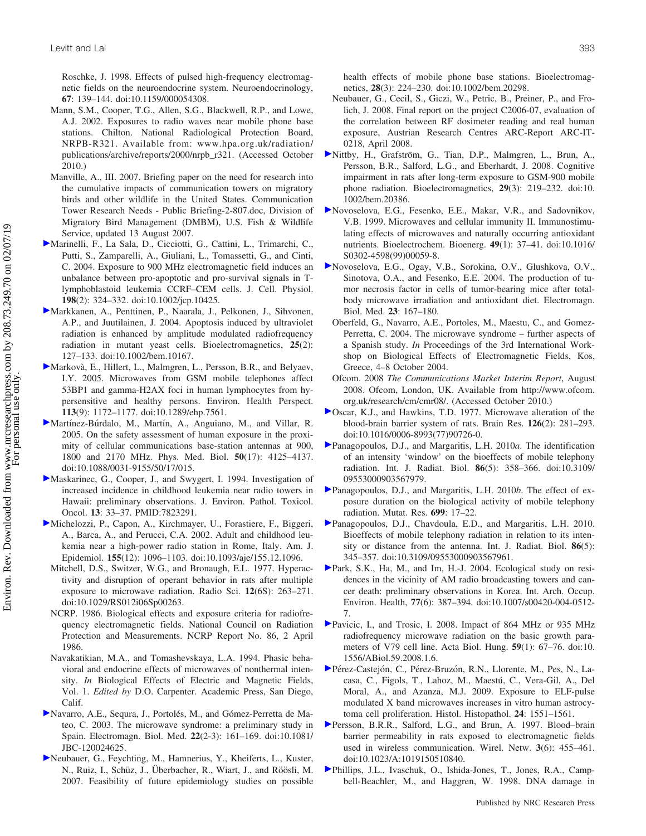Roschke, J. 1998. Effects of pulsed high-frequency electromagnetic fields on the neuroendocrine system. Neuroendocrinology, **67**: 139–144. doi:10.1159/000054308.

- Mann, S.M., Cooper, T.G., Allen, S.G., Blackwell, R.P., and Lowe, A.J. 2002. Exposures to radio waves near mobile phone base stations. Chilton. National Radiological Protection Board, NRPB-R321. Available from: www.hpa.org.uk/radiation/ publications/archive/reports/2000/nrpb\_r321. (Accessed October 2010.)
- Manville, A., III. 2007. Briefing paper on the need for research into the cumulative impacts of communication towers on migratory birds and other wildlife in the United States. Communication Tower Research Needs - Public Briefing-2-807.doc, Division of Migratory Bird Management (DMBM), U.S. Fish & Wildlife Service, updated 13 August 2007.
- Marinelli, F., La Sala, D., Cicciotti, G., Cattini, L., Trimarchi, C., Putti, S., Zamparelli, A., Giuliani, L., Tomassetti, G., and Cinti, C. 2004. Exposure to 900 MHz electromagnetic field induces an unbalance between pro-apoptotic and pro-survival signals in Tlymphoblastoid leukemia CCRF–CEM cells. J. Cell. Physiol. **198**(2): 324–332. doi:10.1002/jcp.10425.
- Markkanen, A., Penttinen, P., Naarala, J., Pelkonen, J., Sihvonen, A.P., and Juutilainen, J. 2004. Apoptosis induced by ultraviolet radiation is enhanced by amplitude modulated radiofrequency radiation in mutant yeast cells. Bioelectromagnetics, **25**(2): 127–133. doi:10.1002/bem.10167.
- Markovà, E., Hillert, L., Malmgren, L., Persson, B.R., and Belyaev, I.Y. 2005. Microwaves from GSM mobile telephones affect 53BP1 and gamma-H2AX foci in human lymphocytes from hypersensitive and healthy persons. Environ. Health Perspect. **113**(9): 1172–1177. doi:10.1289/ehp.7561.
- Martínez-Búrdalo, M., Martín, A., Anguiano, M., and Villar, R. 2005. On the safety assessment of human exposure in the proximity of cellular communications base-station antennas at 900, 1800 and 2170 MHz. Phys. Med. Biol. **50**(17): 4125–4137. doi:10.1088/0031-9155/50/17/015.
- Maskarinec, G., Cooper, J., and Swygert, I. 1994. Investigation of increased incidence in childhood leukemia near radio towers in Hawaii: preliminary observations. J. Environ. Pathol. Toxicol. Oncol. **13**: 33–37. PMID:7823291.
- Michelozzi, P., Capon, A., Kirchmayer, U., Forastiere, F., Biggeri, A., Barca, A., and Perucci, C.A. 2002. Adult and childhood leukemia near a high-power radio station in Rome, Italy. Am. J. Epidemiol. **155**(12): 1096–1103. doi:10.1093/aje/155.12.1096.
- Mitchell, D.S., Switzer, W.G., and Bronaugh, E.L. 1977. Hyperactivity and disruption of operant behavior in rats after multiple exposure to microwave radiation. Radio Sci. **12**(6S): 263–271. doi:10.1029/RS012i06Sp00263.
- NCRP. 1986. Biological effects and exposure criteria for radiofrequency electromagnetic fields. National Council on Radiation Protection and Measurements. NCRP Report No. 86, 2 April 1986.
- Navakatikian, M.A., and Tomashevskaya, L.A. 1994. Phasic behavioral and endocrine effects of microwaves of nonthermal intensity. *In* Biological Effects of Electric and Magnetic Fields, Vol. 1. *Edited by* D.O. Carpenter. Academic Press, San Diego, Calif.
- Navarro, A.E., Sequra, J., Portolés, M., and Gómez-Perretta de Mateo, C. 2003. The microwave syndrome: a preliminary study in Spain. Electromagn. Biol. Med. **22**(2-3): 161–169. doi:10.1081/ JBC-120024625.
- Neubauer, G., Feychting, M., Hamnerius, Y., Kheiferts, L., Kuster, N., Ruiz, I., Schüz, J., Überbacher, R., Wiart, J., and Röösli, M. 2007. Feasibility of future epidemiology studies on possible

health effects of mobile phone base stations. Bioelectromagnetics, **28**(3): 224–230. doi:10.1002/bem.20298.

- Neubauer, G., Cecil, S., Giczi, W., Petric, B., Preiner, P., and Frolich, J. 2008. Final report on the project C2006-07, evaluation of the correlation between RF dosimeter reading and real human exposure, Austrian Research Centres ARC-Report ARC-IT-0218, April 2008.
- ▶[N](http://www.nrcresearchpress.com/action/showLinks?doi=10.1139%2FA10-018&pmid=18044737&crossref=10.1002%2Fbem.20386&isi=000254479100008&citationId=p_100_1)ittby, H., Grafström, G., Tian, D.P., Malmgren, L., Brun, A., Persson, B.R., Salford, L.G., and Eberhardt, J. 2008. Cognitive impairment in rats after long-term exposure to GSM-900 mobile phone radiation. Bioelectromagnetics, **29**(3): 219–232. doi:10. 1002/bem.20386.
- [N](http://www.nrcresearchpress.com/action/showLinks?doi=10.1139%2FA10-018&pmid=10619446&crossref=10.1016%2FS0302-4598%2899%2900059-8&citationId=p_101_1)ovoselova, E.G., Fesenko, E.E., Makar, V.R., and Sadovnikov, V.B. 1999. Microwaves and cellular immunity II. Immunostimulating effects of microwaves and naturally occurring antioxidant nutrients. Bioelectrochem. Bioenerg. **49**(1): 37–41. doi:10.1016/ S0302-4598(99)00059-8.
- [N](http://www.nrcresearchpress.com/action/showLinks?doi=10.1139%2FA10-018&isi=000226278300009&citationId=p_102_1)ovoselova, E.G., Ogay, V.B., Sorokina, O.V., Glushkova, O.V., Sinotova, O.A., and Fesenko, E.E. 2004. The production of tumor necrosis factor in cells of tumor-bearing mice after totalbody microwave irradiation and antioxidant diet. Electromagn. Biol. Med. **23**: 167–180.
- Oberfeld, G., Navarro, A.E., Portoles, M., Maestu, C., and Gomez-Perretta, C. 2004. The microwave syndrome – further aspects of a Spanish study. *In* Proceedings of the 3rd International Workshop on Biological Effects of Electromagnetic Fields, Kos, Greece, 4–8 October 2004.
- Ofcom. 2008 *The Communications Market Interim Report*, August 2008. Ofcom, London, UK. Available from http://www.ofcom. org.uk/research/cm/cmr08/. (Accessed October 2010.)
- [O](http://www.nrcresearchpress.com/action/showLinks?doi=10.1139%2FA10-018&pmid=861720&crossref=10.1016%2F0006-8993%2877%2990726-0&isi=A1977DF04900006&citationId=p_105_1)scar, K.J., and Hawkins, T.D. 1977. Microwave alteration of the blood-brain barrier system of rats. Brain Res. **126**(2): 281–293. doi:10.1016/0006-8993(77)90726-0.
- [P](http://www.nrcresearchpress.com/action/showLinks?doi=10.1139%2FA10-018&pmid=20397840&crossref=10.3109%2F09553000903567979&isi=000276767500002&citationId=p_106_1)anagopoulos, D.J., and Margaritis, L.H. 2010*a*. The identification of an intensity 'window' on the bioeffects of mobile telephony radiation. Int. J. Radiat. Biol. **86**(5): 358–366. doi:10.3109/ 09553000903567979.
- [P](http://www.nrcresearchpress.com/action/showLinks?doi=10.1139%2FA10-018&pmid=20399887&isi=000279528700004&citationId=p_107_1)anagopoulos, D.J., and Margaritis, L.H. 2010*b*. The effect of exposure duration on the biological activity of mobile telephony radiation. Mutat. Res. **699**: 17–22.
- [P](http://www.nrcresearchpress.com/action/showLinks?doi=10.1139%2FA10-018&pmid=20397839&crossref=10.3109%2F09553000903567961&isi=000276767500001&citationId=p_108_1)anagopoulos, D.J., Chavdoula, E.D., and Margaritis, L.H. 2010. Bioeffects of mobile telephony radiation in relation to its intensity or distance from the antenna. Int. J. Radiat. Biol. **86**(5): 345–357. doi:10.3109/09553000903567961.
- [P](http://www.nrcresearchpress.com/action/showLinks?doi=10.1139%2FA10-018&pmid=15338224&crossref=10.1007%2Fs00420-004-0512-7&isi=000223558800003&citationId=p_109_1)ark, S.K., Ha, M., and Im, H.-J. 2004. Ecological study on residences in the vicinity of AM radio broadcasting towers and cancer death: preliminary observations in Korea. Int. Arch. Occup. Environ. Health, **77**(6): 387–394. doi:10.1007/s00420-004-0512- 7.
- [P](http://www.nrcresearchpress.com/action/showLinks?doi=10.1139%2FA10-018&pmid=18401946&crossref=10.1556%2FABiol.59.2008.1.6&isi=000253256600006&citationId=p_110_1)avicic, I., and Trosic, I. 2008. Impact of 864 MHz or 935 MHz radiofrequency microwave radiation on the basic growth parameters of V79 cell line. Acta Biol. Hung. **59**(1): 67–76. doi:10. 1556/ABiol.59.2008.1.6.
- [P](http://www.nrcresearchpress.com/action/showLinks?doi=10.1139%2FA10-018&pmid=19795354&isi=000271391600008&citationId=p_111_1)érez-Castejón, C., Pérez-Bruzón, R.N., Llorente, M., Pes, N., Lacasa, C., Figols, T., Lahoz, M., Maestú, C., Vera-Gil, A., Del Moral, A., and Azanza, M.J. 2009. Exposure to ELF-pulse modulated X band microwaves increases in vitro human astrocytoma cell proliferation. Histol. Histopathol. **24**: 1551–1561.
- [P](http://www.nrcresearchpress.com/action/showLinks?doi=10.1139%2FA10-018&crossref=10.1023%2FA%3A1019150510840&citationId=p_112_1)ersson, B.R.R., Salford, L.G., and Brun, A. 1997. Blood–brain barrier permeability in rats exposed to electromagnetic fields used in wireless communication. Wirel. Netw. **3**(6): 455–461. doi:10.1023/A:1019150510840.
- [P](http://www.nrcresearchpress.com/action/showLinks?doi=10.1139%2FA10-018&crossref=10.1016%2FS0302-4598%2898%2900074-9&citationId=p_113_1)hillips, J.L., Ivaschuk, O., Ishida-Jones, T., Jones, R.A., Campbell-Beachler, M., and Haggren, W. 1998. DNA damage in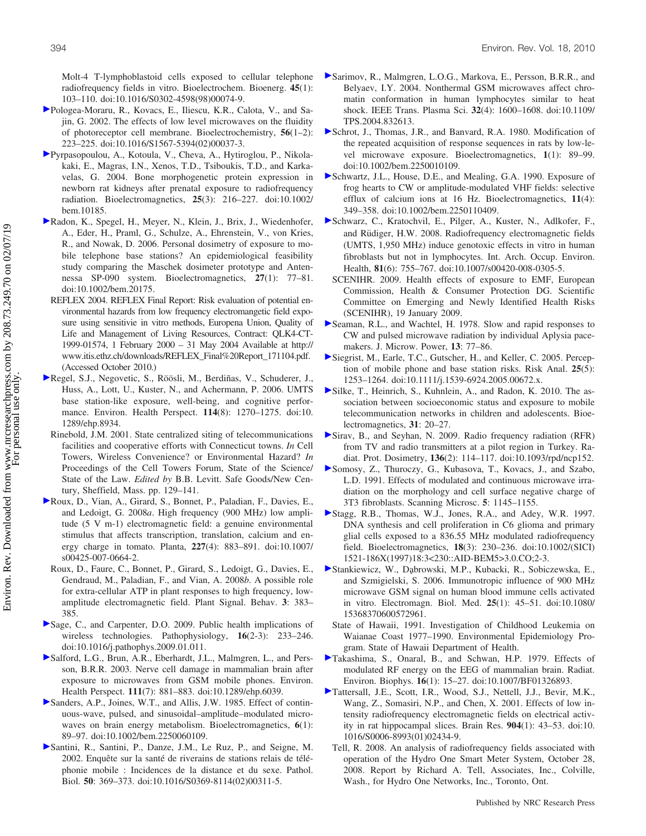Molt-4 T-lymphoblastoid cells exposed to cellular telephone radiofrequency fields in vitro. Bioelectrochem. Bioenerg. **45**(1): 103–110. doi:10.1016/S0302-4598(98)00074-9.

- Pologea-Moraru, R., Kovacs, E., Iliescu, K.R., Calota, V., and Sajin, G. 2002. The effects of low level microwaves on the fluidity of photoreceptor cell membrane. Bioelectrochemistry, **56**(1–2): 223–225. doi:10.1016/S1567-5394(02)00037-3.
- Pyrpasopoulou, A., Kotoula, V., Cheva, A., Hytiroglou, P., Nikolakaki, E., Magras, I.N., Xenos, T.D., Tsiboukis, T.D., and Karkavelas, G. 2004. Bone morphogenetic protein expression in newborn rat kidneys after prenatal exposure to radiofrequency radiation. Bioelectromagnetics, **25**(3): 216–227. doi:10.1002/ bem.10185.
- Radon, K., Spegel, H., Meyer, N., Klein, J., Brix, J., Wiedenhofer, A., Eder, H., Praml, G., Schulze, A., Ehrenstein, V., von Kries, R., and Nowak, D. 2006. Personal dosimetry of exposure to mobile telephone base stations? An epidemiological feasibility study comparing the Maschek dosimeter prototype and Antennessa SP-090 system. Bioelectromagnetics, **27**(1): 77–81. doi:10.1002/bem.20175.
- REFLEX 2004. REFLEX Final Report: Risk evaluation of potential environmental hazards from low frequency electromangetic field exposure using sensitivie in vitro methods, Europena Union, Quality of Life and Management of Living Resources, Contract: QLK4-CT-1999-01574, 1 February 2000 – 31 May 2004 Available at http:// www.itis.ethz.ch/downloads/REFLEX\_Final%20Report\_171104.pdf. (Accessed October 2010.)
- Regel, S.J., Negovetic, S., Röösli, M., Berdiñas, V., Schuderer, J., Huss, A., Lott, U., Kuster, N., and Achermann, P. 2006. UMTS base station-like exposure, well-being, and cognitive performance. Environ. Health Perspect. **114**(8): 1270–1275. doi:10. 1289/ehp.8934.
- Rinebold, J.M. 2001. State centralized siting of telecommunications facilities and cooperative efforts with Connecticut towns. *In* Cell Towers, Wireless Convenience? or Environmental Hazard? *In* Proceedings of the Cell Towers Forum, State of the Science/ State of the Law. *Edited by* B.B. Levitt. Safe Goods/New Century, Sheffield, Mass. pp. 129–141.
- Roux, D., Vian, A., Girard, S., Bonnet, P., Paladian, F., Davies, E., and Ledoigt, G. 2008*a*. High frequency (900 MHz) low amplitude (5 V m-1) electromagnetic field: a genuine environmental stimulus that affects transcription, translation, calcium and energy charge in tomato. Planta, **227**(4): 883–891. doi:10.1007/ s00425-007-0664-2.
- Roux, D., Faure, C., Bonnet, P., Girard, S., Ledoigt, G., Davies, E., Gendraud, M., Paladian, F., and Vian, A. 2008*b*. A possible role for extra-cellular ATP in plant responses to high frequency, lowamplitude electromagnetic field. Plant Signal. Behav. **3**: 383– 385.
- Sage, C., and Carpenter, D.O. 2009. Public health implications of wireless technologies. Pathophysiology, **16**(2-3): 233–246. doi:10.1016/j.pathophys.2009.01.011.
- Salford, L.G., Brun, A.R., Eberhardt, J.L., Malmgren, L., and Persson, B.R.R. 2003. Nerve cell damage in mammalian brain after exposure to microwaves from GSM mobile phones. Environ. Health Perspect. **111**(7): 881–883. doi:10.1289/ehp.6039.
- Sanders, A.P., Joines, W.T., and Allis, J.W. 1985. Effect of continuous-wave, pulsed, and sinusoidal–amplitude–modulated microwaves on brain energy metabolism. Bioelectromagnetics, **6**(1): 89–97. doi:10.1002/bem.2250060109.
- Santini, R., Santini, P., Danze, J.M., Le Ruz, P., and Seigne, M. 2002. Enquête sur la santé de riverains de stations relais de téléphonie mobile : Incidences de la distance et du sexe. Pathol. Biol. **50**: 369–373. doi:10.1016/S0369-8114(02)00311-5.
- [S](http://www.nrcresearchpress.com/action/showLinks?doi=10.1139%2FA10-018&crossref=10.1109%2FTPS.2004.832613&isi=000224544700011&citationId=p_126_1)arimov, R., Malmgren, L.O.G., Markova, E., Persson, B.R.R., and Belyaev, I.Y. 2004. Nonthermal GSM microwaves affect chromatin conformation in human lymphocytes similar to heat shock. IEEE Trans. Plasma Sci. **32**(4): 1600–1608. doi:10.1109/ TPS.2004.832613.
- [S](http://www.nrcresearchpress.com/action/showLinks?doi=10.1139%2FA10-018&pmid=7284018&crossref=10.1002%2Fbem.2250010109&citationId=p_127_1)chrot, J., Thomas, J.R., and Banvard, R.A. 1980. Modification of the repeated acquisition of response sequences in rats by low-level microwave exposure. Bioelectromagnetics, **1**(1): 89–99. doi:10.1002/bem.2250010109.
- [S](http://www.nrcresearchpress.com/action/showLinks?doi=10.1139%2FA10-018&pmid=2285418&crossref=10.1002%2Fbem.2250110409&isi=A1990EP54200008&citationId=p_128_1)chwartz, J.L., House, D.E., and Mealing, G.A. 1990. Exposure of frog hearts to CW or amplitude-modulated VHF fields: selective efflux of calcium ions at 16 Hz. Bioelectromagnetics, **11**(4): 349–358. doi:10.1002/bem.2250110409.
- [S](http://www.nrcresearchpress.com/action/showLinks?doi=10.1139%2FA10-018&pmid=18278508&crossref=10.1007%2Fs00420-008-0305-5&isi=000253571700009&citationId=p_129_1)chwarz, C., Kratochvil, E., Pilger, A., Kuster, N., Adlkofer, F., and Rüdiger, H.W. 2008. Radiofrequency electromagnetic fields (UMTS, 1,950 MHz) induce genotoxic effects in vitro in human fibroblasts but not in lymphocytes. Int. Arch. Occup. Environ. Health, **81**(6): 755–767. doi:10.1007/s00420-008-0305-5.
- SCENIHR. 2009. Health effects of exposure to EMF, European Commission, Health & Consumer Protection DG. Scientific Committee on Emerging and Newly Identified Health Risks (SCENIHR), 19 January 2009.
- [S](http://www.nrcresearchpress.com/action/showLinks?doi=10.1139%2FA10-018&pmid=213605&citationId=p_131_1)eaman, R.L., and Wachtel, H. 1978. Slow and rapid responses to CW and pulsed microwave radiation by individual Aplysia pacemakers. J. Microw. Power, **13**: 77–86.
- [S](http://www.nrcresearchpress.com/action/showLinks?doi=10.1139%2FA10-018&pmid=16297229&crossref=10.1111%2Fj.1539-6924.2005.00672.x&isi=000232867400014&citationId=p_132_1)iegrist, M., Earle, T.C., Gutscher, H., and Keller, C. 2005. Perception of mobile phone and base station risks. Risk Anal. **25**(5): 1253–1264. doi:10.1111/j.1539-6924.2005.00672.x.
- [S](http://www.nrcresearchpress.com/action/showLinks?doi=10.1139%2FA10-018&pmid=19598181&citationId=p_133_1)ilke, T., Heinrich, S., Kuhnlein, A., and Radon, K. 2010. The association between socioeconomic status and exposure to mobile telecommunication networks in children and adolescents. Bioelectromagnetics, **31**: 20–27.
- [S](http://www.nrcresearchpress.com/action/showLinks?doi=10.1139%2FA10-018&pmid=19671591&crossref=10.1093%2Frpd%2Fncp152&isi=000269997700008&citationId=p_134_1)irav, B., and Seyhan, N. 2009. Radio frequency radiation (RFR) from TV and radio transmitters at a pilot region in Turkey. Radiat. Prot. Dosimetry, **136**(2): 114–117. doi:10.1093/rpd/ncp152.
- [S](http://www.nrcresearchpress.com/action/showLinks?doi=10.1139%2FA10-018&pmid=1822036&citationId=p_135_1)omosy, Z., Thuroczy, G., Kubasova, T., Kovacs, J., and Szabo, L.D. 1991. Effects of modulated and continuous microwave irradiation on the morphology and cell surface negative charge of 3T3 fibroblasts. Scanning Microsc. **5**: 1145–1155.
- [S](http://www.nrcresearchpress.com/action/showLinks?doi=10.1139%2FA10-018&pmid=9096841&crossref=10.1002%2F%28SICI%291521-186X%281997%2918%3A3%3C230%3A%3AAID-BEM5%3E3.0.CO%3B2-3&isi=A1997WR02500005&citationId=p_136_1)tagg, R.B., Thomas, W.J., Jones, R.A., and Adey, W.R. 1997. DNA synthesis and cell proliferation in C6 glioma and primary glial cells exposed to a 836.55 MHz modulated radiofrequency field. Bioelectromagnetics, **18**(3): 230–236. doi:10.1002/(SICI) 1521-186X(1997)18:3<230::AID-BEM5>3.0.CO;2-3.
- [S](http://www.nrcresearchpress.com/action/showLinks?doi=10.1139%2FA10-018&pmid=16595333&crossref=10.1080%2F15368370600572961&isi=000236543400005&citationId=p_137_1)tankiewicz, W., Da˛browski, M.P., Kubacki, R., Sobiczewska, E., and Szmigielski, S. 2006. Immunotropic influence of 900 MHz microwave GSM signal on human blood immune cells activated in vitro. Electromagn. Biol. Med. **25**(1): 45–51. doi:10.1080/ 15368370600572961.
- State of Hawaii, 1991. Investigation of Childhood Leukemia on Waianae Coast 1977–1990. Environmental Epidemiology Program. State of Hawaii Department of Health.
- [T](http://www.nrcresearchpress.com/action/showLinks?doi=10.1139%2FA10-018&pmid=472107&crossref=10.1007%2FBF01326893&isi=A1979GM24300002&citationId=p_139_1)akashima, S., Onaral, B., and Schwan, H.P. 1979. Effects of modulated RF energy on the EEG of mammalian brain. Radiat. Environ. Biophys. **16**(1): 15–27. doi:10.1007/BF01326893.
- [T](http://www.nrcresearchpress.com/action/showLinks?doi=10.1139%2FA10-018&pmid=11516410&crossref=10.1016%2FS0006-8993%2801%2902434-9&isi=000169588900005&citationId=p_140_1)attersall, J.E., Scott, I.R., Wood, S.J., Nettell, J.J., Bevir, M.K., Wang, Z., Somasiri, N.P., and Chen, X. 2001. Effects of low intensity radiofrequency electromagnetic fields on electrical activity in rat hippocampal slices. Brain Res. **904**(1): 43–53. doi:10. 1016/S0006-8993(01)02434-9.
- Tell, R. 2008. An analysis of radiofrequency fields associated with operation of the Hydro One Smart Meter System, October 28, 2008. Report by Richard A. Tell, Associates, Inc., Colville, Wash., for Hydro One Networks, Inc., Toronto, Ont.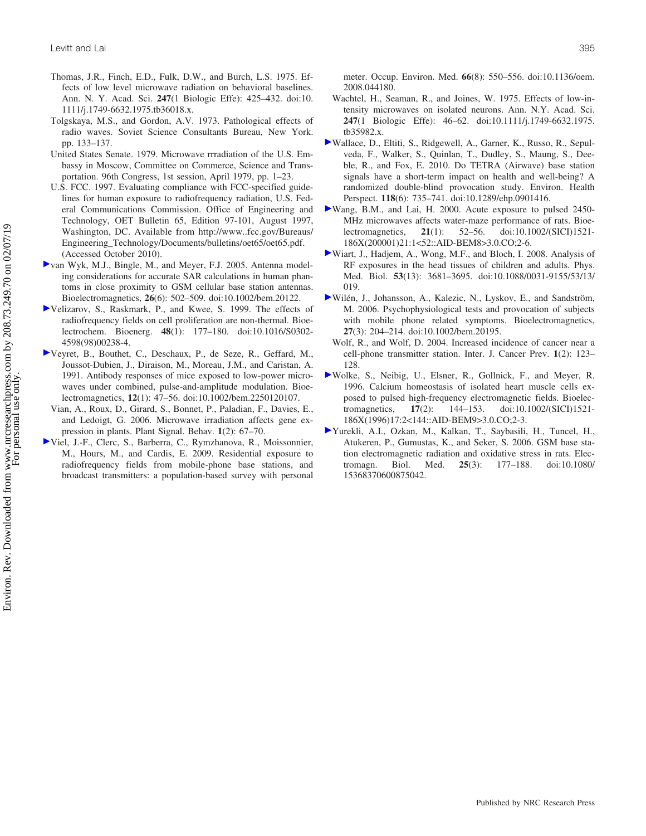- Thomas, J.R., Finch, E.D., Fulk, D.W., and Burch, L.S. 1975. Effects of low level microwave radiation on behavioral baselines. Ann. N. Y. Acad. Sci. **247**(1 Biologic Effe): 425–432. doi:10. 1111/j.1749-6632.1975.tb36018.x.
- Tolgskaya, M.S., and Gordon, A.V. 1973. Pathological effects of radio waves. Soviet Science Consultants Bureau, New York. pp. 133–137.
- United States Senate. 1979. Microwave rrradiation of the U.S. Embassy in Moscow, Committee on Commerce, Science and Transportation. 96th Congress, 1st session, April 1979, pp. 1–23.
- U.S. FCC. 1997. Evaluating compliance with FCC-specified guidelines for human exposure to radiofrequency radiation, U.S. Federal Communications Commission. Office of Engineering and Technology, OET Bulletin 65, Edition 97-101, August 1997, Washington, DC. Available from http://www..fcc.gov/Bureaus/ Engineering\_Technology/Documents/bulletins/oet65/oet65.pdf. (Accessed October 2010).
- van Wyk, M.J., Bingle, M., and Meyer, F.J. 2005. Antenna modeling considerations for accurate SAR calculations in human phantoms in close proximity to GSM cellular base station antennas. Bioelectromagnetics, **26**(6): 502–509. doi:10.1002/bem.20122.
- Velizarov, S., Raskmark, P., and Kwee, S. 1999. The effects of radiofrequency fields on cell proliferation are non-thermal. Bioelectrochem. Bioenerg. **48**(1): 177–180. doi:10.1016/S0302- 4598(98)00238-4.
- Veyret, B., Bouthet, C., Deschaux, P., de Seze, R., Geffard, M., Joussot-Dubien, J., Diraison, M., Moreau, J.M., and Caristan, A. 1991. Antibody responses of mice exposed to low-power microwaves under combined, pulse-and-amplitude modulation. Bioelectromagnetics, **12**(1): 47–56. doi:10.1002/bem.2250120107.
- Vian, A., Roux, D., Girard, S., Bonnet, P., Paladian, F., Davies, E., and Ledoigt, G. 2006. Microwave irradiation affects gene expression in plants. Plant Signal. Behav. **1**(2): 67–70.
- Viel, J.-F., Clerc, S., Barberra, C., Rymzhanova, R., Moissonnier, M., Hours, M., and Cardis, E. 2009. Residential exposure to radiofrequency fields from mobile-phone base stations, and broadcast transmitters: a population-based survey with personal

meter. Occup. Environ. Med. **66**(8): 550–556. doi:10.1136/oem. 2008.044180.

- Wachtel, H., Seaman, R., and Joines, W. 1975. Effects of low-intensity microwaves on isolated neurons. Ann. N.Y. Acad. Sci. **247**(1 Biologic Effe): 46–62. doi:10.1111/j.1749-6632.1975. tb35982.x.
- [W](http://www.nrcresearchpress.com/action/showLinks?doi=10.1139%2FA10-018&pmid=20075020&crossref=10.1289%2Fehp.0901416&isi=000278591300015&citationId=p_152_1)allace, D., Eltiti, S., Ridgewell, A., Garner, K., Russo, R., Sepulveda, F., Walker, S., Quinlan, T., Dudley, S., Maung, S., Deeble, R., and Fox, E. 2010. Do TETRA (Airwave) base station signals have a short-term impact on health and well-being? A randomized double-blind provocation study. Environ. Health Perspect. **118**(6): 735–741. doi:10.1289/ehp.0901416.
- [W](http://www.nrcresearchpress.com/action/showLinks?doi=10.1139%2FA10-018&pmid=10615092&crossref=10.1002%2F%28SICI%291521-186X%28200001%2921%3A1%3C52%3A%3AAID-BEM8%3E3.0.CO%3B2-6&isi=000084818100008&citationId=p_153_1)ang, B.M., and Lai, H. 2000. Acute exposure to pulsed 2450- MHz microwaves affects water-maze performance of rats. Bioelectromagnetics, **21**(1): 52–56. doi:10.1002/(SICI)1521- 186X(200001)21:1<52::AID-BEM8>3.0.CO;2-6.
- [W](http://www.nrcresearchpress.com/action/showLinks?doi=10.1139%2FA10-018&pmid=18562780&crossref=10.1088%2F0031-9155%2F53%2F13%2F019&isi=000257200800020&citationId=p_154_1)iart, J., Hadjem, A., Wong, M.F., and Bloch, I. 2008. Analysis of RF exposures in the head tissues of children and adults. Phys. Med. Biol. **53**(13): 3681–3695. doi:10.1088/0031-9155/53/13/ 019.
- ▶ [W](http://www.nrcresearchpress.com/action/showLinks?doi=10.1139%2FA10-018&pmid=16304699&crossref=10.1002%2Fbem.20195&isi=000236411600005&citationId=p_155_1)ilén, J., Johansson, A., Kalezic, N., Lyskov, E., and Sandström, M. 2006. Psychophysiological tests and provocation of subjects with mobile phone related symptoms. Bioelectromagnetics, **27**(3): 204–214. doi:10.1002/bem.20195.
- Wolf, R., and Wolf, D. 2004. Increased incidence of cancer near a cell-phone transmitter station. Inter. J. Cancer Prev. **1**(2): 123– 128.
- [W](http://www.nrcresearchpress.com/action/showLinks?doi=10.1139%2FA10-018&pmid=8860732&crossref=10.1002%2F%28SICI%291521-186X%281996%2917%3A2%3C144%3A%3AAID-BEM9%3E3.0.CO%3B2-3&isi=A1996UG92400010&citationId=p_157_1)olke, S., Neibig, U., Elsner, R., Gollnick, F., and Meyer, R. 1996. Calcium homeostasis of isolated heart muscle cells exposed to pulsed high-frequency electromagnetic fields. Bioelectromagnetics, **17**(2): 144–153. doi:10.1002/(SICI)1521- 186X(1996)17:2<144::AID-BEM9>3.0.CO;2-3.
- [Y](http://www.nrcresearchpress.com/action/showLinks?doi=10.1139%2FA10-018&pmid=16954120&crossref=10.1080%2F15368370600875042&isi=000240339900006&citationId=p_158_1)urekli, A.I., Ozkan, M., Kalkan, T., Saybasili, H., Tuncel, H., Atukeren, P., Gumustas, K., and Seker, S. 2006. GSM base station electromagnetic radiation and oxidative stress in rats. Electromagn. Biol. Med. **25**(3): 177–188. doi:10.1080/ 15368370600875042.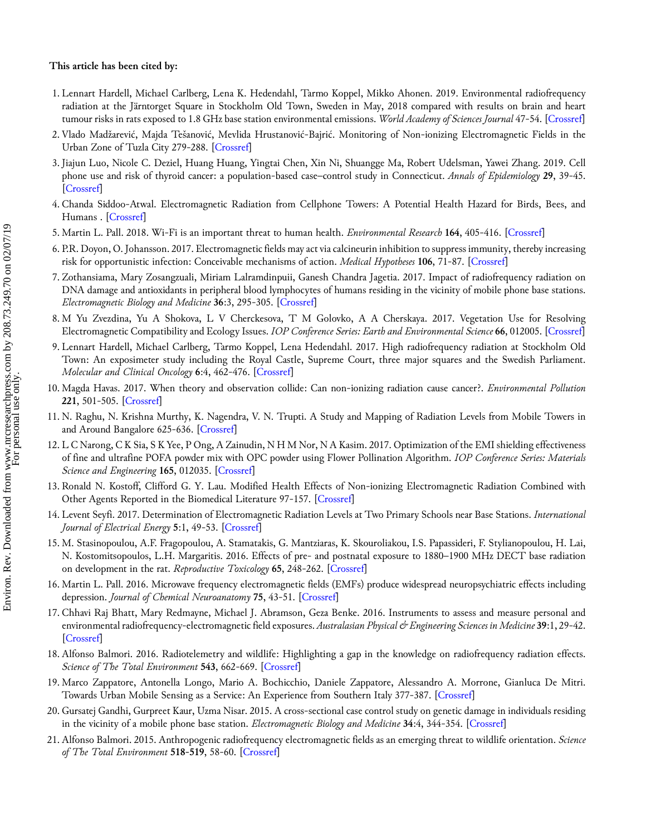#### **This article has been cited by:**

- 1. Lennart Hardell, Michael Carlberg, Lena K. Hedendahl, Tarmo Koppel, Mikko Ahonen. 2019. Environmental radiofrequency radiation at the Järntorget Square in Stockholm Old Town, Sweden in May, 2018 compared with results on brain and heart tumour risks in rats exposed to 1.8 GHz base station environmental emissions. *World Academy of Sciences Journal* 47-54. [[Crossref\]](https://doi.org/10.3892/wasj.2018.5)
- 2. Vlado Madžarević, Majda Tešanović, Mevlida Hrustanović-Bajrić. Monitoring of Non-ionizing Electromagnetic Fields in the Urban Zone of Tuzla City 279-288. [[Crossref\]](https://doi.org/10.1007/978-3-030-02574-8_22)
- 3. Jiajun Luo, Nicole C. Deziel, Huang Huang, Yingtai Chen, Xin Ni, Shuangge Ma, Robert Udelsman, Yawei Zhang. 2019. Cell phone use and risk of thyroid cancer: a population-based case–control study in Connecticut. *Annals of Epidemiology* **29**, 39-45. [\[Crossref](https://doi.org/10.1016/j.annepidem.2018.10.004)]
- 4. Chanda Siddoo-Atwal. Electromagnetic Radiation from Cellphone Towers: A Potential Health Hazard for Birds, Bees, and Humans . [[Crossref\]](https://doi.org/10.5772/intechopen.76084)
- 5. Martin L. Pall. 2018. Wi-Fi is an important threat to human health. *Environmental Research* **164**, 405-416. [[Crossref\]](https://doi.org/10.1016/j.envres.2018.01.035)
- 6. P.R. Doyon, O. Johansson. 2017. Electromagnetic fields may act via calcineurin inhibition to suppress immunity, thereby increasing risk for opportunistic infection: Conceivable mechanisms of action. *Medical Hypotheses* **106**, 71-87. [[Crossref\]](https://doi.org/10.1016/j.mehy.2017.06.028)
- 7. Zothansiama, Mary Zosangzuali, Miriam Lalramdinpuii, Ganesh Chandra Jagetia. 2017. Impact of radiofrequency radiation on DNA damage and antioxidants in peripheral blood lymphocytes of humans residing in the vicinity of mobile phone base stations. *Electromagnetic Biology and Medicine* **36**:3, 295-305. [\[Crossref\]](https://doi.org/10.1080/15368378.2017.1350584)
- 8. M Yu Zvezdina, Yu A Shokova, L V Cherckesova, T M Golovko, A A Cherskaya. 2017. Vegetation Use for Resolving Electromagnetic Compatibility and Ecology Issues. *IOP Conference Series: Earth and Environmental Science* **66**, 012005. [[Crossref\]](https://doi.org/10.1088/1755-1315/66/1/012005)
- 9. Lennart Hardell, Michael Carlberg, Tarmo Koppel, Lena Hedendahl. 2017. High radiofrequency radiation at Stockholm Old Town: An exposimeter study including the Royal Castle, Supreme Court, three major squares and the Swedish Parliament. *Molecular and Clinical Oncology* **6**:4, 462-476. [\[Crossref](https://doi.org/10.3892/mco.2017.1180)]
- 10. Magda Havas. 2017. When theory and observation collide: Can non-ionizing radiation cause cancer?. *Environmental Pollution* **221**, 501-505. [[Crossref\]](https://doi.org/10.1016/j.envpol.2016.10.018)
- 11. N. Raghu, N. Krishna Murthy, K. Nagendra, V. N. Trupti. A Study and Mapping of Radiation Levels from Mobile Towers in and Around Bangalore 625-636. [[Crossref\]](https://doi.org/10.1007/978-981-10-2471-9_60)
- 12. L C Narong, C K Sia, S K Yee, P Ong, A Zainudin, N H M Nor, N A Kasim. 2017. Optimization of the EMI shielding effectiveness of fine and ultrafine POFA powder mix with OPC powder using Flower Pollination Algorithm. *IOP Conference Series: Materials Science and Engineering* **165**, 012035. [[Crossref\]](https://doi.org/10.1088/1757-899X/165/1/012035)
- 13. Ronald N. Kostoff, Clifford G. Y. Lau. Modified Health Effects of Non-ionizing Electromagnetic Radiation Combined with Other Agents Reported in the Biomedical Literature 97-157. [\[Crossref](https://doi.org/10.1007/978-3-319-50289-2_4)]
- 14. Levent Seyfi. 2017. Determination of Electromagnetic Radiation Levels at Two Primary Schools near Base Stations. *International Journal of Electrical Energy* **5**:1, 49-53. [\[Crossref](https://doi.org/10.18178/ijoee.5.1.49-53)]
- 15. M. Stasinopoulou, A.F. Fragopoulou, A. Stamatakis, G. Mantziaras, K. Skouroliakou, I.S. Papassideri, F. Stylianopoulou, H. Lai, N. Kostomitsopoulos, L.H. Margaritis. 2016. Effects of pre- and postnatal exposure to 1880–1900 MHz DECT base radiation on development in the rat. *Reproductive Toxicology* **65**, 248-262. [\[Crossref](https://doi.org/10.1016/j.reprotox.2016.08.008)]
- 16. Martin L. Pall. 2016. Microwave frequency electromagnetic fields (EMFs) produce widespread neuropsychiatric effects including depression. *Journal of Chemical Neuroanatomy* **75**, 43-51. [\[Crossref](https://doi.org/10.1016/j.jchemneu.2015.08.001)]
- 17. Chhavi Raj Bhatt, Mary Redmayne, Michael J. Abramson, Geza Benke. 2016. Instruments to assess and measure personal and environmental radiofrequency-electromagnetic field exposures. *Australasian Physical & Engineering Sciences in Medicine* **39**:1, 29-42. [\[Crossref](https://doi.org/10.1007/s13246-015-0412-z)]
- 18. Alfonso Balmori. 2016. Radiotelemetry and wildlife: Highlighting a gap in the knowledge on radiofrequency radiation effects. *Science of The Total Environment* **543**, 662-669. [\[Crossref](https://doi.org/10.1016/j.scitotenv.2015.11.073)]
- 19. Marco Zappatore, Antonella Longo, Mario A. Bochicchio, Daniele Zappatore, Alessandro A. Morrone, Gianluca De Mitri. Towards Urban Mobile Sensing as a Service: An Experience from Southern Italy 377-387. [\[Crossref](https://doi.org/10.1007/978-3-319-47063-4_39)]
- 20. Gursatej Gandhi, Gurpreet Kaur, Uzma Nisar. 2015. A cross-sectional case control study on genetic damage in individuals residing in the vicinity of a mobile phone base station. *Electromagnetic Biology and Medicine* **34**:4, 344-354. [\[Crossref](https://doi.org/10.3109/15368378.2014.933349)]
- 21. Alfonso Balmori. 2015. Anthropogenic radiofrequency electromagnetic fields as an emerging threat to wildlife orientation. *Science of The Total Environment* **518-519**, 58-60. [\[Crossref](https://doi.org/10.1016/j.scitotenv.2015.02.077)]